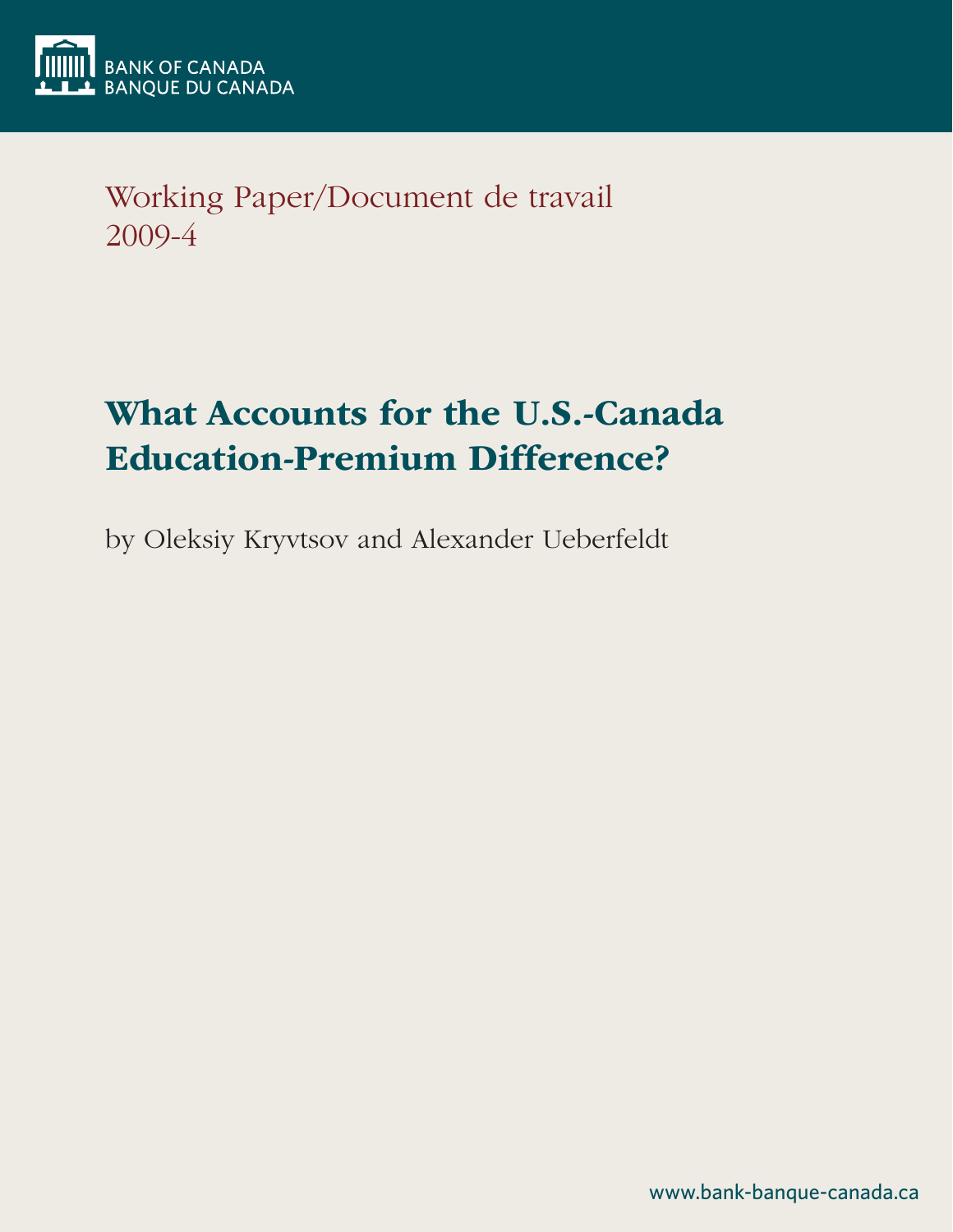

Working Paper/Document de travail 2009-4

# What Accounts for the U.S.-Canada Education-Premium Difference?

by Oleksiy Kryvtsov and Alexander Ueberfeldt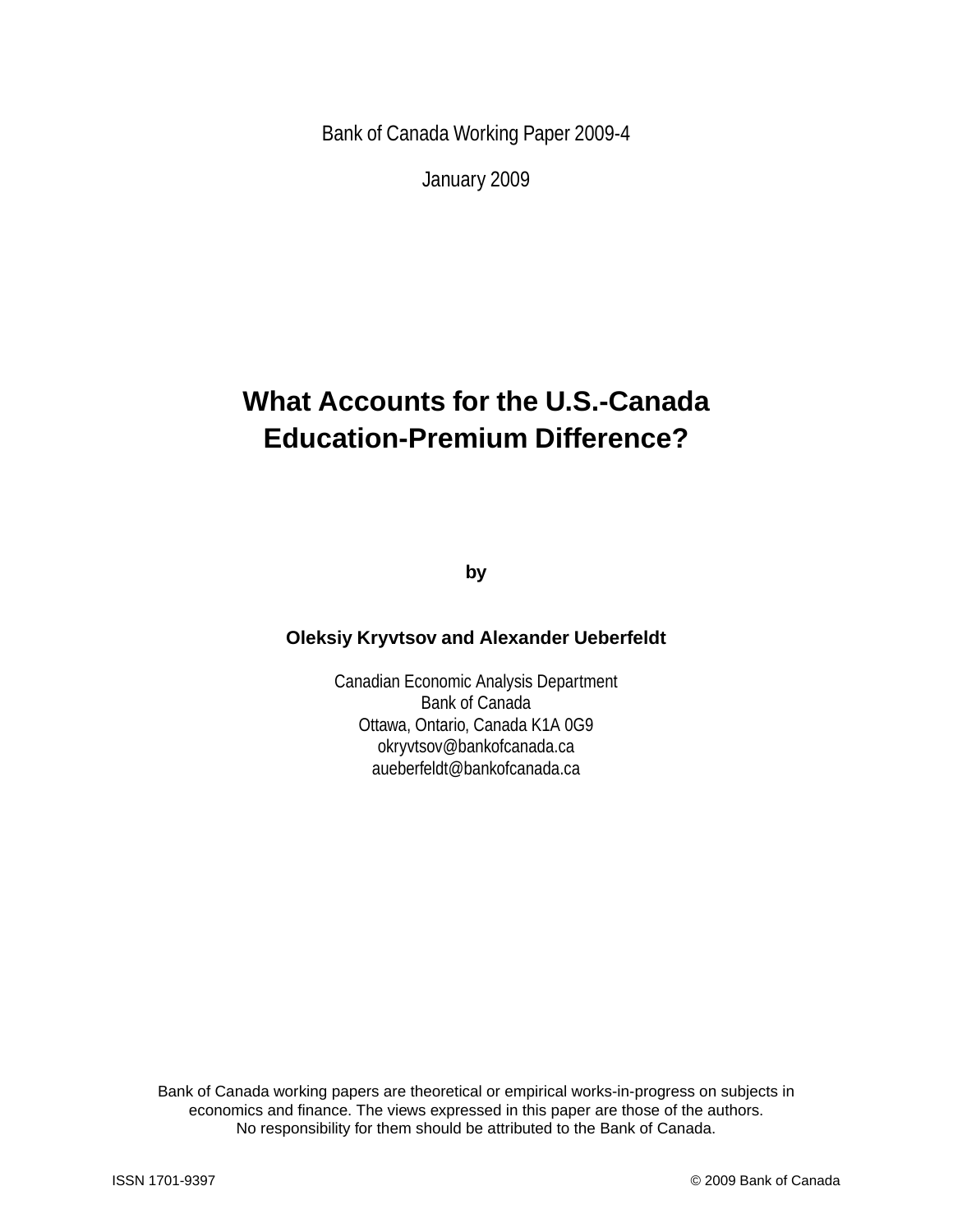Bank of Canada Working Paper 2009-4

January 2009

## **What Accounts for the U.S.-Canada Education-Premium Difference?**

**by**

### **Oleksiy Kryvtsov and Alexander Ueberfeldt**

Canadian Economic Analysis Department Bank of Canada Ottawa, Ontario, Canada K1A 0G9 okryvtsov@bankofcanada.ca aueberfeldt@bankofcanada.ca

Bank of Canada working papers are theoretical or empirical works-in-progress on subjects in economics and finance. The views expressed in this paper are those of the authors. No responsibility for them should be attributed to the Bank of Canada.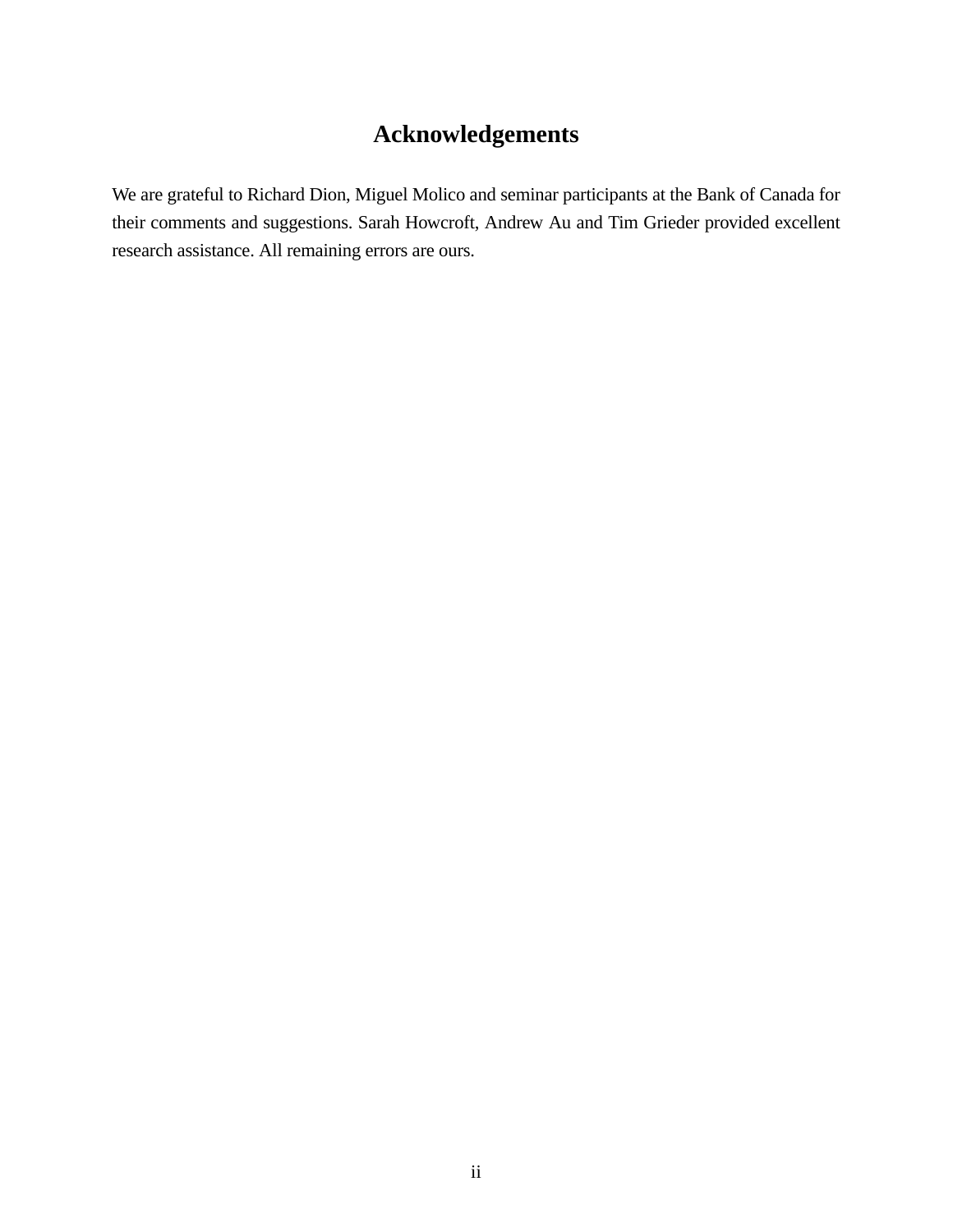## **Acknowledgements**

We are grateful to Richard Dion, Miguel Molico and seminar participants at the Bank of Canada for their comments and suggestions. Sarah Howcroft, Andrew Au and Tim Grieder provided excellent research assistance. All remaining errors are ours.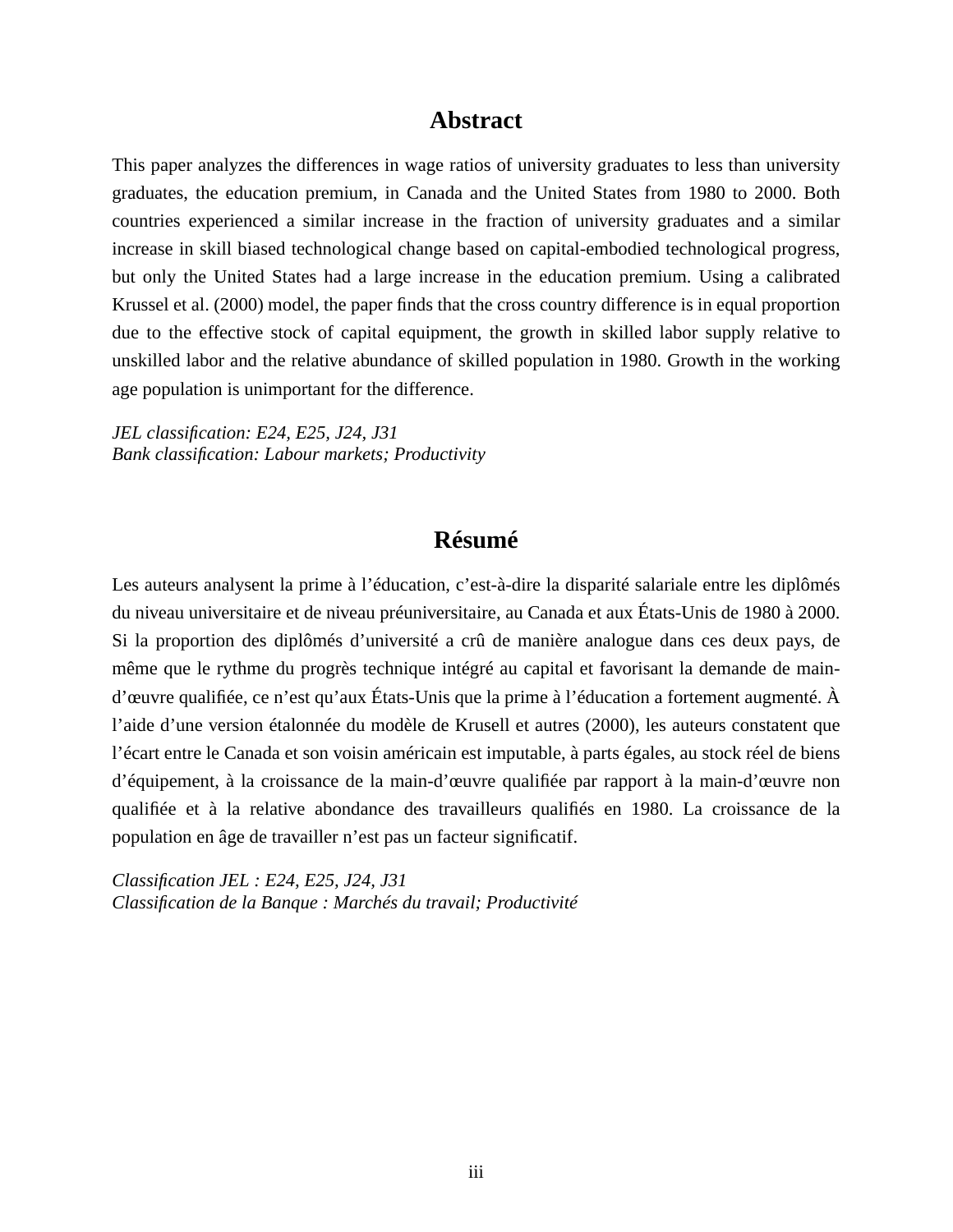### **Abstract**

This paper analyzes the differences in wage ratios of university graduates to less than university graduates, the education premium, in Canada and the United States from 1980 to 2000. Both countries experienced a similar increase in the fraction of university graduates and a similar increase in skill biased technological change based on capital-embodied technological progress, but only the United States had a large increase in the education premium. Using a calibrated Krussel et al. (2000) model, the paper finds that the cross country difference is in equal proportion due to the effective stock of capital equipment, the growth in skilled labor supply relative to unskilled labor and the relative abundance of skilled population in 1980. Growth in the working age population is unimportant for the difference.

*JEL classification: E24, E25, J24, J31 Bank classification: Labour markets; Productivity*

### **Résumé**

Les auteurs analysent la prime à l'éducation, c'est-à-dire la disparité salariale entre les diplômés du niveau universitaire et de niveau préuniversitaire, au Canada et aux États-Unis de 1980 à 2000. Si la proportion des diplômés d'université a crû de manière analogue dans ces deux pays, de même que le rythme du progrès technique intégré au capital et favorisant la demande de maind'œuvre qualifiée, ce n'est qu'aux États-Unis que la prime à l'éducation a fortement augmenté. À l'aide d'une version étalonnée du modèle de Krusell et autres (2000), les auteurs constatent que l'écart entre le Canada et son voisin américain est imputable, à parts égales, au stock réel de biens d'équipement, à la croissance de la main-d'œuvre qualifiée par rapport à la main-d'œuvre non qualifiée et à la relative abondance des travailleurs qualifiés en 1980. La croissance de la population en âge de travailler n'est pas un facteur significatif.

*Classification JEL : E24, E25, J24, J31 Classification de la Banque : Marchés du travail; Productivité*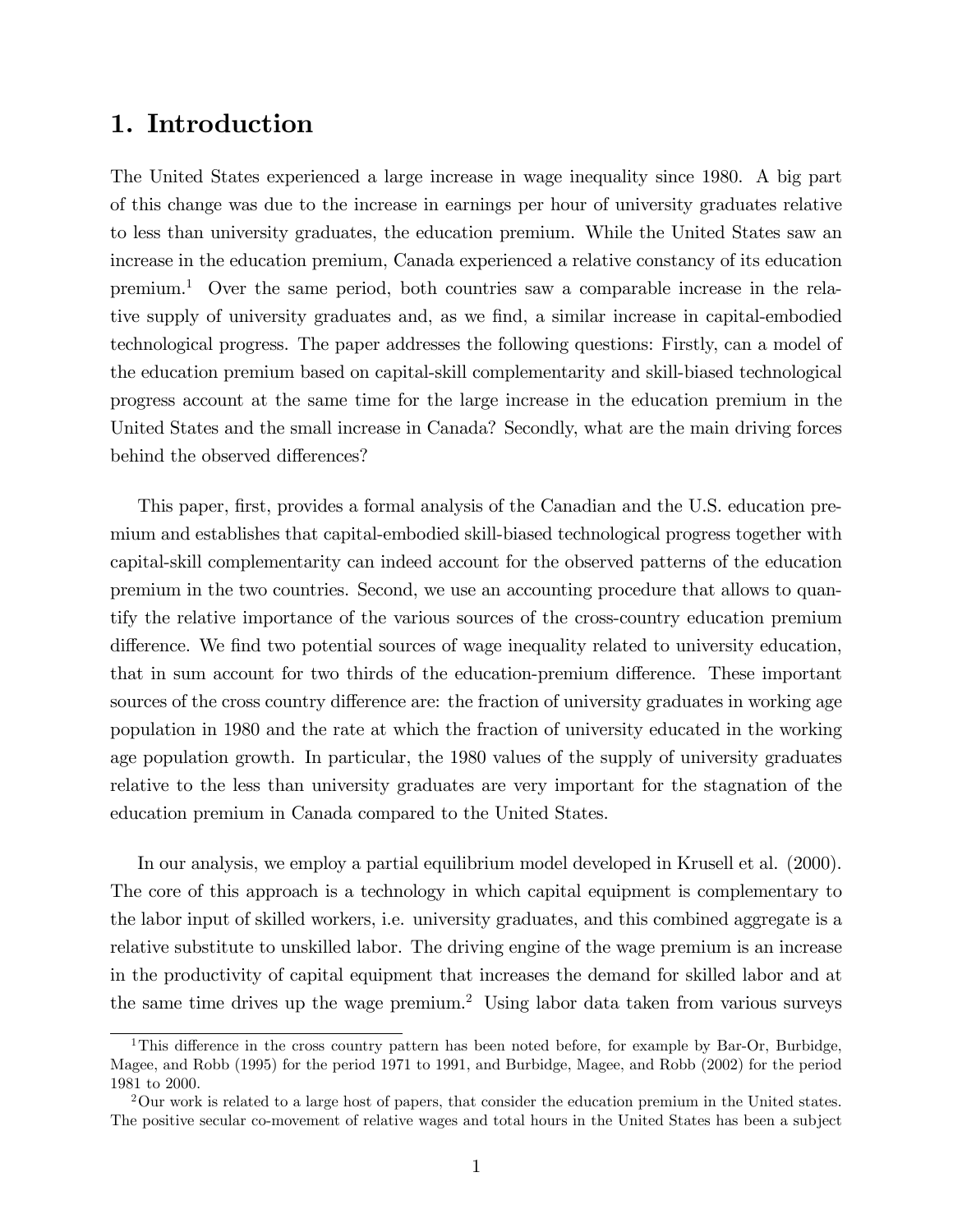## 1. Introduction

The United States experienced a large increase in wage inequality since 1980. A big part of this change was due to the increase in earnings per hour of university graduates relative to less than university graduates, the education premium. While the United States saw an increase in the education premium, Canada experienced a relative constancy of its education premium.<sup>1</sup> Over the same period, both countries saw a comparable increase in the relative supply of university graduates and, as we Önd, a similar increase in capital-embodied technological progress. The paper addresses the following questions: Firstly, can a model of the education premium based on capital-skill complementarity and skill-biased technological progress account at the same time for the large increase in the education premium in the United States and the small increase in Canada? Secondly, what are the main driving forces behind the observed differences?

This paper, first, provides a formal analysis of the Canadian and the U.S. education premium and establishes that capital-embodied skill-biased technological progress together with capital-skill complementarity can indeed account for the observed patterns of the education premium in the two countries. Second, we use an accounting procedure that allows to quantify the relative importance of the various sources of the cross-country education premium difference. We find two potential sources of wage inequality related to university education, that in sum account for two thirds of the education-premium difference. These important sources of the cross country difference are: the fraction of university graduates in working age population in 1980 and the rate at which the fraction of university educated in the working age population growth. In particular, the 1980 values of the supply of university graduates relative to the less than university graduates are very important for the stagnation of the education premium in Canada compared to the United States.

In our analysis, we employ a partial equilibrium model developed in Krusell et al. (2000). The core of this approach is a technology in which capital equipment is complementary to the labor input of skilled workers, i.e. university graduates, and this combined aggregate is a relative substitute to unskilled labor. The driving engine of the wage premium is an increase in the productivity of capital equipment that increases the demand for skilled labor and at the same time drives up the wage premium.<sup>2</sup> Using labor data taken from various surveys

<sup>&</sup>lt;sup>1</sup>This difference in the cross country pattern has been noted before, for example by Bar-Or, Burbidge, Magee, and Robb (1995) for the period 1971 to 1991, and Burbidge, Magee, and Robb (2002) for the period 1981 to 2000.

<sup>&</sup>lt;sup>2</sup>Our work is related to a large host of papers, that consider the education premium in the United states. The positive secular co-movement of relative wages and total hours in the United States has been a subject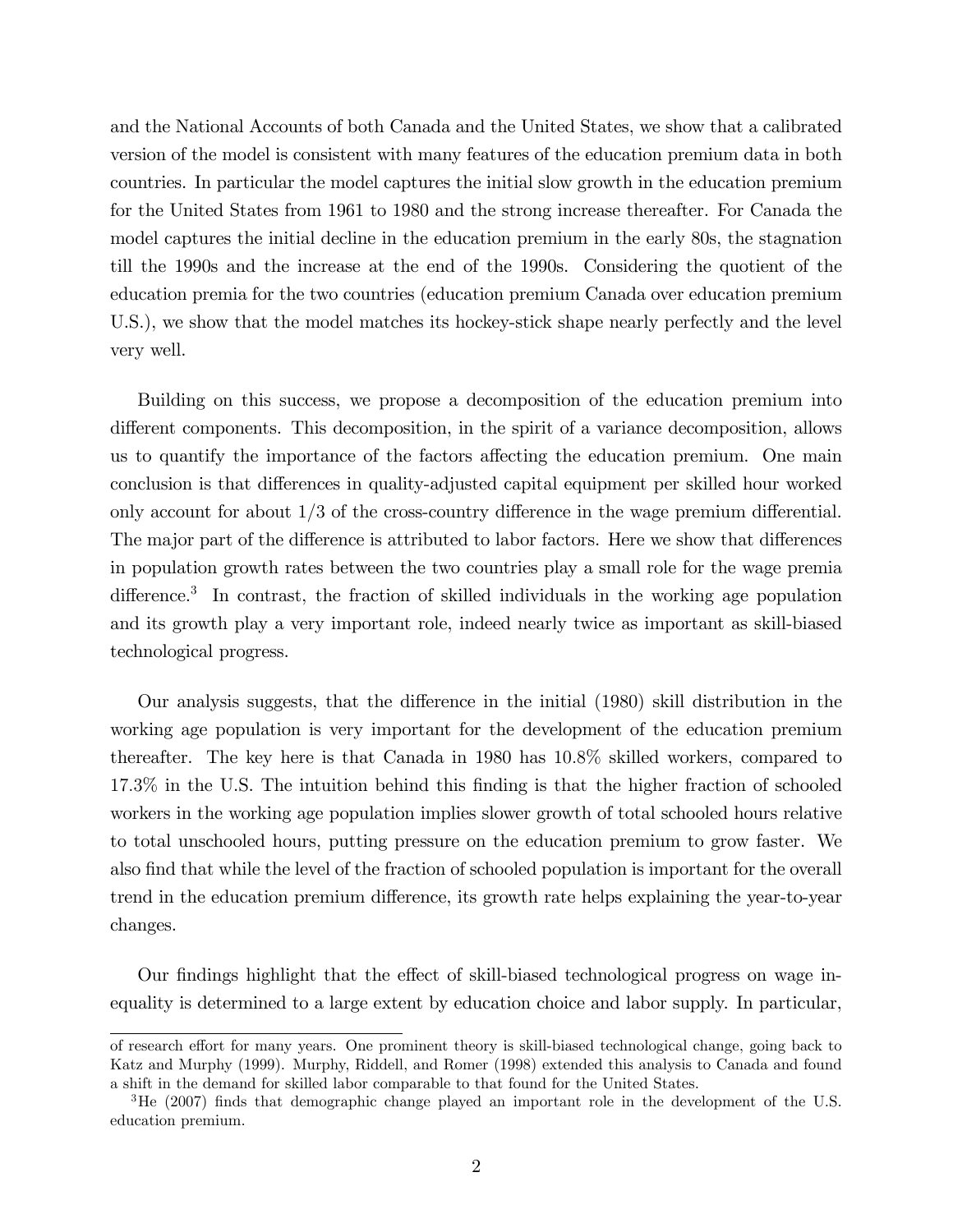and the National Accounts of both Canada and the United States, we show that a calibrated version of the model is consistent with many features of the education premium data in both countries. In particular the model captures the initial slow growth in the education premium for the United States from 1961 to 1980 and the strong increase thereafter. For Canada the model captures the initial decline in the education premium in the early 80s, the stagnation till the 1990s and the increase at the end of the 1990s. Considering the quotient of the education premia for the two countries (education premium Canada over education premium U.S.), we show that the model matches its hockey-stick shape nearly perfectly and the level very well.

Building on this success, we propose a decomposition of the education premium into different components. This decomposition, in the spirit of a variance decomposition, allows us to quantify the importance of the factors affecting the education premium. One main conclusion is that differences in quality-adjusted capital equipment per skilled hour worked only account for about  $1/3$  of the cross-country difference in the wage premium differential. The major part of the difference is attributed to labor factors. Here we show that differences in population growth rates between the two countries play a small role for the wage premia difference.<sup>3</sup> In contrast, the fraction of skilled individuals in the working age population and its growth play a very important role, indeed nearly twice as important as skill-biased technological progress.

Our analysis suggests, that the difference in the initial (1980) skill distribution in the working age population is very important for the development of the education premium thereafter. The key here is that Canada in 1980 has 10:8% skilled workers, compared to 17:3% in the U.S. The intuition behind this Önding is that the higher fraction of schooled workers in the working age population implies slower growth of total schooled hours relative to total unschooled hours, putting pressure on the education premium to grow faster. We also find that while the level of the fraction of schooled population is important for the overall trend in the education premium difference, its growth rate helps explaining the year-to-year changes.

Our findings highlight that the effect of skill-biased technological progress on wage inequality is determined to a large extent by education choice and labor supply. In particular,

of research effort for many years. One prominent theory is skill-biased technological change, going back to Katz and Murphy (1999). Murphy, Riddell, and Romer (1998) extended this analysis to Canada and found a shift in the demand for skilled labor comparable to that found for the United States.

 $3\text{He}$  (2007) finds that demographic change played an important role in the development of the U.S. education premium.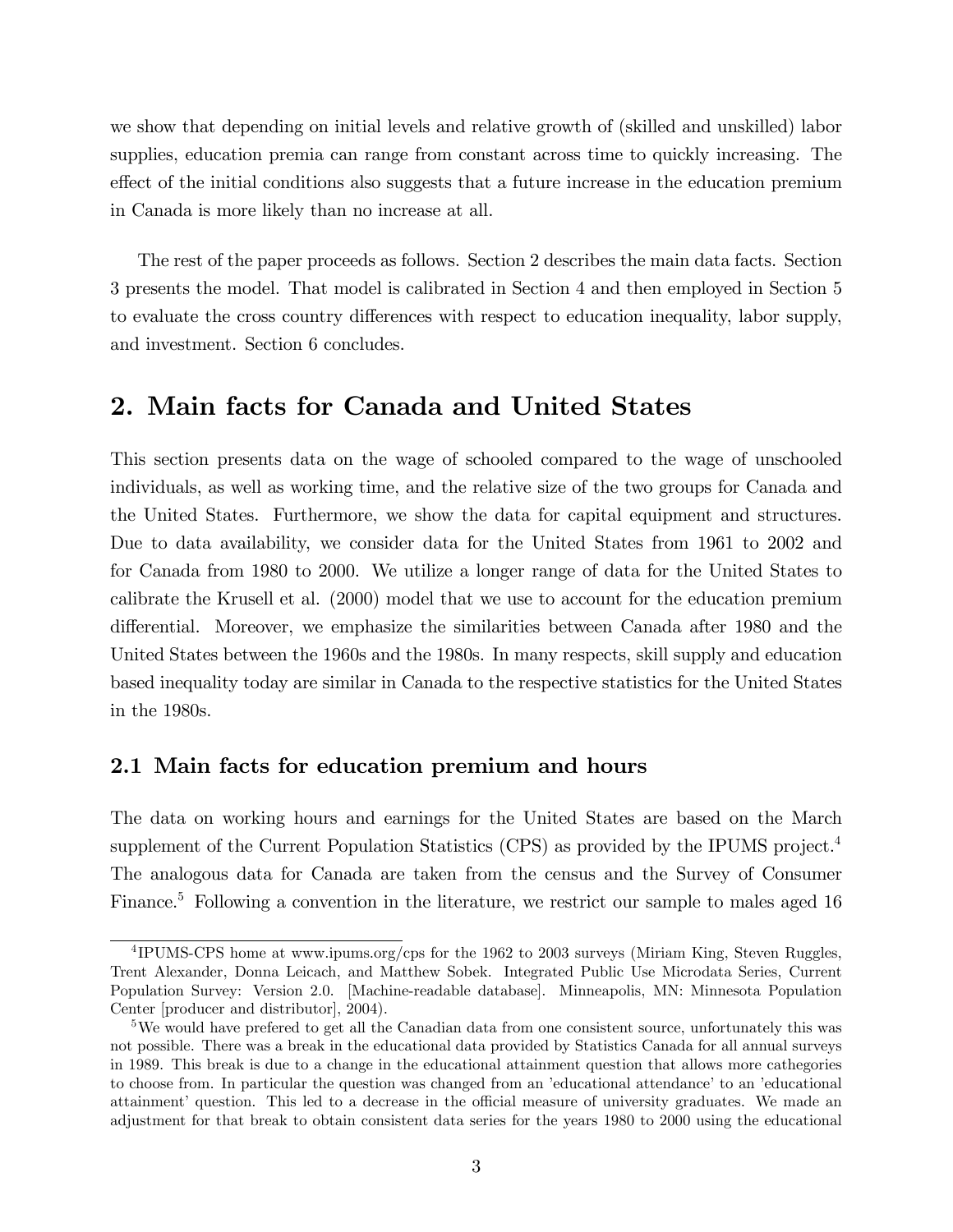we show that depending on initial levels and relative growth of (skilled and unskilled) labor supplies, education premia can range from constant across time to quickly increasing. The effect of the initial conditions also suggests that a future increase in the education premium in Canada is more likely than no increase at all.

The rest of the paper proceeds as follows. Section 2 describes the main data facts. Section 3 presents the model. That model is calibrated in Section 4 and then employed in Section 5 to evaluate the cross country differences with respect to education inequality, labor supply, and investment. Section 6 concludes.

## 2. Main facts for Canada and United States

This section presents data on the wage of schooled compared to the wage of unschooled individuals, as well as working time, and the relative size of the two groups for Canada and the United States. Furthermore, we show the data for capital equipment and structures. Due to data availability, we consider data for the United States from 1961 to 2002 and for Canada from 1980 to 2000. We utilize a longer range of data for the United States to calibrate the Krusell et al. (2000) model that we use to account for the education premium differential. Moreover, we emphasize the similarities between Canada after 1980 and the United States between the 1960s and the 1980s. In many respects, skill supply and education based inequality today are similar in Canada to the respective statistics for the United States in the 1980s.

### 2.1 Main facts for education premium and hours

The data on working hours and earnings for the United States are based on the March supplement of the Current Population Statistics (CPS) as provided by the IPUMS project.<sup>4</sup> The analogous data for Canada are taken from the census and the Survey of Consumer Finance.<sup>5</sup> Following a convention in the literature, we restrict our sample to males aged 16

<sup>&</sup>lt;sup>4</sup>IPUMS-CPS home at www.ipums.org/cps for the 1962 to 2003 surveys (Miriam King, Steven Ruggles, Trent Alexander, Donna Leicach, and Matthew Sobek. Integrated Public Use Microdata Series, Current Population Survey: Version 2.0. [Machine-readable database]. Minneapolis, MN: Minnesota Population Center [producer and distributor], 2004).

<sup>5</sup>We would have prefered to get all the Canadian data from one consistent source, unfortunately this was not possible. There was a break in the educational data provided by Statistics Canada for all annual surveys in 1989. This break is due to a change in the educational attainment question that allows more cathegories to choose from. In particular the question was changed from an 'educational attendance' to an 'educational attainment' question. This led to a decrease in the official measure of university graduates. We made an adjustment for that break to obtain consistent data series for the years 1980 to 2000 using the educational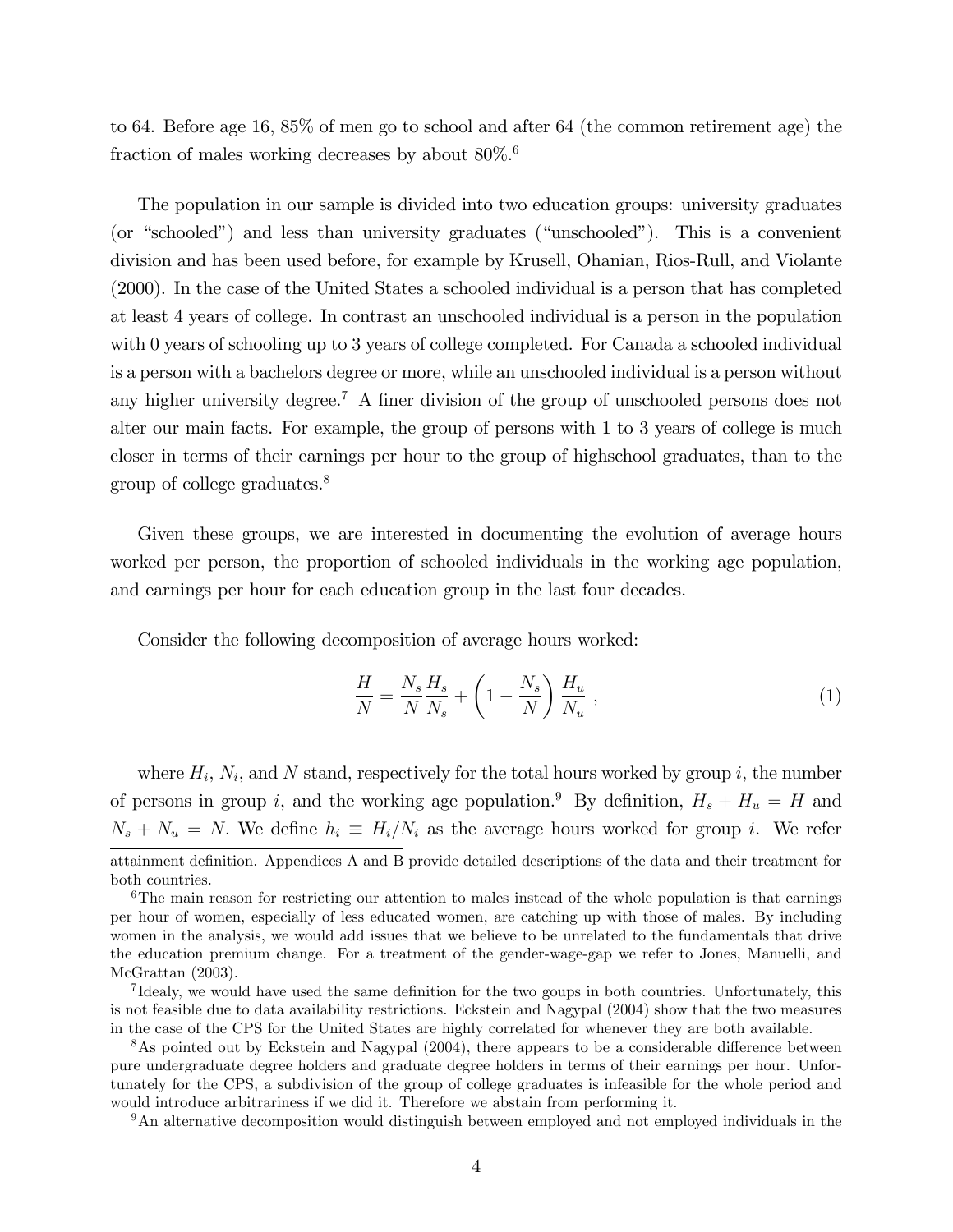to 64. Before age 16, 85% of men go to school and after 64 (the common retirement age) the fraction of males working decreases by about 80%.<sup>6</sup>

The population in our sample is divided into two education groups: university graduates (or "schooled") and less than university graduates ("unschooled"). This is a convenient division and has been used before, for example by Krusell, Ohanian, Rios-Rull, and Violante (2000). In the case of the United States a schooled individual is a person that has completed at least 4 years of college. In contrast an unschooled individual is a person in the population with 0 years of schooling up to 3 years of college completed. For Canada a schooled individual is a person with a bachelors degree or more, while an unschooled individual is a person without any higher university degree.<sup>7</sup> A finer division of the group of unschooled persons does not alter our main facts. For example, the group of persons with 1 to 3 years of college is much closer in terms of their earnings per hour to the group of highschool graduates, than to the group of college graduates.<sup>8</sup>

Given these groups, we are interested in documenting the evolution of average hours worked per person, the proportion of schooled individuals in the working age population, and earnings per hour for each education group in the last four decades.

Consider the following decomposition of average hours worked:

$$
\frac{H}{N} = \frac{N_s}{N} \frac{H_s}{N_s} + \left(1 - \frac{N_s}{N}\right) \frac{H_u}{N_u} ,\qquad (1)
$$

where  $H_i$ ,  $N_i$ , and N stand, respectively for the total hours worked by group i, the number of persons in group i, and the working age population.<sup>9</sup> By definition,  $H_s + H_u = H$  and  $N_s + N_u = N$ . We define  $h_i \equiv H_i/N_i$  as the average hours worked for group i. We refer attainment definition. Appendices A and B provide detailed descriptions of the data and their treatment for both countries.

<sup>9</sup>An alternative decomposition would distinguish between employed and not employed individuals in the

 $6$ The main reason for restricting our attention to males instead of the whole population is that earnings per hour of women, especially of less educated women, are catching up with those of males. By including women in the analysis, we would add issues that we believe to be unrelated to the fundamentals that drive the education premium change. For a treatment of the gender-wage-gap we refer to Jones, Manuelli, and McGrattan (2003).

<sup>&</sup>lt;sup>7</sup>Idealy, we would have used the same definition for the two goups in both countries. Unfortunately, this is not feasible due to data availability restrictions. Eckstein and Nagypal (2004) show that the two measures in the case of the CPS for the United States are highly correlated for whenever they are both available.

 $8$ As pointed out by Eckstein and Nagypal (2004), there appears to be a considerable difference between pure undergraduate degree holders and graduate degree holders in terms of their earnings per hour. Unfortunately for the CPS, a subdivision of the group of college graduates is infeasible for the whole period and would introduce arbitrariness if we did it. Therefore we abstain from performing it.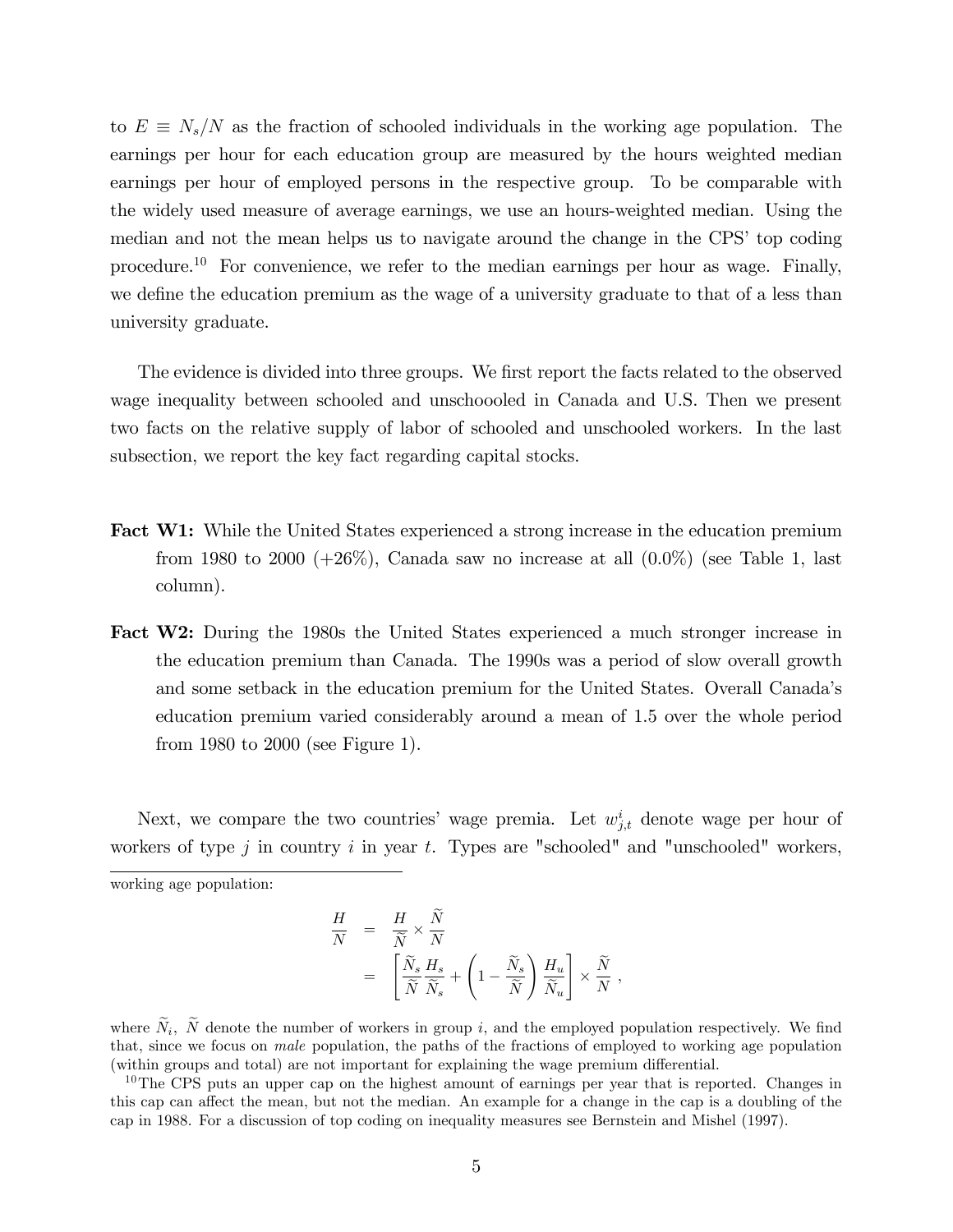to  $E \equiv N_s/N$  as the fraction of schooled individuals in the working age population. The earnings per hour for each education group are measured by the hours weighted median earnings per hour of employed persons in the respective group. To be comparable with the widely used measure of average earnings, we use an hours-weighted median. Using the median and not the mean helps us to navigate around the change in the CPS' top coding procedure.<sup>10</sup> For convenience, we refer to the median earnings per hour as wage. Finally, we define the education premium as the wage of a university graduate to that of a less than university graduate.

The evidence is divided into three groups. We first report the facts related to the observed wage inequality between schooled and unschoooled in Canada and U.S. Then we present two facts on the relative supply of labor of schooled and unschooled workers. In the last subsection, we report the key fact regarding capital stocks.

- **Fact W1:** While the United States experienced a strong increase in the education premium from 1980 to 2000  $(+26\%)$ , Canada saw no increase at all  $(0.0\%)$  (see Table 1, last column).
- Fact W2: During the 1980s the United States experienced a much stronger increase in the education premium than Canada. The 1990s was a period of slow overall growth and some setback in the education premium for the United States. Overall Canadaís education premium varied considerably around a mean of 1.5 over the whole period from 1980 to 2000 (see Figure 1).

Next, we compare the two countries' wage premia. Let  $w_{j,t}^i$  denote wage per hour of workers of type j in country i in year t. Types are "schooled" and "unschooled" workers, working age population:

$$
\begin{array}{rcl} \displaystyle \frac{H}{N} & = & \displaystyle \frac{H}{\widetilde{N}} \times \frac{\widetilde{N}}{N} \\ & = & \displaystyle \left[ \frac{\widetilde{N}_s}{\widetilde{N}} \frac{H_s}{\widetilde{N}_s} + \left( 1 - \frac{\widetilde{N}_s}{\widetilde{N}} \right) \frac{H_u}{\widetilde{N}_u} \right] \times \frac{\widetilde{N}}{N} \; , \end{array}
$$

where  $N_i$ , N denote the number of workers in group i, and the employed population respectively. We find that, since we focus on male population, the paths of the fractions of employed to working age population (within groups and total) are not important for explaining the wage premium differential.

<sup>10</sup>The CPS puts an upper cap on the highest amount of earnings per year that is reported. Changes in this cap can affect the mean, but not the median. An example for a change in the cap is a doubling of the cap in 1988. For a discussion of top coding on inequality measures see Bernstein and Mishel (1997).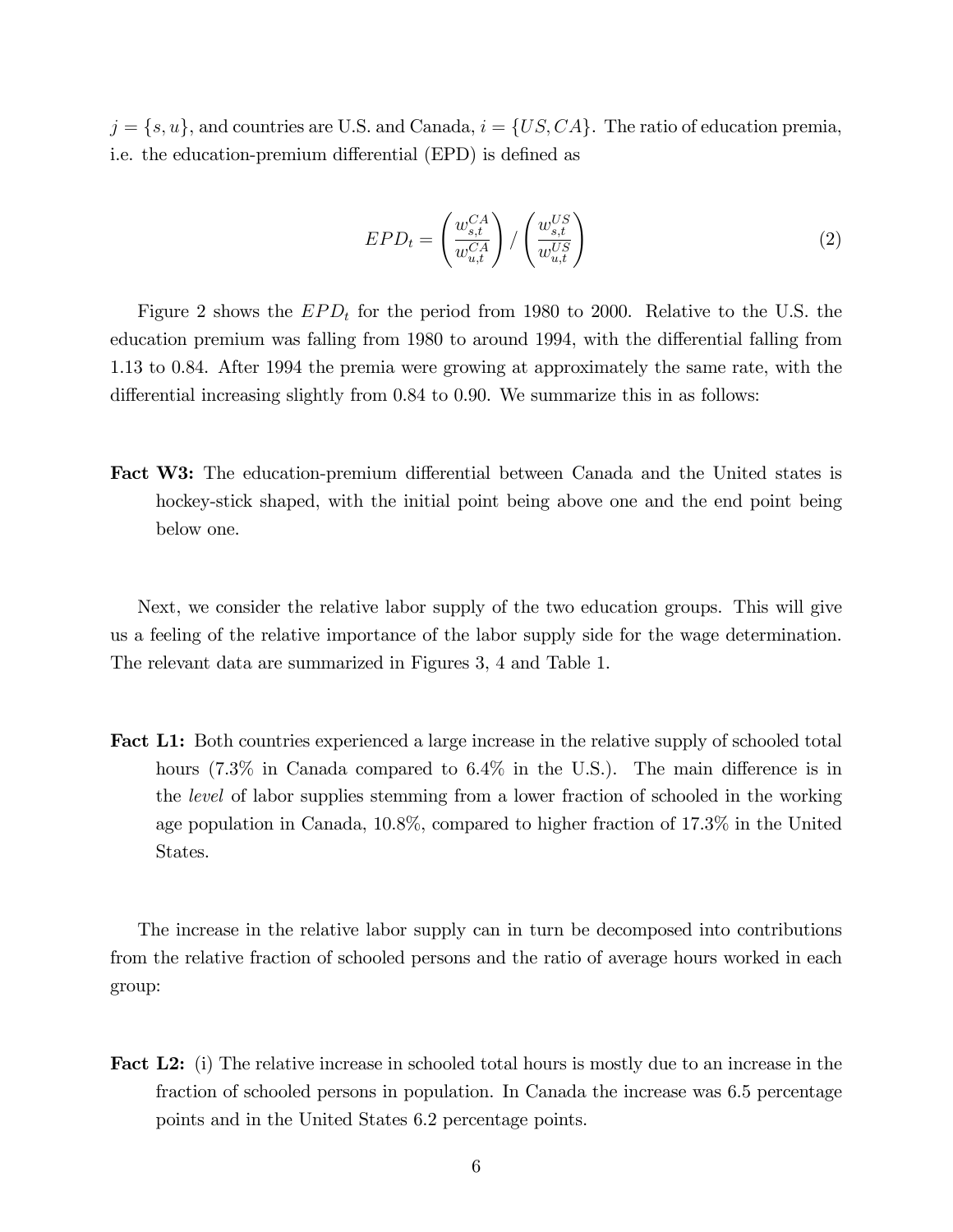$j = \{s, u\}$ , and countries are U.S. and Canada,  $i = \{US, CA\}$ . The ratio of education premia, i.e. the education-premium differential (EPD) is defined as

$$
EPD_t = \left(\frac{w_{s,t}^{CA}}{w_{u,t}^{CA}}\right) / \left(\frac{w_{s,t}^{US}}{w_{u,t}^{US}}\right)
$$
\n
$$
(2)
$$

Figure 2 shows the  $EPD_t$  for the period from 1980 to 2000. Relative to the U.S. the education premium was falling from 1980 to around 1994, with the differential falling from 1.13 to 0.84. After 1994 the premia were growing at approximately the same rate, with the differential increasing slightly from  $0.84$  to  $0.90$ . We summarize this in as follows:

**Fact W3:** The education-premium differential between Canada and the United states is hockey-stick shaped, with the initial point being above one and the end point being below one.

Next, we consider the relative labor supply of the two education groups. This will give us a feeling of the relative importance of the labor supply side for the wage determination. The relevant data are summarized in Figures 3, 4 and Table 1.

**Fact L1:** Both countries experienced a large increase in the relative supply of schooled total hours  $(7.3\%$  in Canada compared to  $6.4\%$  in the U.S.). The main difference is in the level of labor supplies stemming from a lower fraction of schooled in the working age population in Canada, 10.8%, compared to higher fraction of 17.3% in the United States.

The increase in the relative labor supply can in turn be decomposed into contributions from the relative fraction of schooled persons and the ratio of average hours worked in each group:

Fact L2: (i) The relative increase in schooled total hours is mostly due to an increase in the fraction of schooled persons in population. In Canada the increase was 6.5 percentage points and in the United States 6.2 percentage points.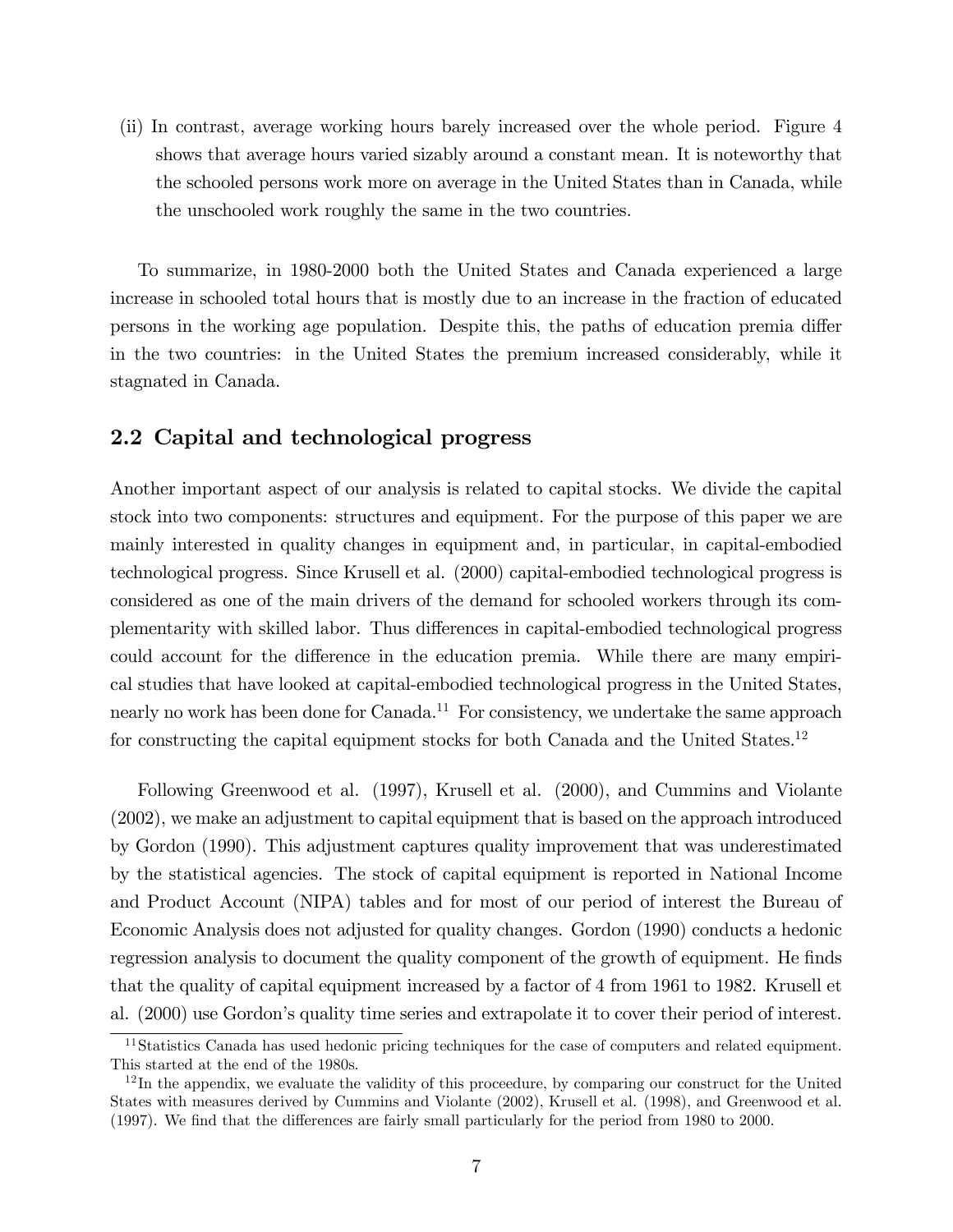(ii) In contrast, average working hours barely increased over the whole period. Figure 4 shows that average hours varied sizably around a constant mean. It is noteworthy that the schooled persons work more on average in the United States than in Canada, while the unschooled work roughly the same in the two countries.

To summarize, in 1980-2000 both the United States and Canada experienced a large increase in schooled total hours that is mostly due to an increase in the fraction of educated persons in the working age population. Despite this, the paths of education premia differ in the two countries: in the United States the premium increased considerably, while it stagnated in Canada.

### 2.2 Capital and technological progress

Another important aspect of our analysis is related to capital stocks. We divide the capital stock into two components: structures and equipment. For the purpose of this paper we are mainly interested in quality changes in equipment and, in particular, in capital-embodied technological progress. Since Krusell et al. (2000) capital-embodied technological progress is considered as one of the main drivers of the demand for schooled workers through its complementarity with skilled labor. Thus differences in capital-embodied technological progress could account for the difference in the education premia. While there are many empirical studies that have looked at capital-embodied technological progress in the United States, nearly no work has been done for Canada.<sup>11</sup> For consistency, we undertake the same approach for constructing the capital equipment stocks for both Canada and the United States.<sup>12</sup>

Following Greenwood et al. (1997), Krusell et al. (2000), and Cummins and Violante (2002), we make an adjustment to capital equipment that is based on the approach introduced by Gordon (1990). This adjustment captures quality improvement that was underestimated by the statistical agencies. The stock of capital equipment is reported in National Income and Product Account (NIPA) tables and for most of our period of interest the Bureau of Economic Analysis does not adjusted for quality changes. Gordon (1990) conducts a hedonic regression analysis to document the quality component of the growth of equipment. He finds that the quality of capital equipment increased by a factor of 4 from 1961 to 1982. Krusell et al. (2000) use Gordonís quality time series and extrapolate it to cover their period of interest.

<sup>&</sup>lt;sup>11</sup>Statistics Canada has used hedonic pricing techniques for the case of computers and related equipment. This started at the end of the 1980s.

 $12$ In the appendix, we evaluate the validity of this proceedure, by comparing our construct for the United States with measures derived by Cummins and Violante (2002), Krusell et al. (1998), and Greenwood et al.  $(1997)$ . We find that the differences are fairly small particularly for the period from 1980 to 2000.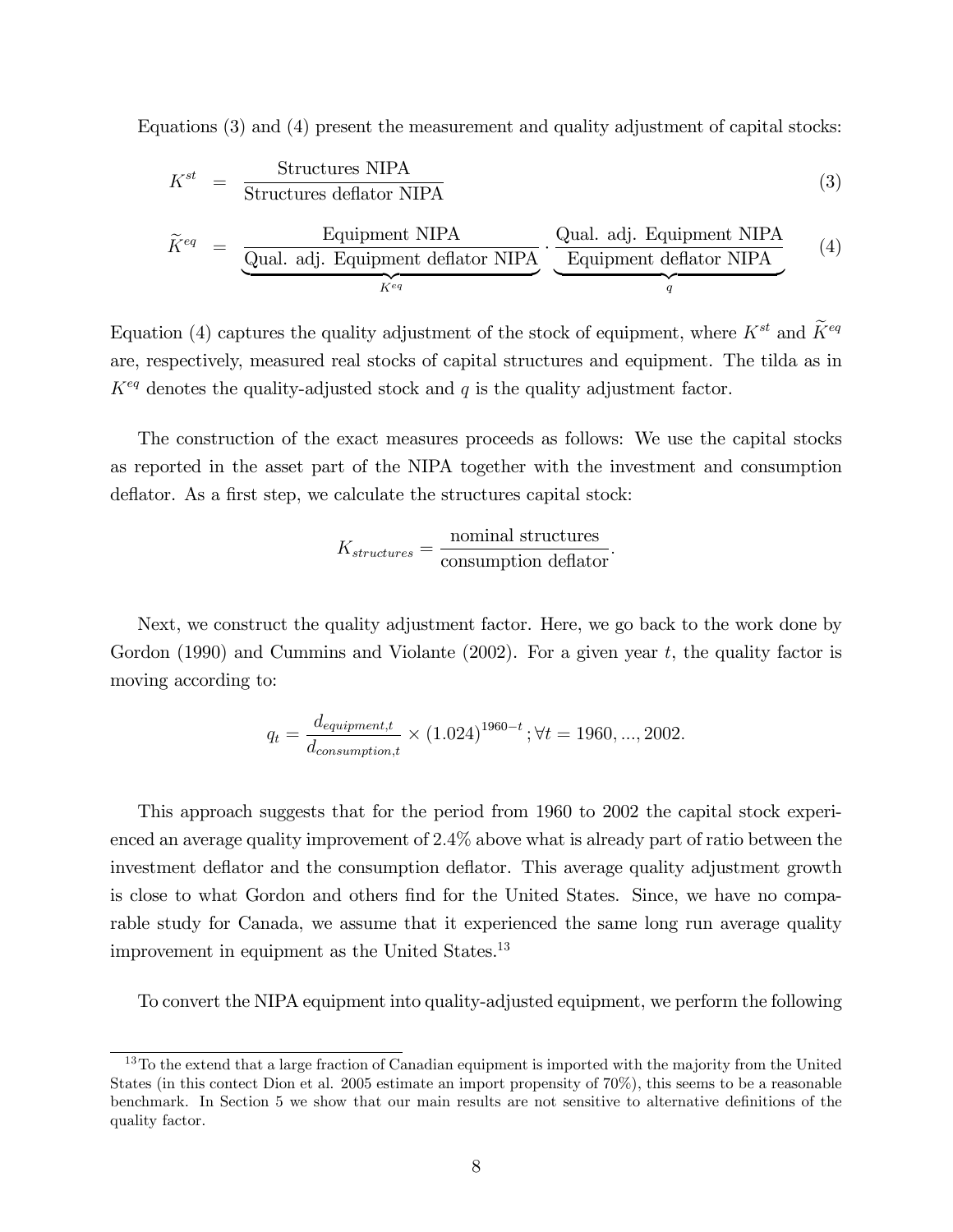Equations (3) and (4) present the measurement and quality adjustment of capital stocks:

$$
K^{st} = \frac{\text{Structures NIPA}}{\text{Structures deflator NIPA}} \tag{3}
$$

$$
\widetilde{K}^{eq} = \underbrace{\underbrace{\text{Equipment NIPA}}_{\text{Qual. adj. Equipment deflator NIPA}}}_{K^{eq}} \cdot \underbrace{\underbrace{\text{Qual. adj. Equipment NIPA}}_{\text{Equipment deflator NIPA}}}_{q} \quad (4)
$$

Equation (4) captures the quality adjustment of the stock of equipment, where  $K^{st}$  and  $\widetilde{K}^{eq}$ are, respectively, measured real stocks of capital structures and equipment. The tilda as in  $K^{eq}$  denotes the quality-adjusted stock and q is the quality adjustment factor.

The construction of the exact measures proceeds as follows: We use the capital stocks as reported in the asset part of the NIPA together with the investment and consumption deflator. As a first step, we calculate the structures capital stock:

$$
K_{structures} = \frac{\text{nominal structures}}{\text{consumption deflator}}.
$$

Next, we construct the quality adjustment factor. Here, we go back to the work done by Gordon (1990) and Cummins and Violante (2002). For a given year  $t$ , the quality factor is moving according to:

$$
q_t = \frac{d_{equipment,t}}{d_{consumption,t}} \times (1.024)^{1960-t}; \forall t = 1960, ..., 2002.
$$

This approach suggests that for the period from 1960 to 2002 the capital stock experienced an average quality improvement of 2:4% above what is already part of ratio between the investment deflator and the consumption deflator. This average quality adjustment growth is close to what Gordon and others find for the United States. Since, we have no comparable study for Canada, we assume that it experienced the same long run average quality improvement in equipment as the United States.<sup>13</sup>

To convert the NIPA equipment into quality-adjusted equipment, we perform the following

 $13\text{ To the extend that a large fraction of Canadian equipment is imported with the majority from the United$ States (in this contect Dion et al. 2005 estimate an import propensity of 70%), this seems to be a reasonable benchmark. In Section 5 we show that our main results are not sensitive to alternative definitions of the quality factor.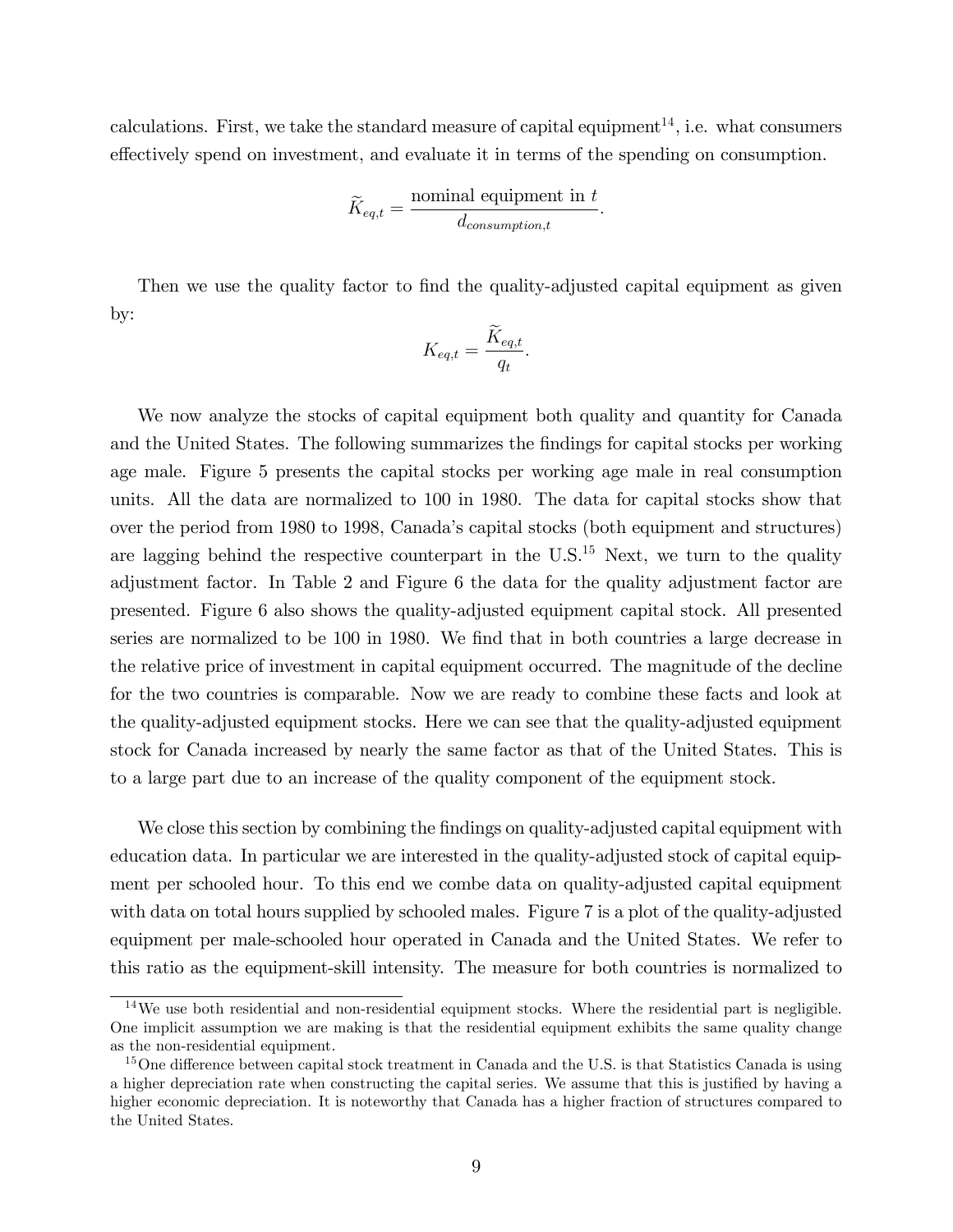calculations. First, we take the standard measure of capital equipment<sup>14</sup>, i.e. what consumers effectively spend on investment, and evaluate it in terms of the spending on consumption.

$$
\widetilde{K}_{eq,t} = \frac{\text{nominal equipment in } t}{d_{consumption,t}}.
$$

Then we use the quality factor to find the quality-adjusted capital equipment as given by:

$$
K_{eq,t} = \frac{\widetilde{K}_{eq,t}}{q_t}.
$$

We now analyze the stocks of capital equipment both quality and quantity for Canada and the United States. The following summarizes the findings for capital stocks per working age male. Figure 5 presents the capital stocks per working age male in real consumption units. All the data are normalized to 100 in 1980. The data for capital stocks show that over the period from 1980 to 1998, Canadaís capital stocks (both equipment and structures) are lagging behind the respective counterpart in the  $\mathrm{U.S.}^{15}$  Next, we turn to the quality adjustment factor. In Table 2 and Figure 6 the data for the quality adjustment factor are presented. Figure 6 also shows the quality-adjusted equipment capital stock. All presented series are normalized to be 100 in 1980. We find that in both countries a large decrease in the relative price of investment in capital equipment occurred. The magnitude of the decline for the two countries is comparable. Now we are ready to combine these facts and look at the quality-adjusted equipment stocks. Here we can see that the quality-adjusted equipment stock for Canada increased by nearly the same factor as that of the United States. This is to a large part due to an increase of the quality component of the equipment stock.

We close this section by combining the findings on quality-adjusted capital equipment with education data. In particular we are interested in the quality-adjusted stock of capital equipment per schooled hour. To this end we combe data on quality-adjusted capital equipment with data on total hours supplied by schooled males. Figure 7 is a plot of the quality-adjusted equipment per male-schooled hour operated in Canada and the United States. We refer to this ratio as the equipment-skill intensity. The measure for both countries is normalized to

<sup>&</sup>lt;sup>14</sup>We use both residential and non-residential equipment stocks. Where the residential part is negligible. One implicit assumption we are making is that the residential equipment exhibits the same quality change as the non-residential equipment.

<sup>&</sup>lt;sup>15</sup>One difference between capital stock treatment in Canada and the U.S. is that Statistics Canada is using a higher depreciation rate when constructing the capital series. We assume that this is justified by having a higher economic depreciation. It is noteworthy that Canada has a higher fraction of structures compared to the United States.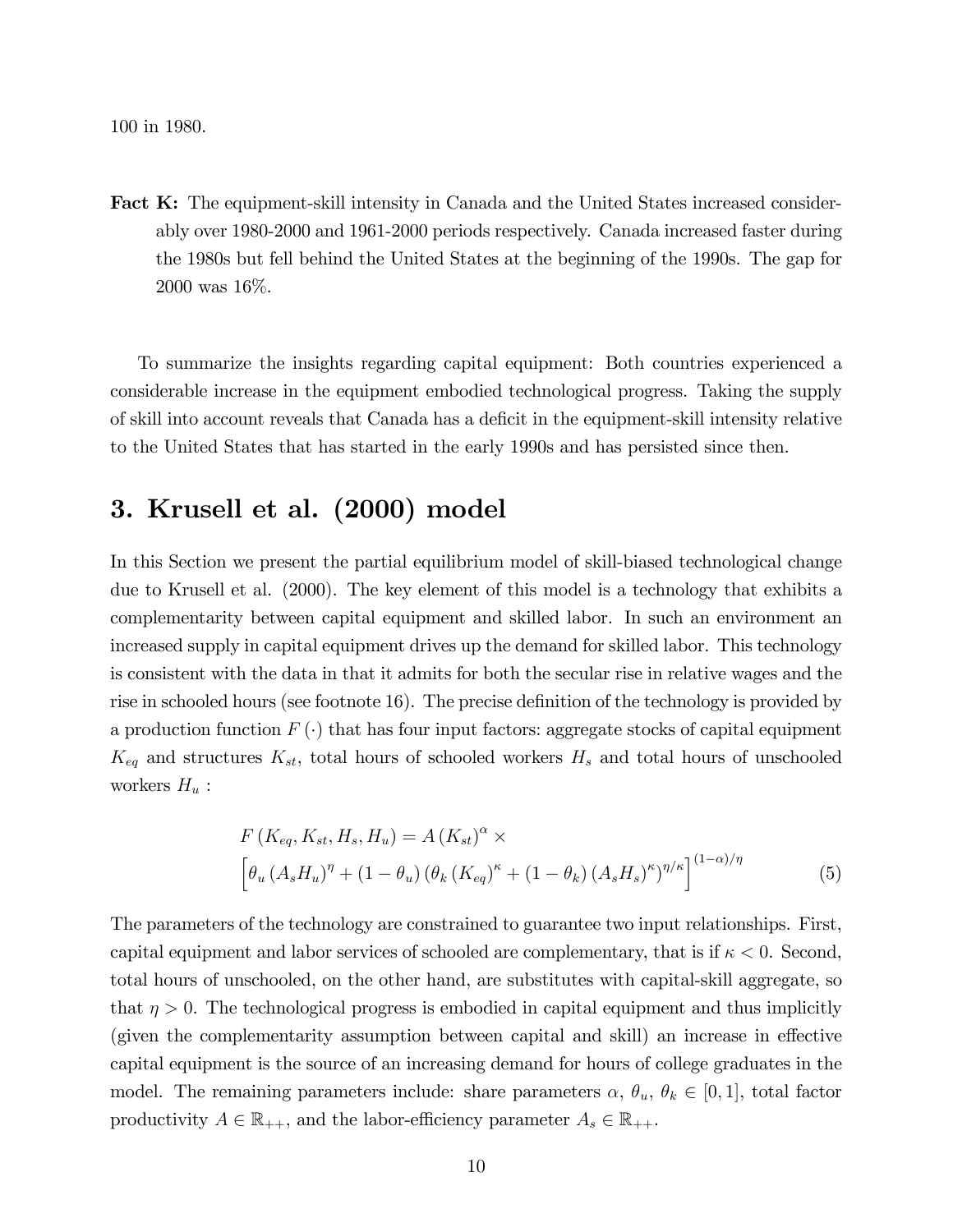100 in 1980.

Fact K: The equipment-skill intensity in Canada and the United States increased considerably over 1980-2000 and 1961-2000 periods respectively. Canada increased faster during the 1980s but fell behind the United States at the beginning of the 1990s. The gap for 2000 was 16%.

To summarize the insights regarding capital equipment: Both countries experienced a considerable increase in the equipment embodied technological progress. Taking the supply of skill into account reveals that Canada has a deÖcit in the equipment-skill intensity relative to the United States that has started in the early 1990s and has persisted since then.

## 3. Krusell et al. (2000) model

In this Section we present the partial equilibrium model of skill-biased technological change due to Krusell et al. (2000). The key element of this model is a technology that exhibits a complementarity between capital equipment and skilled labor. In such an environment an increased supply in capital equipment drives up the demand for skilled labor. This technology is consistent with the data in that it admits for both the secular rise in relative wages and the rise in schooled hours (see footnote  $16$ ). The precise definition of the technology is provided by a production function  $F(\cdot)$  that has four input factors: aggregate stocks of capital equipment  $K_{eq}$  and structures  $K_{st}$ , total hours of schooled workers  $H_s$  and total hours of unschooled workers  $H_u$ :

$$
F(K_{eq}, K_{st}, H_s, H_u) = A (K_{st})^{\alpha} \times \left[ \theta_u (A_s H_u)^{\eta} + (1 - \theta_u) (\theta_k (K_{eq})^{\kappa} + (1 - \theta_k) (A_s H_s)^{\kappa})^{\eta/\kappa} \right]^{(1 - \alpha)/\eta}
$$
(5)

The parameters of the technology are constrained to guarantee two input relationships. First, capital equipment and labor services of schooled are complementary, that is if  $\kappa < 0$ . Second, total hours of unschooled, on the other hand, are substitutes with capital-skill aggregate, so that  $\eta > 0$ . The technological progress is embodied in capital equipment and thus implicitly (given the complementarity assumption between capital and skill) an increase in effective capital equipment is the source of an increasing demand for hours of college graduates in the model. The remaining parameters include: share parameters  $\alpha$ ,  $\theta_u$ ,  $\theta_k \in [0,1]$ , total factor productivity  $A \in \mathbb{R}_{++}$ , and the labor-efficiency parameter  $A_s \in \mathbb{R}_{++}$ .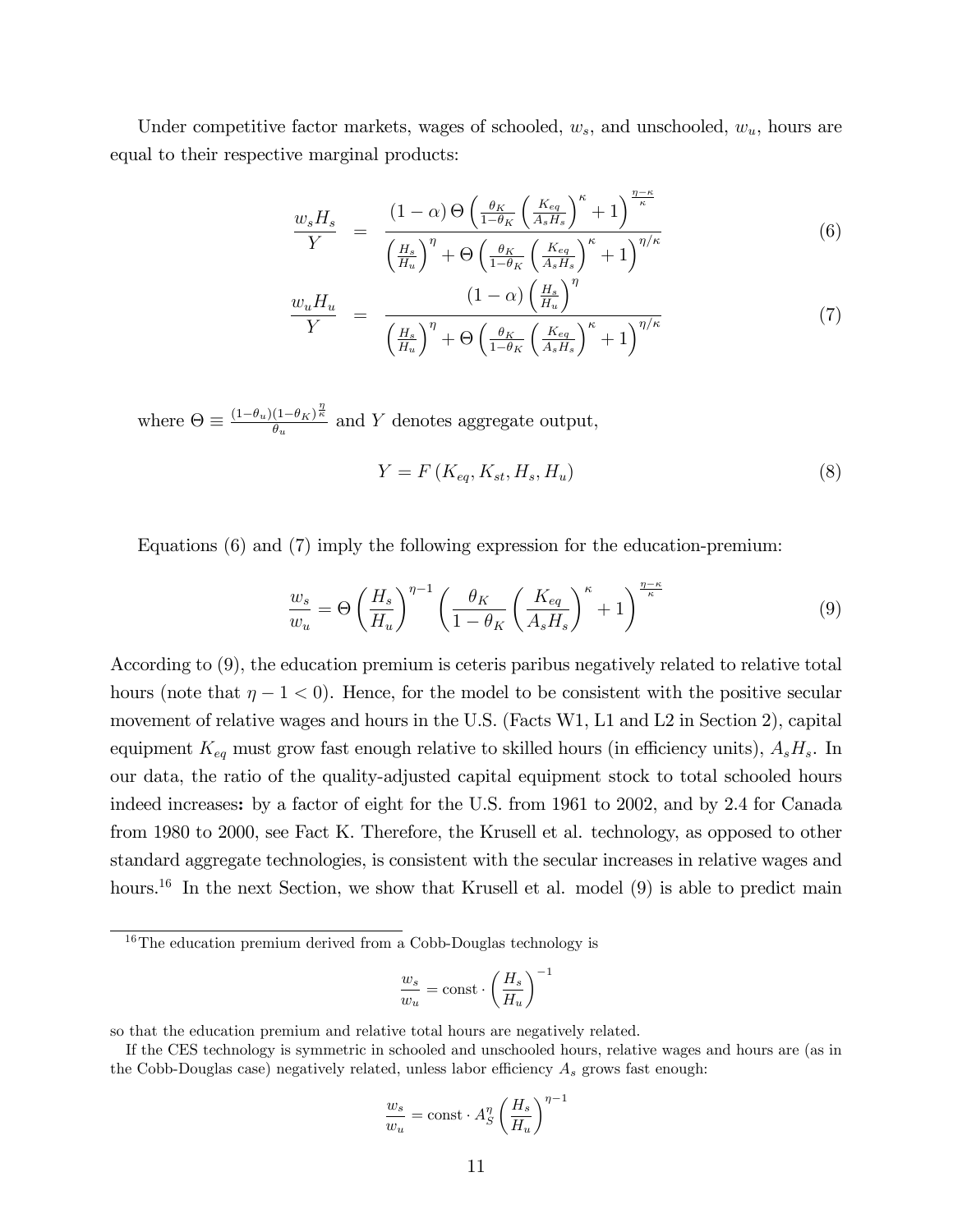Under competitive factor markets, wages of schooled,  $w_s$ , and unschooled,  $w_u$ , hours are equal to their respective marginal products:

$$
\frac{w_s H_s}{Y} = \frac{(1-\alpha)\Theta\left(\frac{\theta_K}{1-\theta_K}\left(\frac{K_{eq}}{A_s H_s}\right)^{\kappa} + 1\right)^{\frac{\eta-\kappa}{\kappa}}}{\left(\frac{H_s}{H_u}\right)^{\eta} + \Theta\left(\frac{\theta_K}{1-\theta_K}\left(\frac{K_{eq}}{A_s H_s}\right)^{\kappa} + 1\right)^{\eta/\kappa}}
$$
(6)

$$
\frac{w_u H_u}{Y} = \frac{\left(1 - \alpha\right) \left(\frac{H_s}{H_u}\right)^{\eta}}{\left(\frac{H_s}{H_u}\right)^{\eta} + \Theta \left(\frac{\theta_K}{1 - \theta_K} \left(\frac{K_{eg}}{A_s H_s}\right)^{\kappa} + 1\right)^{\eta/\kappa}}
$$
\n(7)

where  $\Theta \equiv \frac{(1-\theta_u)(1-\theta_K)^{\frac{\eta}{\kappa}}}{\theta_u}$  $\frac{(1-\theta_K)^k}{\theta_u}$  and Y denotes aggregate output,

$$
Y = F\left(K_{eq}, K_{st}, H_s, H_u\right) \tag{8}
$$

Equations (6) and (7) imply the following expression for the education-premium:

$$
\frac{w_s}{w_u} = \Theta \left(\frac{H_s}{H_u}\right)^{\eta - 1} \left(\frac{\theta_K}{1 - \theta_K} \left(\frac{K_{eq}}{A_s H_s}\right)^{\kappa} + 1\right)^{\frac{\eta - \kappa}{\kappa}}\tag{9}
$$

According to (9), the education premium is ceteris paribus negatively related to relative total hours (note that  $\eta - 1 < 0$ ). Hence, for the model to be consistent with the positive secular movement of relative wages and hours in the U.S. (Facts W1, L1 and L2 in Section 2), capital equipment  $K_{eq}$  must grow fast enough relative to skilled hours (in efficiency units),  $A_sH_s$ . In our data, the ratio of the quality-adjusted capital equipment stock to total schooled hours indeed increases: by a factor of eight for the U.S. from 1961 to 2002, and by 2.4 for Canada from 1980 to 2000, see Fact K. Therefore, the Krusell et al. technology, as opposed to other standard aggregate technologies, is consistent with the secular increases in relative wages and hours.<sup>16</sup> In the next Section, we show that Krusell et al. model  $(9)$  is able to predict main

$$
\frac{w_s}{w_u} = \text{const} \cdot \left(\frac{H_s}{H_u}\right)^{-1}
$$

so that the education premium and relative total hours are negatively related.

$$
\frac{w_s}{w_u} = \text{const} \cdot A_S^{\eta} \left(\frac{H_s}{H_u}\right)^{\eta - 1}
$$

 $16$ The education premium derived from a Cobb-Douglas technology is

If the CES technology is symmetric in schooled and unschooled hours, relative wages and hours are (as in the Cobb-Douglas case) negatively related, unless labor efficiency  $A_s$  grows fast enough: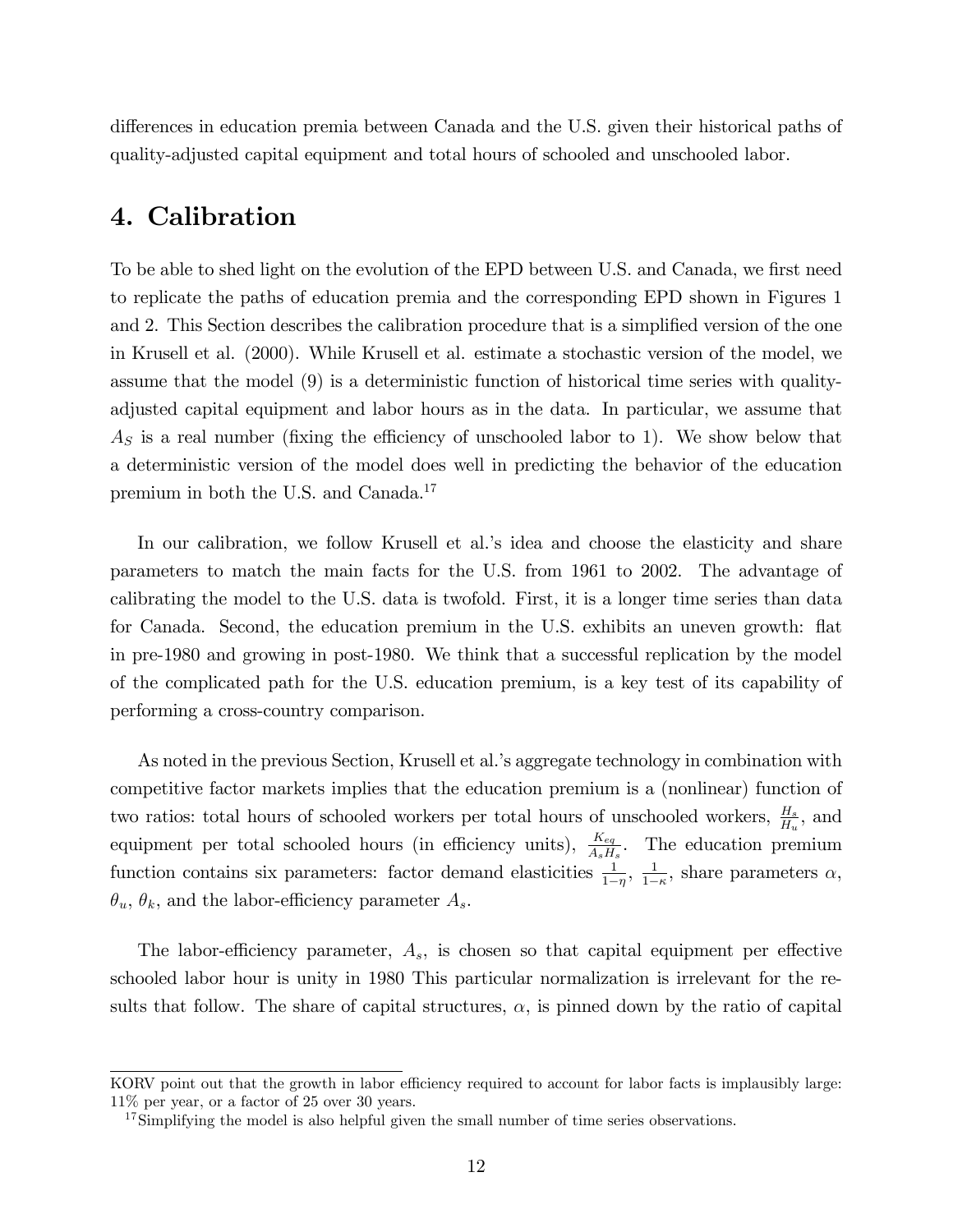differences in education premia between Canada and the U.S. given their historical paths of quality-adjusted capital equipment and total hours of schooled and unschooled labor.

## 4. Calibration

To be able to shed light on the evolution of the EPD between U.S. and Canada, we first need to replicate the paths of education premia and the corresponding EPD shown in Figures 1 and 2. This Section describes the calibration procedure that is a simplified version of the one in Krusell et al. (2000). While Krusell et al. estimate a stochastic version of the model, we assume that the model (9) is a deterministic function of historical time series with qualityadjusted capital equipment and labor hours as in the data. In particular, we assume that  $A<sub>S</sub>$  is a real number (fixing the efficiency of unschooled labor to 1). We show below that a deterministic version of the model does well in predicting the behavior of the education premium in both the U.S. and Canada.<sup>17</sup>

In our calibration, we follow Krusell et al.'s idea and choose the elasticity and share parameters to match the main facts for the U.S. from 1961 to 2002. The advantage of calibrating the model to the U.S. data is twofold. First, it is a longer time series than data for Canada. Second, the education premium in the U.S. exhibits an uneven growth: flat in pre-1980 and growing in post-1980. We think that a successful replication by the model of the complicated path for the U.S. education premium, is a key test of its capability of performing a cross-country comparison.

As noted in the previous Section, Krusell et al.'s aggregate technology in combination with competitive factor markets implies that the education premium is a (nonlinear) function of two ratios: total hours of schooled workers per total hours of unschooled workers,  $\frac{H_s}{H_u}$ , and equipment per total schooled hours (in efficiency units),  $\frac{K_{eq}}{A_s H_s}$ . The education premium function contains six parameters: factor demand elasticities  $\frac{1}{1-\eta}$ ,  $\frac{1}{1-\eta}$  $\frac{1}{1-\kappa}$ , share parameters  $\alpha$ ,  $\theta_u$ ,  $\theta_k$ , and the labor-efficiency parameter  $A_s$ .

The labor-efficiency parameter,  $A_s$ , is chosen so that capital equipment per effective schooled labor hour is unity in 1980 This particular normalization is irrelevant for the results that follow. The share of capital structures,  $\alpha$ , is pinned down by the ratio of capital

KORV point out that the growth in labor efficiency required to account for labor facts is implausibly large: 11% per year, or a factor of 25 over 30 years.

<sup>&</sup>lt;sup>17</sup>Simplifying the model is also helpful given the small number of time series observations.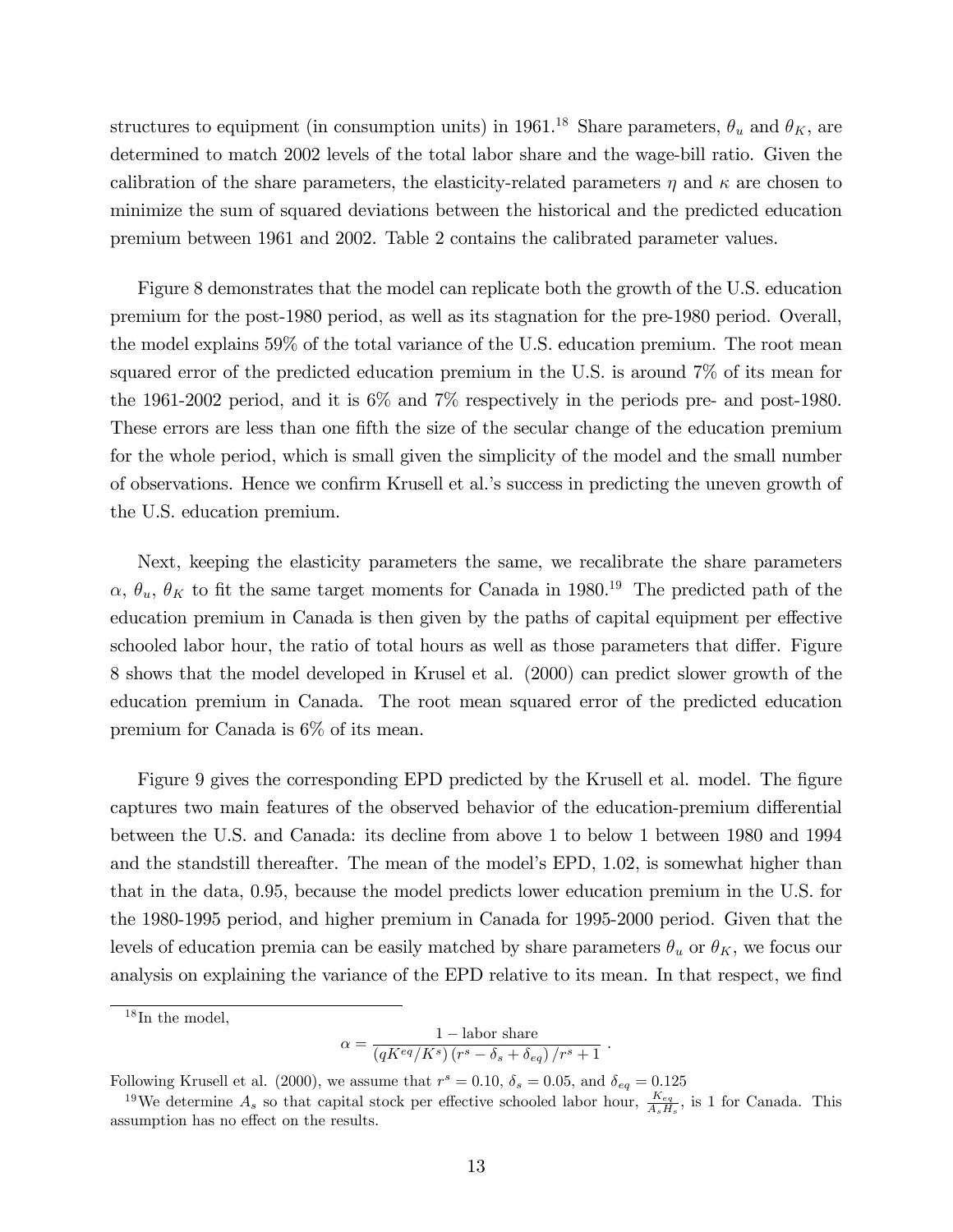structures to equipment (in consumption units) in 1961.<sup>18</sup> Share parameters,  $\theta_u$  and  $\theta_K$ , are determined to match 2002 levels of the total labor share and the wage-bill ratio. Given the calibration of the share parameters, the elasticity-related parameters  $\eta$  and  $\kappa$  are chosen to minimize the sum of squared deviations between the historical and the predicted education premium between 1961 and 2002. Table 2 contains the calibrated parameter values.

Figure 8 demonstrates that the model can replicate both the growth of the U.S. education premium for the post-1980 period, as well as its stagnation for the pre-1980 period. Overall, the model explains 59% of the total variance of the U.S. education premium. The root mean squared error of the predicted education premium in the U.S. is around 7% of its mean for the 1961-2002 period, and it is 6% and 7% respectively in the periods pre- and post-1980. These errors are less than one fifth the size of the secular change of the education premium for the whole period, which is small given the simplicity of the model and the small number of observations. Hence we confirm Krusell et al.'s success in predicting the uneven growth of the U.S. education premium.

Next, keeping the elasticity parameters the same, we recalibrate the share parameters  $\alpha$ ,  $\theta_u$ ,  $\theta_K$  to fit the same target moments for Canada in 1980.<sup>19</sup> The predicted path of the education premium in Canada is then given by the paths of capital equipment per effective schooled labor hour, the ratio of total hours as well as those parameters that differ. Figure 8 shows that the model developed in Krusel et al. (2000) can predict slower growth of the education premium in Canada. The root mean squared error of the predicted education premium for Canada is 6% of its mean.

Figure 9 gives the corresponding EPD predicted by the Krusell et al. model. The figure captures two main features of the observed behavior of the education-premium differential between the U.S. and Canada: its decline from above 1 to below 1 between 1980 and 1994 and the standstill thereafter. The mean of the model's EPD, 1.02, is somewhat higher than that in the data, 0.95, because the model predicts lower education premium in the U.S. for the 1980-1995 period, and higher premium in Canada for 1995-2000 period. Given that the levels of education premia can be easily matched by share parameters  $\theta_u$  or  $\theta_K$ , we focus our analysis on explaining the variance of the EPD relative to its mean. In that respect, we find

$$
\alpha = \frac{1 - \text{labor share}}{(qK^{eq}/K^s) (r^s - \delta_s + \delta_{eq})/r^s + 1}.
$$

Following Krusell et al. (2000), we assume that  $r^s = 0.10$ ,  $\delta_s = 0.05$ , and  $\delta_{eq} = 0.125$ 

 $18$  In the model,

<sup>&</sup>lt;sup>19</sup>We determine  $A_s$  so that capital stock per effective schooled labor hour,  $\frac{K_{eq}}{A_s H_s}$ , is 1 for Canada. This assumption has no effect on the results.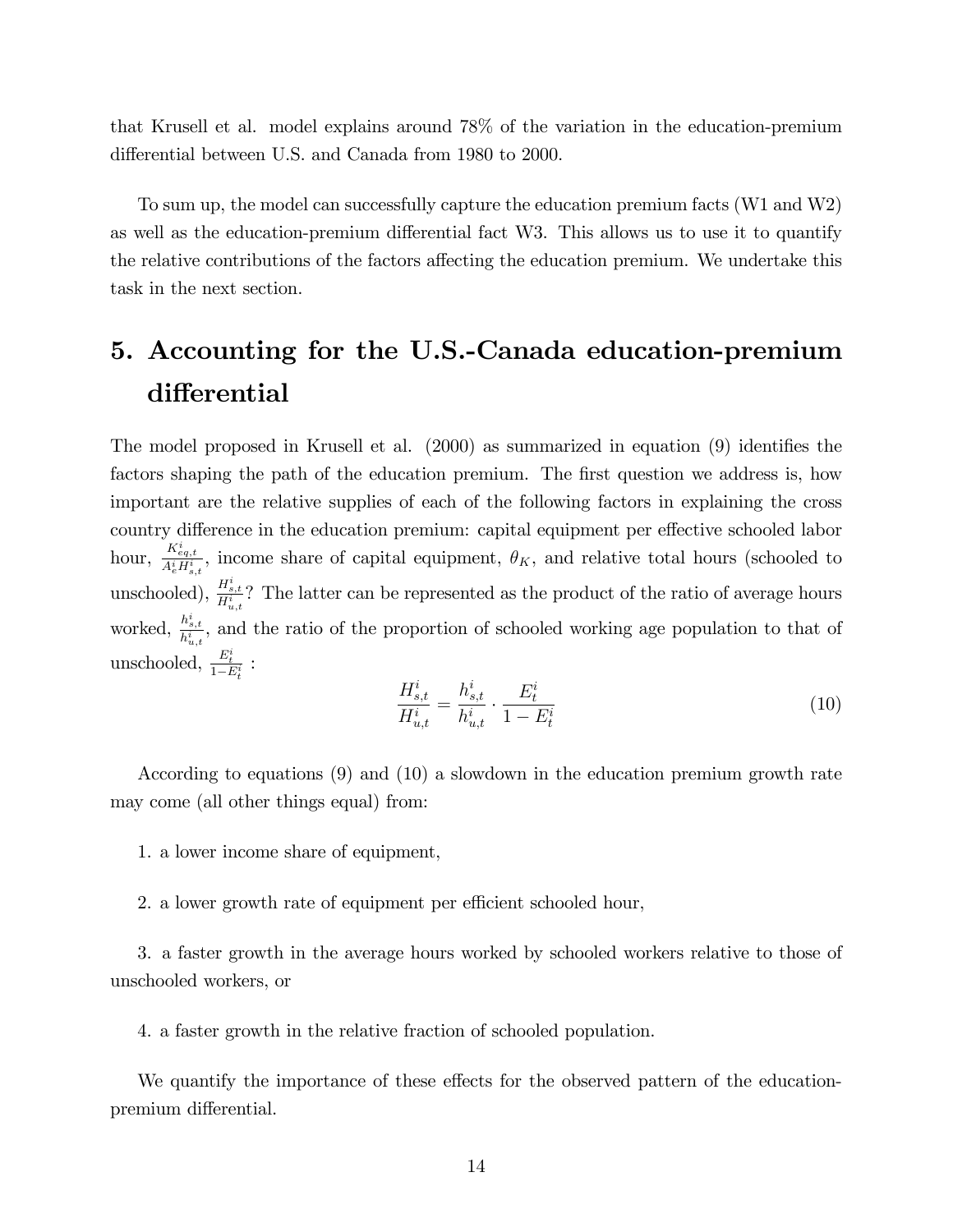that Krusell et al. model explains around 78% of the variation in the education-premium differential between U.S. and Canada from 1980 to 2000.

To sum up, the model can successfully capture the education premium facts (W1 and W2) as well as the education-premium differential fact W3. This allows us to use it to quantify the relative contributions of the factors affecting the education premium. We undertake this task in the next section.

## 5. Accounting for the U.S.-Canada education-premium differential

The model proposed in Krusell et al.  $(2000)$  as summarized in equation  $(9)$  identifies the factors shaping the path of the education premium. The first question we address is, how important are the relative supplies of each of the following factors in explaining the cross country difference in the education premium: capital equipment per effective schooled labor hour,  $\frac{K_{eq,t}^{i}}{A_{e}^{i}H_{s,t}^{i}}$ , income share of capital equipment,  $\theta_K$ , and relative total hours (schooled to unschooled),  $\frac{H_{s,t}^i}{H_{u,t}^i}$ ? The latter can be represented as the product of the ratio of average hours worked,  $\frac{h_{s,t}^{i}}{h_{u,t}^{i}}$ , and the ratio of the proportion of schooled working age population to that of unschooled,  $\frac{E_t^i}{1-E_t^i}$ :

$$
\frac{H_{s,t}^i}{H_{u,t}^i} = \frac{h_{s,t}^i}{h_{u,t}^i} \cdot \frac{E_t^i}{1 - E_t^i}
$$
\n(10)

According to equations (9) and (10) a slowdown in the education premium growth rate may come (all other things equal) from:

- 1. a lower income share of equipment,
- 2. a lower growth rate of equipment per efficient schooled hour,

3. a faster growth in the average hours worked by schooled workers relative to those of unschooled workers, or

4. a faster growth in the relative fraction of schooled population.

We quantify the importance of these effects for the observed pattern of the educationpremium differential.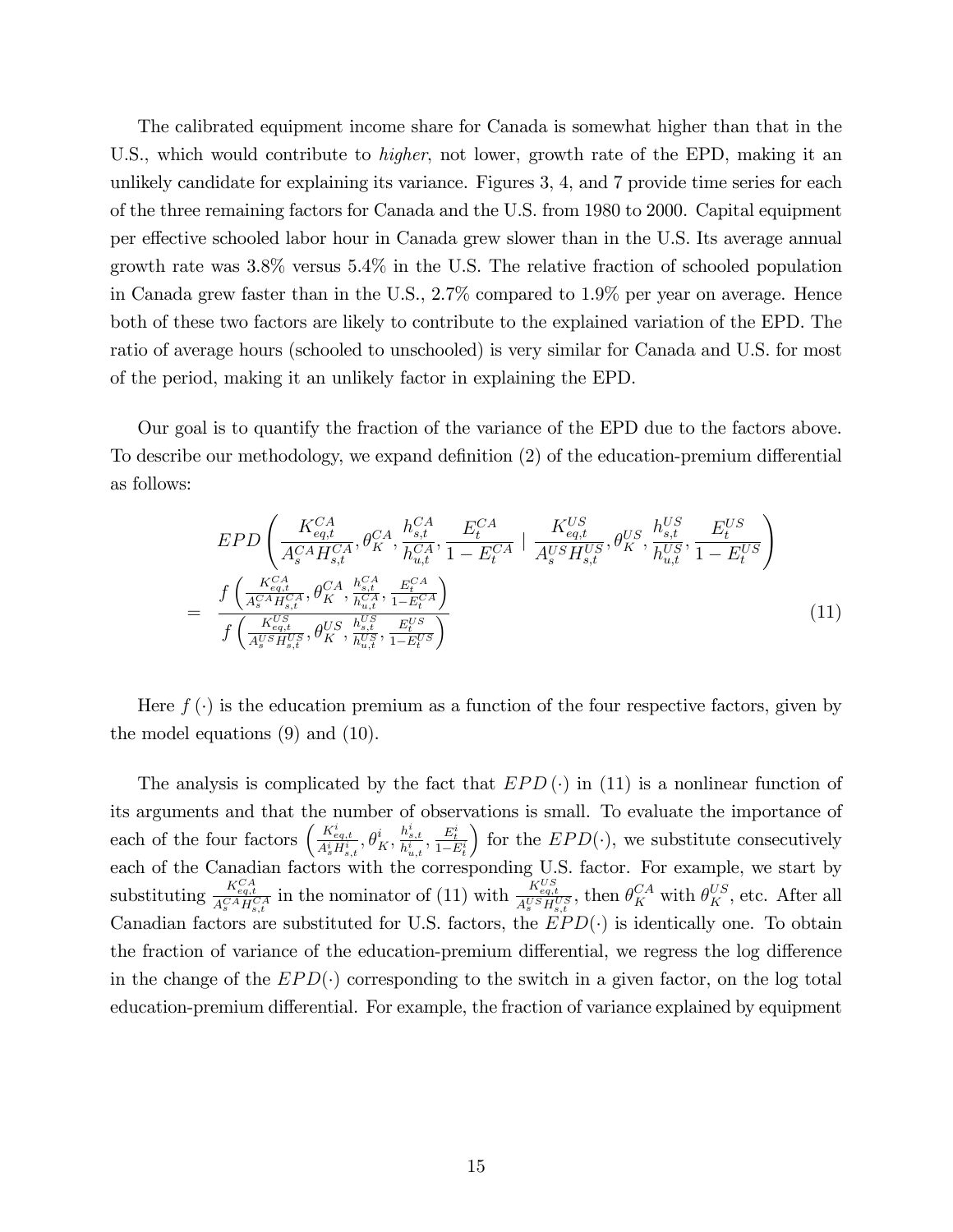The calibrated equipment income share for Canada is somewhat higher than that in the U.S., which would contribute to *higher*, not lower, growth rate of the EPD, making it an unlikely candidate for explaining its variance. Figures 3, 4, and 7 provide time series for each of the three remaining factors for Canada and the U.S. from 1980 to 2000. Capital equipment per effective schooled labor hour in Canada grew slower than in the U.S. Its average annual growth rate was 3.8% versus 5.4% in the U.S. The relative fraction of schooled population in Canada grew faster than in the U.S., 2.7% compared to 1.9% per year on average. Hence both of these two factors are likely to contribute to the explained variation of the EPD. The ratio of average hours (schooled to unschooled) is very similar for Canada and U.S. for most of the period, making it an unlikely factor in explaining the EPD.

Our goal is to quantify the fraction of the variance of the EPD due to the factors above. To describe our methodology, we expand definition (2) of the education-premium differential as follows:

$$
EPD\left(\frac{K_{eq,t}^{CA}}{A_{s}^{CA}H_{s,t}^{CA}}, \theta_{K}^{CA}, \frac{h_{s,t}^{CA}}{h_{u,t}^{CA}}, \frac{E_{t}^{CA}}{1 - E_{t}^{CA}} \mid \frac{K_{eq,t}^{US}}{A_{s}^{US}H_{s,t}^{US}}, \theta_{K}^{US}, \frac{h_{s,t}^{US}}{h_{u,t}^{US}}, \frac{E_{t}^{US}}{1 - E_{t}^{US}}\right)
$$
\n
$$
= \frac{f\left(\frac{K_{eq,t}^{CA}}{A_{s}^{CA}H_{s,t}^{CA}}, \theta_{K}^{CA}, \frac{h_{s,t}^{CA}}{h_{u,t}^{CA}}, \frac{E_{t}^{CA}}{1 - E_{t}^{CA}}\right)}{f\left(\frac{K_{eq,t}^{US}}{A_{s}^{US}H_{s,t}^{US}}, \theta_{K}^{US}, \frac{h_{s,t}^{US}}{h_{u,t}^{US}}, \frac{E_{t}^{US}}{1 - E_{t}^{US}}\right)}
$$
\n(11)

Here  $f(\cdot)$  is the education premium as a function of the four respective factors, given by the model equations (9) and (10).

The analysis is complicated by the fact that  $EPD(\cdot)$  in (11) is a nonlinear function of its arguments and that the number of observations is small. To evaluate the importance of each of the four factors  $\left(\frac{K_{eq,t}^i}{A_s^iH_{s,t}^i},\theta_K^i,\frac{h_{s,t}^i}{h_{u,t}^i},\frac{E_t^i}{1-E_t^i}\right)$ for the  $EPD(\cdot)$ , we substitute consecutively each of the Canadian factors with the corresponding U.S. factor. For example, we start by substituting  $\frac{K_{eq,t}^{CA}}{A_s^{CA}H_{s,t}^{CA}}$  in the nominator of (11) with  $\frac{K_{eq,t}^{US}}{A_s^{US}H_{s,t}^{US}}$ , then  $\theta_K^{CA}$  with  $\theta_K^{US}$ , etc. After all Canadian factors are substituted for U.S. factors, the  $EPD(\cdot)$  is identically one. To obtain the fraction of variance of the education-premium differential, we regress the log difference in the change of the  $EPD(\cdot)$  corresponding to the switch in a given factor, on the log total education-premium differential. For example, the fraction of variance explained by equipment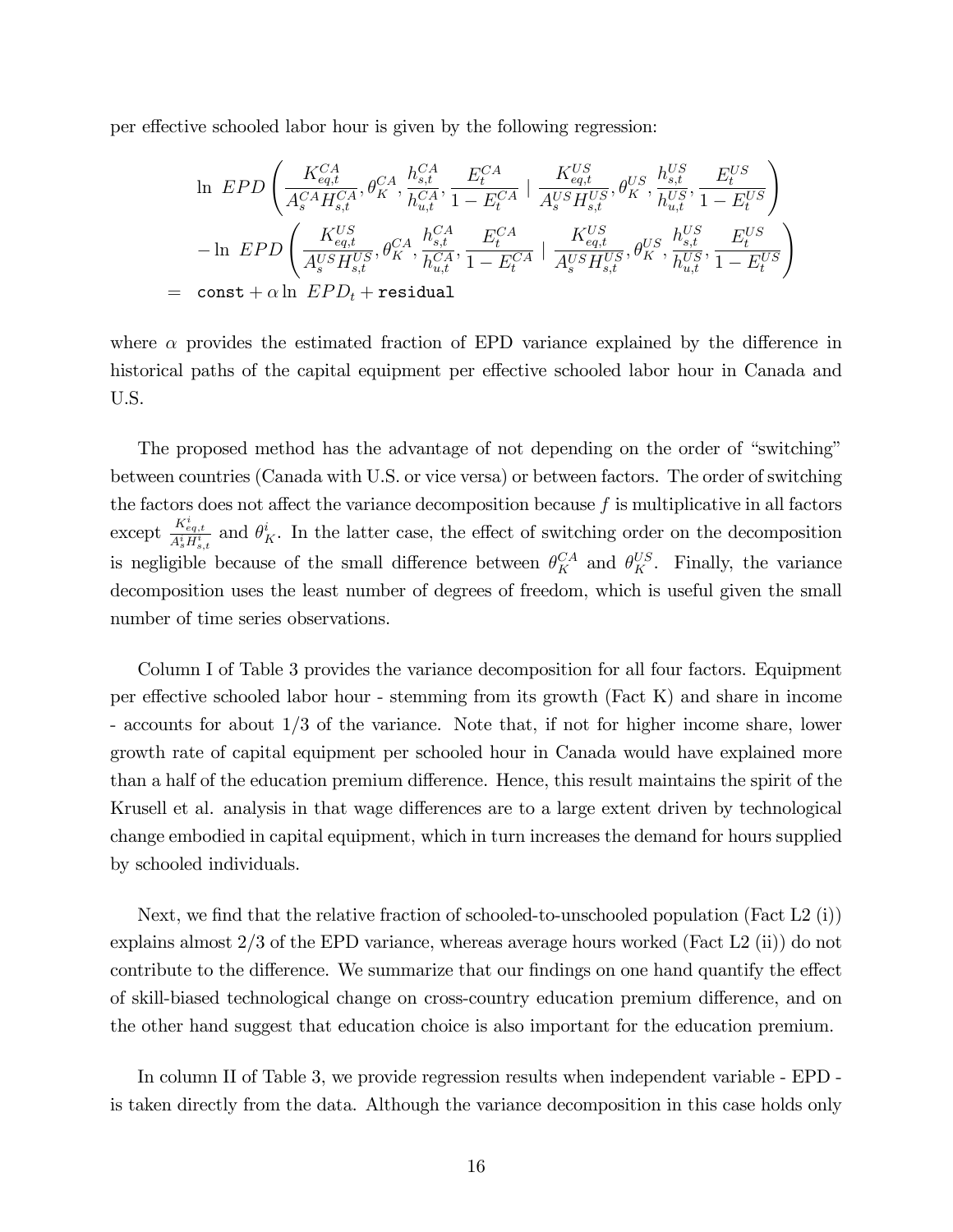per effective schooled labor hour is given by the following regression:

$$
\begin{aligned} &\ln\ EPD\left(\frac{K_{eq,t}^{CA}}{A_{s}^{CA}H_{s,t}^{CA}}, \theta_{K}^{CA}, \frac{h_{s,t}^{CA}}{h_{u,t}^{CA}}, \frac{E_{t}^{CA}}{1-E_{t}^{CA}}\mid \frac{K_{eq,t}^{US}}{A_{s}^{US}H_{s,t}^{US}}, \theta_{K}^{US}, \frac{h_{s,t}^{US}}{h_{u,t}^{US}}, \frac{E_{t}^{US}}{1-E_{t}^{US}}\right) \\ &-\ln\ EPD\left(\frac{K_{eq,t}^{US}}{A_{s}^{US}H_{s,t}^{US}}, \theta_{K}^{CA}, \frac{h_{s,t}^{CA}}{h_{u,t}^{CA}}, \frac{E_{t}^{CA}}{1-E_{t}^{CA}}\mid \frac{K_{eq,t}^{US}}{A_{s}^{US}H_{s,t}^{US}}, \theta_{K}^{US}, \frac{h_{s,t}^{US}}{h_{u,t}^{US}}, \frac{E_{t}^{US}}{1-E_{t}^{US}}\right) \\ & =\ \texttt{const} + \alpha \ln\ EPD_{t} + \texttt{residual} \end{aligned}
$$

where  $\alpha$  provides the estimated fraction of EPD variance explained by the difference in historical paths of the capital equipment per effective schooled labor hour in Canada and U.S.

The proposed method has the advantage of not depending on the order of "switching" between countries (Canada with U.S. or vice versa) or between factors. The order of switching the factors does not affect the variance decomposition because  $f$  is multiplicative in all factors except  $\frac{K_{eq,t}^i}{A_s^i H_{s,t}^i}$  and  $\theta_K^i$ . In the latter case, the effect of switching order on the decomposition is negligible because of the small difference between  $\theta_K^{CA}$  and  $\theta_K^{US}$ . Finally, the variance decomposition uses the least number of degrees of freedom, which is useful given the small number of time series observations.

Column I of Table 3 provides the variance decomposition for all four factors. Equipment per effective schooled labor hour - stemming from its growth (Fact  $K$ ) and share in income - accounts for about 1/3 of the variance. Note that, if not for higher income share, lower growth rate of capital equipment per schooled hour in Canada would have explained more than a half of the education premium difference. Hence, this result maintains the spirit of the Krusell et al. analysis in that wage differences are to a large extent driven by technological change embodied in capital equipment, which in turn increases the demand for hours supplied by schooled individuals.

Next, we find that the relative fraction of schooled-to-unschooled population (Fact L2  $(i)$ ) explains almost 2/3 of the EPD variance, whereas average hours worked (Fact L2 (ii)) do not contribute to the difference. We summarize that our findings on one hand quantify the effect of skill-biased technological change on cross-country education premium difference, and on the other hand suggest that education choice is also important for the education premium.

In column II of Table 3, we provide regression results when independent variable - EPD is taken directly from the data. Although the variance decomposition in this case holds only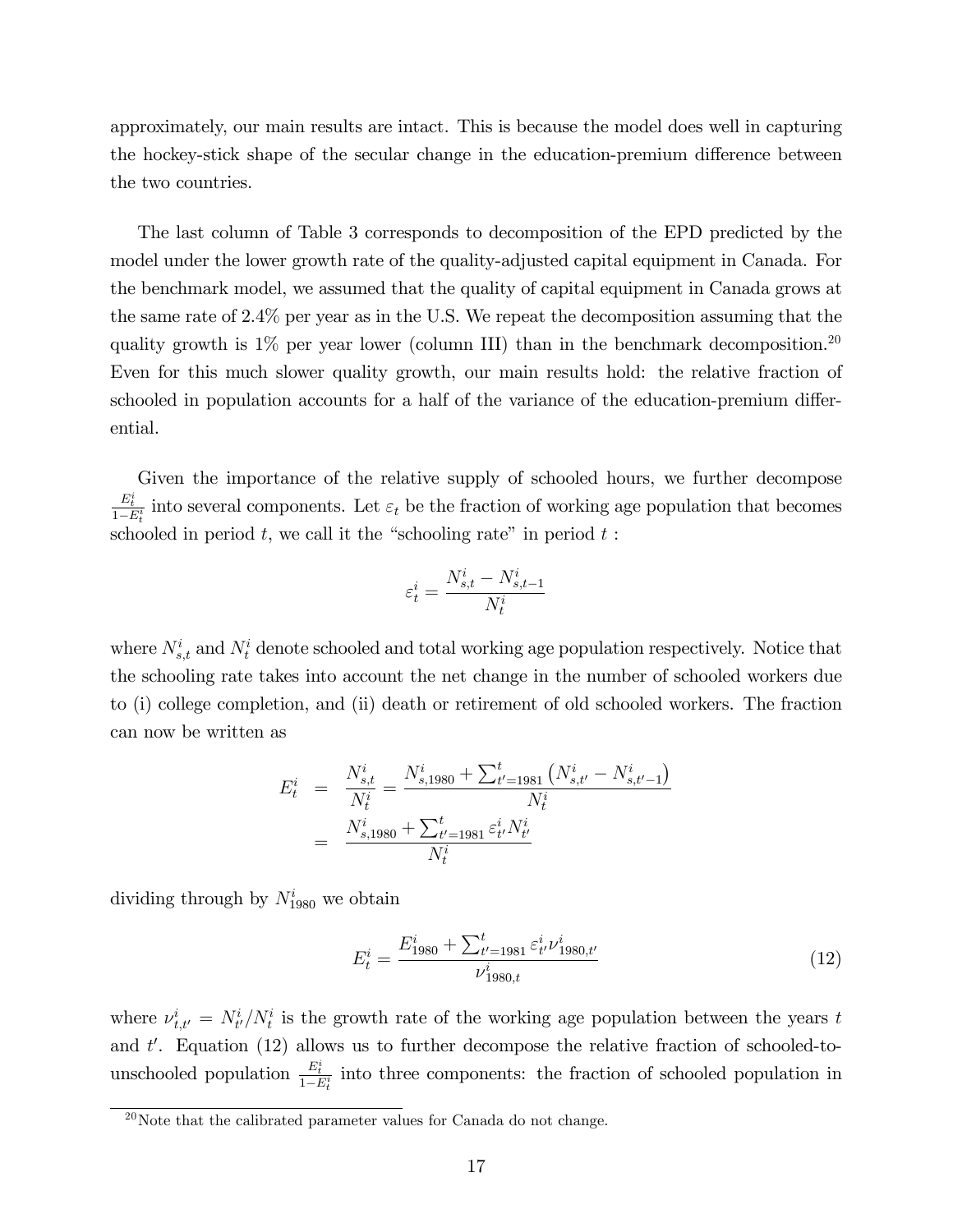approximately, our main results are intact. This is because the model does well in capturing the hockey-stick shape of the secular change in the education-premium difference between the two countries.

The last column of Table 3 corresponds to decomposition of the EPD predicted by the model under the lower growth rate of the quality-adjusted capital equipment in Canada. For the benchmark model, we assumed that the quality of capital equipment in Canada grows at the same rate of 2.4% per year as in the U.S. We repeat the decomposition assuming that the quality growth is  $1\%$  per year lower (column III) than in the benchmark decomposition.<sup>20</sup> Even for this much slower quality growth, our main results hold: the relative fraction of schooled in population accounts for a half of the variance of the education-premium differential.

Given the importance of the relative supply of schooled hours, we further decompose  $\frac{E_t^i}{1-E_t^i}$  into several components. Let  $\varepsilon_t$  be the fraction of working age population that becomes schooled in period  $t$ , we call it the "schooling rate" in period  $t$ :

$$
\varepsilon_t^i = \frac{N_{s,t}^i - N_{s,t-1}^i}{N_t^i}
$$

where  $N_{s,t}^i$  and  $N_t^i$  denote schooled and total working age population respectively. Notice that the schooling rate takes into account the net change in the number of schooled workers due to (i) college completion, and (ii) death or retirement of old schooled workers. The fraction can now be written as

$$
E_t^i = \frac{N_{s,t}^i}{N_t^i} = \frac{N_{s,1980}^i + \sum_{t'=1981}^t (N_{s,t'}^i - N_{s,t'-1}^i)}{N_t^i}
$$
  
= 
$$
\frac{N_{s,1980}^i + \sum_{t'=1981}^t \varepsilon_{t'}^i N_{t'}^i}{N_t^i}
$$

dividing through by  $N_{1980}^i$  we obtain

$$
E_t^i = \frac{E_{1980}^i + \sum_{t'=1981}^t \varepsilon_{t'}^i \nu_{1980,t'}^i}{\nu_{1980,t}^i}
$$
(12)

where  $\nu_{t,t'}^i = N_{t'}^i/N_t^i$  is the growth rate of the working age population between the years t and  $t'$ . Equation (12) allows us to further decompose the relative fraction of schooled-tounschooled population  $\frac{E_t^i}{1-E_t^i}$  into three components: the fraction of schooled population in

 $\frac{20}{20}$ Note that the calibrated parameter values for Canada do not change.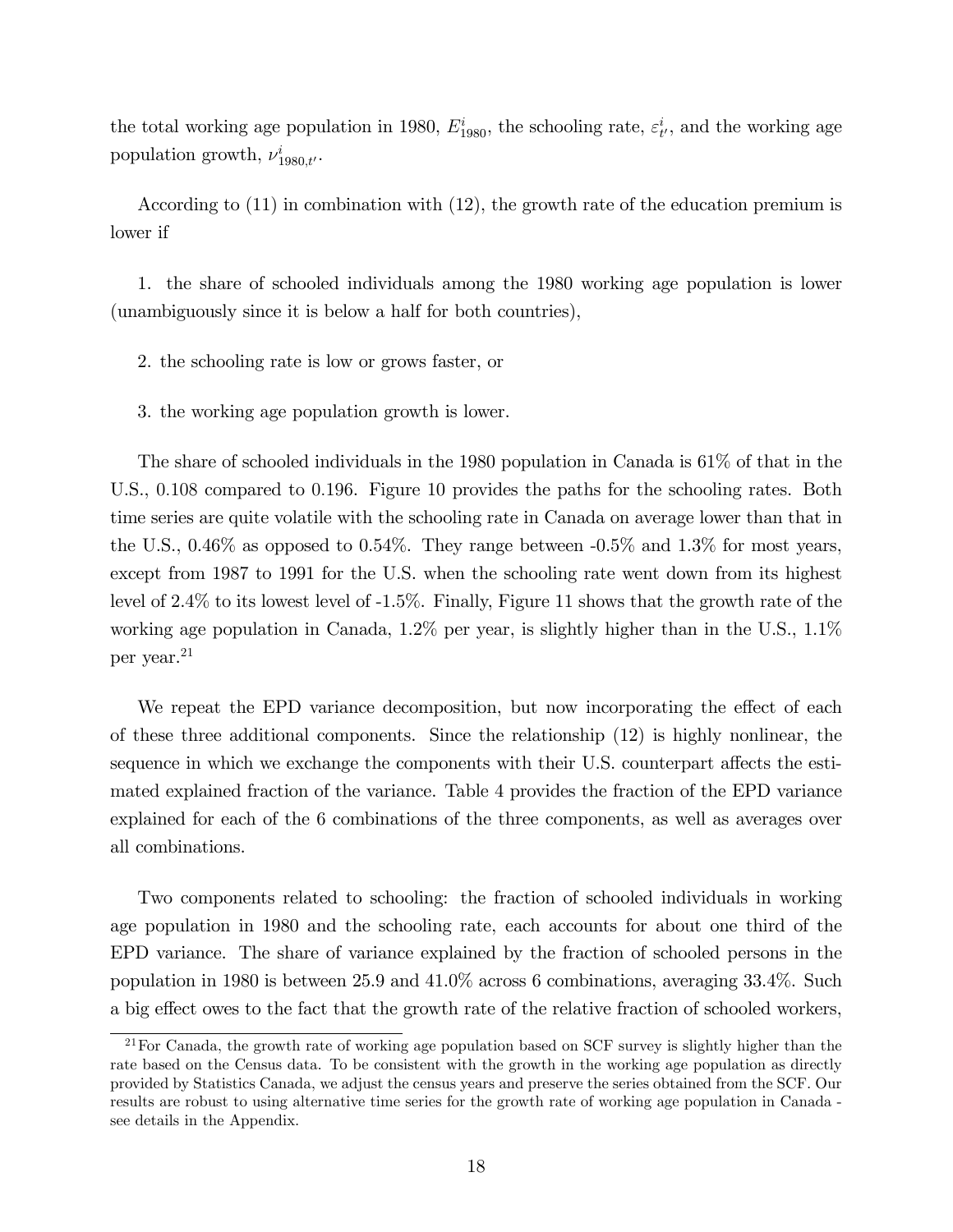the total working age population in 1980,  $E_{1980}^i$ , the schooling rate,  $\varepsilon_{t'}^i$ , and the working age population growth,  $\nu_{1980,t}^i$ .

According to (11) in combination with (12), the growth rate of the education premium is lower if

1. the share of schooled individuals among the 1980 working age population is lower (unambiguously since it is below a half for both countries),

2. the schooling rate is low or grows faster, or

3. the working age population growth is lower.

The share of schooled individuals in the 1980 population in Canada is 61% of that in the U.S., 0.108 compared to 0.196. Figure 10 provides the paths for the schooling rates. Both time series are quite volatile with the schooling rate in Canada on average lower than that in the U.S., 0.46% as opposed to 0.54%. They range between  $-0.5\%$  and 1.3% for most years, except from 1987 to 1991 for the U.S. when the schooling rate went down from its highest level of 2.4% to its lowest level of -1.5%. Finally, Figure 11 shows that the growth rate of the working age population in Canada, 1.2% per year, is slightly higher than in the U.S., 1.1% per year.<sup>21</sup>

We repeat the EPD variance decomposition, but now incorporating the effect of each of these three additional components. Since the relationship (12) is highly nonlinear, the sequence in which we exchange the components with their U.S. counterpart affects the estimated explained fraction of the variance. Table 4 provides the fraction of the EPD variance explained for each of the 6 combinations of the three components, as well as averages over all combinations.

Two components related to schooling: the fraction of schooled individuals in working age population in 1980 and the schooling rate, each accounts for about one third of the EPD variance. The share of variance explained by the fraction of schooled persons in the population in 1980 is between 25.9 and 41.0% across 6 combinations, averaging 33.4%. Such a big effect owes to the fact that the growth rate of the relative fraction of schooled workers,

<sup>21</sup>For Canada, the growth rate of working age population based on SCF survey is slightly higher than the rate based on the Census data. To be consistent with the growth in the working age population as directly provided by Statistics Canada, we adjust the census years and preserve the series obtained from the SCF. Our results are robust to using alternative time series for the growth rate of working age population in Canada see details in the Appendix.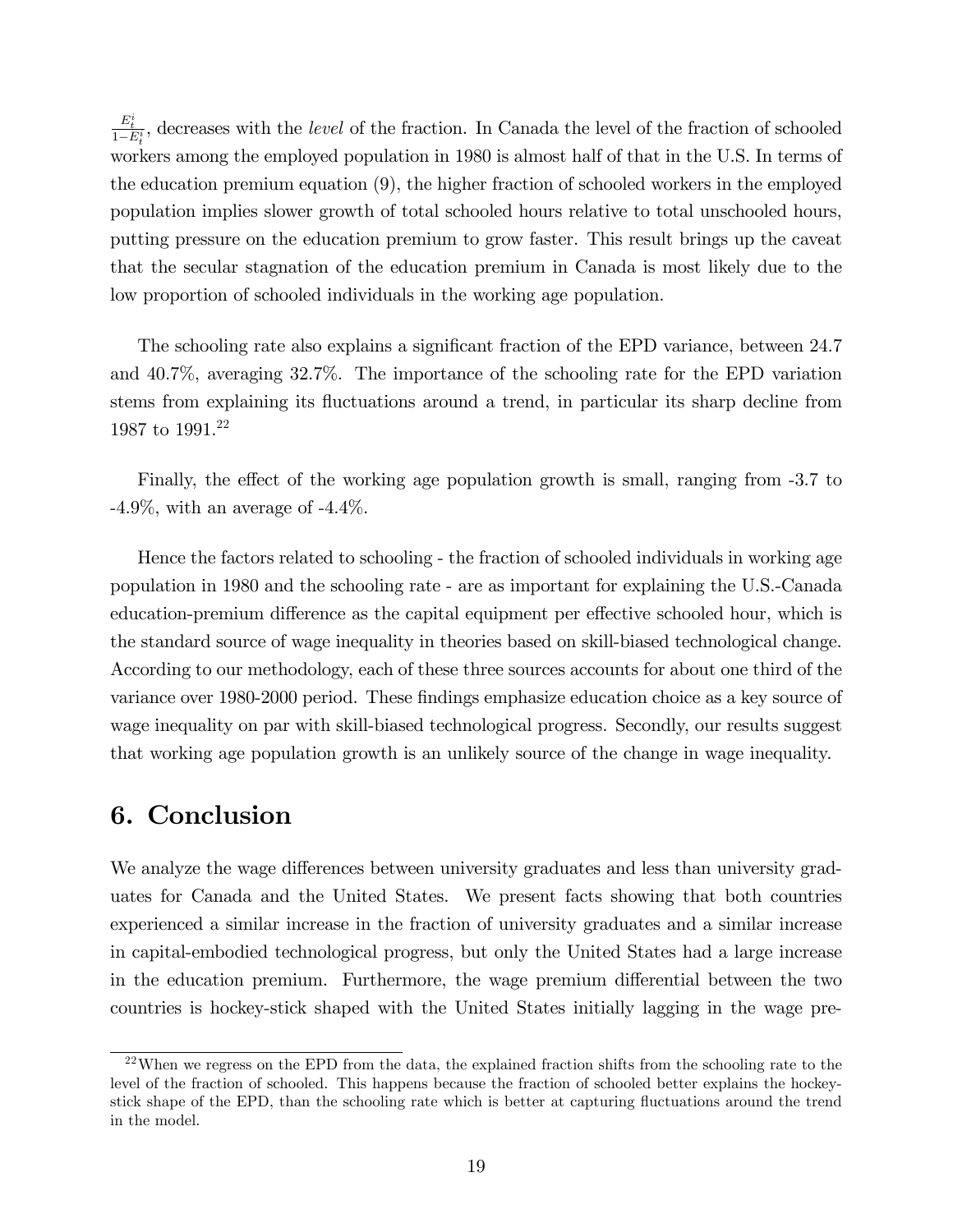$\frac{E_t^i}{1-E_t^i}$ , decreases with the *level* of the fraction. In Canada the level of the fraction of schooled workers among the employed population in 1980 is almost half of that in the U.S. In terms of the education premium equation (9), the higher fraction of schooled workers in the employed population implies slower growth of total schooled hours relative to total unschooled hours, putting pressure on the education premium to grow faster. This result brings up the caveat that the secular stagnation of the education premium in Canada is most likely due to the low proportion of schooled individuals in the working age population.

The schooling rate also explains a significant fraction of the EPD variance, between 24.7 and 40.7%, averaging 32.7%. The importance of the schooling rate for the EPD variation stems from explaining its fluctuations around a trend, in particular its sharp decline from 1987 to 1991.<sup>22</sup>

Finally, the effect of the working age population growth is small, ranging from -3.7 to  $-4.9\%$ , with an average of  $-4.4\%$ .

Hence the factors related to schooling - the fraction of schooled individuals in working age population in 1980 and the schooling rate - are as important for explaining the U.S.-Canada education-premium difference as the capital equipment per effective schooled hour, which is the standard source of wage inequality in theories based on skill-biased technological change. According to our methodology, each of these three sources accounts for about one third of the variance over 1980-2000 period. These findings emphasize education choice as a key source of wage inequality on par with skill-biased technological progress. Secondly, our results suggest that working age population growth is an unlikely source of the change in wage inequality.

## 6. Conclusion

We analyze the wage differences between university graduates and less than university graduates for Canada and the United States. We present facts showing that both countries experienced a similar increase in the fraction of university graduates and a similar increase in capital-embodied technological progress, but only the United States had a large increase in the education premium. Furthermore, the wage premium differential between the two countries is hockey-stick shaped with the United States initially lagging in the wage pre-

 $22$ When we regress on the EPD from the data, the explained fraction shifts from the schooling rate to the level of the fraction of schooled. This happens because the fraction of schooled better explains the hockeystick shape of the EPD, than the schooling rate which is better at capturing áuctuations around the trend in the model.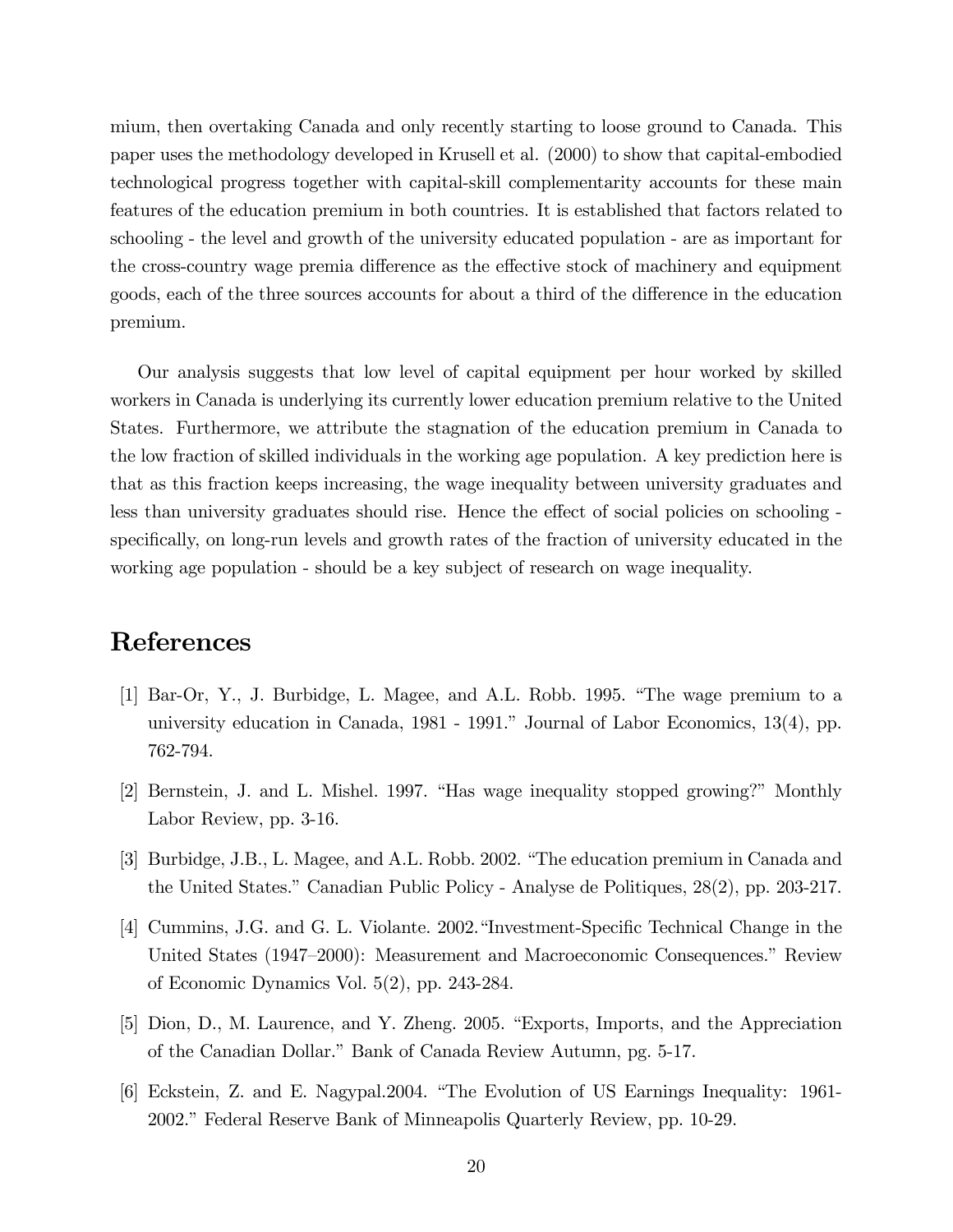mium, then overtaking Canada and only recently starting to loose ground to Canada. This paper uses the methodology developed in Krusell et al. (2000) to show that capital-embodied technological progress together with capital-skill complementarity accounts for these main features of the education premium in both countries. It is established that factors related to schooling - the level and growth of the university educated population - are as important for the cross-country wage premia difference as the effective stock of machinery and equipment goods, each of the three sources accounts for about a third of the difference in the education premium.

Our analysis suggests that low level of capital equipment per hour worked by skilled workers in Canada is underlying its currently lower education premium relative to the United States. Furthermore, we attribute the stagnation of the education premium in Canada to the low fraction of skilled individuals in the working age population. A key prediction here is that as this fraction keeps increasing, the wage inequality between university graduates and less than university graduates should rise. Hence the effect of social policies on schooling specifically, on long-run levels and growth rates of the fraction of university educated in the working age population - should be a key subject of research on wage inequality.

## References

- [1] Bar-Or, Y., J. Burbidge, L. Magee, and A.L. Robb. 1995. "The wage premium to a university education in Canada,  $1981 - 1991$ ." Journal of Labor Economics,  $13(4)$ , pp. 762-794.
- [2] Bernstein, J. and L. Mishel. 1997. "Has wage inequality stopped growing?" Monthly Labor Review, pp. 3-16.
- [3] Burbidge, J.B., L. Magee, and A.L. Robb. 2002. "The education premium in Canada and the United States." Canadian Public Policy - Analyse de Politiques, 28(2), pp. 203-217.
- [4] Cummins, J.G. and G. L. Violante. 2002. 'Investment-Specific Technical Change in the United States (1947–2000): Measurement and Macroeconomic Consequences.<sup>n</sup> Review of Economic Dynamics Vol. 5(2), pp. 243-284.
- [5] Dion, D., M. Laurence, and Y. Zheng. 2005. "Exports, Imports, and the Appreciation of the Canadian Dollar." Bank of Canada Review Autumn, pg. 5-17.
- [6] Eckstein, Z. and E. Nagypal.2004. "The Evolution of US Earnings Inequality: 1961-2002." Federal Reserve Bank of Minneapolis Quarterly Review, pp. 10-29.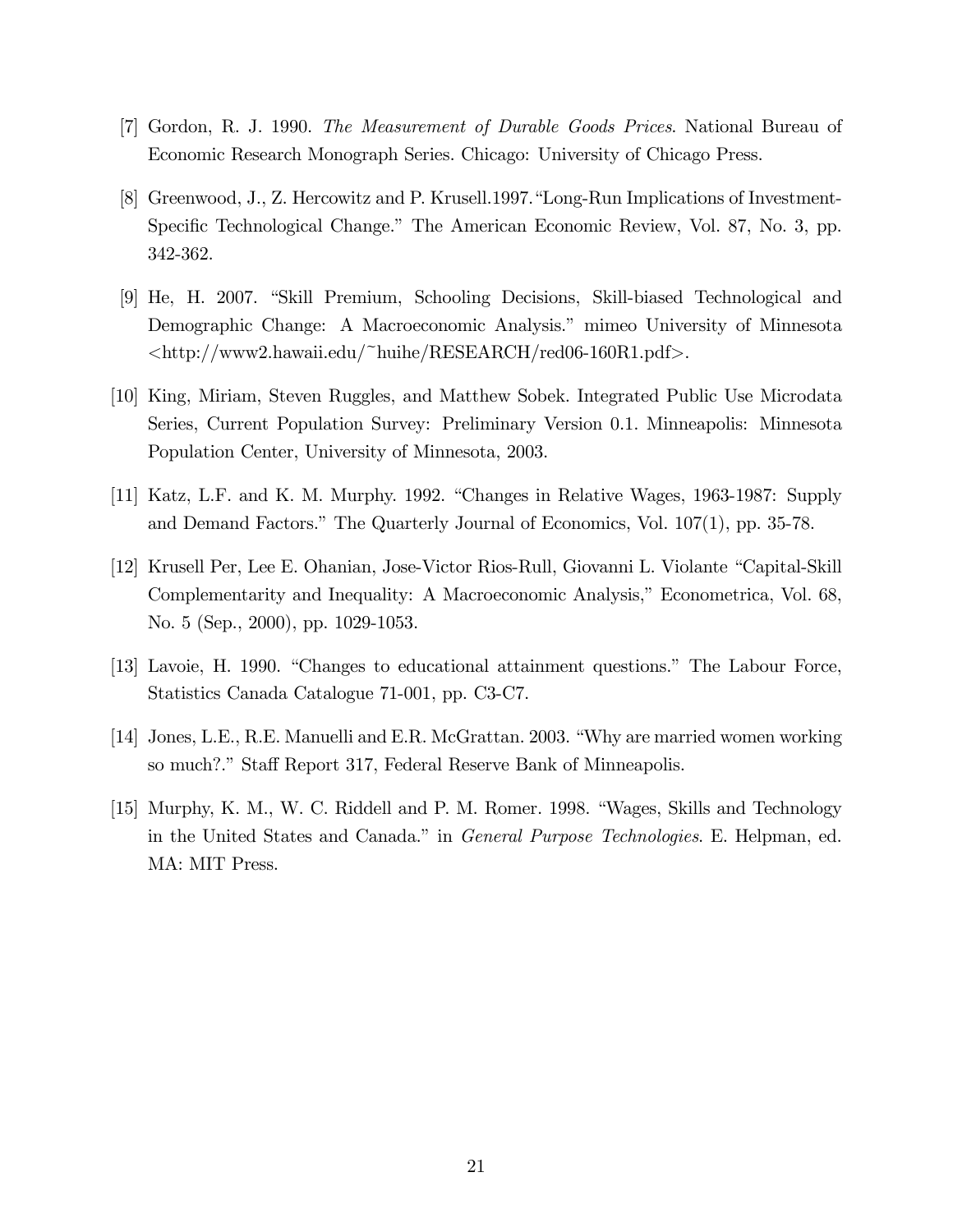- [7] Gordon, R. J. 1990. The Measurement of Durable Goods Prices. National Bureau of Economic Research Monograph Series. Chicago: University of Chicago Press.
- [8] Greenwood, J., Z. Hercowitz and P. Krusell.1997. "Long-Run Implications of Investment-Specific Technological Change." The American Economic Review, Vol. 87, No. 3, pp. 342-362.
- [9] He, H. 2007. "Skill Premium, Schooling Decisions, Skill-biased Technological and Demographic Change: A Macroeconomic Analysis." mimeo University of Minnesota <http://www2.hawaii.edu/~huihe/RESEARCH/red06-160R1.pdf>.
- [10] King, Miriam, Steven Ruggles, and Matthew Sobek. Integrated Public Use Microdata Series, Current Population Survey: Preliminary Version 0.1. Minneapolis: Minnesota Population Center, University of Minnesota, 2003.
- $[11]$  Katz, L.F. and K. M. Murphy. 1992. "Changes in Relative Wages, 1963-1987: Supply and Demand Factors." The Quarterly Journal of Economics, Vol.  $107(1)$ , pp. 35-78.
- [12] Krusell Per, Lee E. Ohanian, Jose-Victor Rios-Rull, Giovanni L. Violante "Capital-Skill" Complementarity and Inequality: A Macroeconomic Analysis," Econometrica, Vol. 68, No. 5 (Sep., 2000), pp. 1029-1053.
- [13] Lavoie, H. 1990. "Changes to educational attainment questions." The Labour Force, Statistics Canada Catalogue 71-001, pp. C3-C7.
- [14] Jones, L.E., R.E. Manuelli and E.R. McGrattan. 2003. "Why are married women working so much?." Staff Report 317, Federal Reserve Bank of Minneapolis.
- [15] Murphy, K. M., W. C. Riddell and P. M. Romer. 1998. "Wages, Skills and Technology in the United States and Canada." in *General Purpose Technologies*. E. Helpman, ed. MA: MIT Press.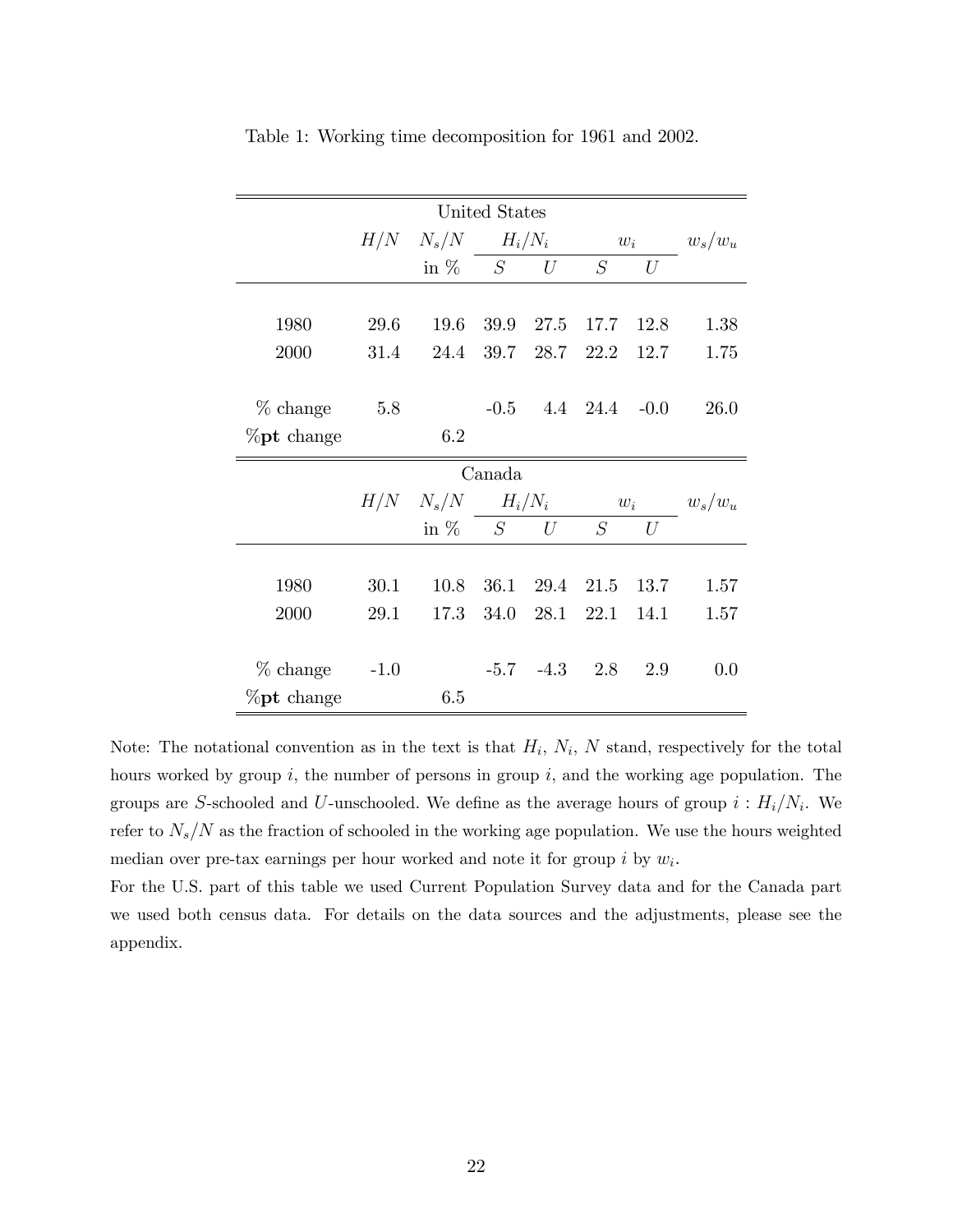|                |        |             | United States           |                     |                        |      |           |
|----------------|--------|-------------|-------------------------|---------------------|------------------------|------|-----------|
|                |        |             | $H/N$ $N_s/N$ $H_i/N_i$ |                     | $w_i$                  |      | $w_s/w_u$ |
|                |        | in $\%$ $S$ |                         | U                   | S                      | U    |           |
|                |        |             |                         |                     |                        |      |           |
| 1980           | 29.6   | 19.6        | 39.9                    | 27.5                | 17.7                   | 12.8 | 1.38      |
| 2000           | 31.4   | 24.4        | 39.7                    |                     | 28.7 22.2              | 12.7 | 1.75      |
|                |        |             |                         |                     |                        |      |           |
| $%$ change     | 5.8    |             |                         |                     | $-0.5$ 4.4 24.4 $-0.0$ |      | 26.0      |
| $\%$ pt change |        | 6.2         |                         |                     |                        |      |           |
|                | Canada |             |                         |                     |                        |      |           |
|                |        |             | $H/N$ $N_s/N$ $H_i/N_i$ |                     | $w_i$                  |      | $w_s/w_u$ |
|                |        | in $\%$ $S$ |                         | U                   | S                      | U    |           |
|                |        |             |                         |                     |                        |      |           |
| 1980           | 30.1   | 10.8        | 36.1                    | 29.4                | 21.5                   | 13.7 | 1.57      |
| 2000           | 29.1   | 17.3        | 34.0                    | 28.1                | 22.1                   | 14.1 | 1.57      |
|                |        |             |                         |                     |                        |      |           |
| % change       | $-1.0$ |             |                         | $-5.7$ $-4.3$ $2.8$ |                        | 2.9  | 0.0       |
| $\%$ pt change |        | 6.5         |                         |                     |                        |      |           |

Table 1: Working time decomposition for 1961 and 2002.

Note: The notational convention as in the text is that  $H_i$ ,  $N_i$ , N stand, respectively for the total hours worked by group  $i$ , the number of persons in group  $i$ , and the working age population. The groups are S-schooled and U-unschooled. We define as the average hours of group  $i : H_i/N_i$ . We refer to  $N_s/N$  as the fraction of schooled in the working age population. We use the hours weighted median over pre-tax earnings per hour worked and note it for group  $i$  by  $w_i$ .

For the U.S. part of this table we used Current Population Survey data and for the Canada part we used both census data. For details on the data sources and the adjustments, please see the appendix.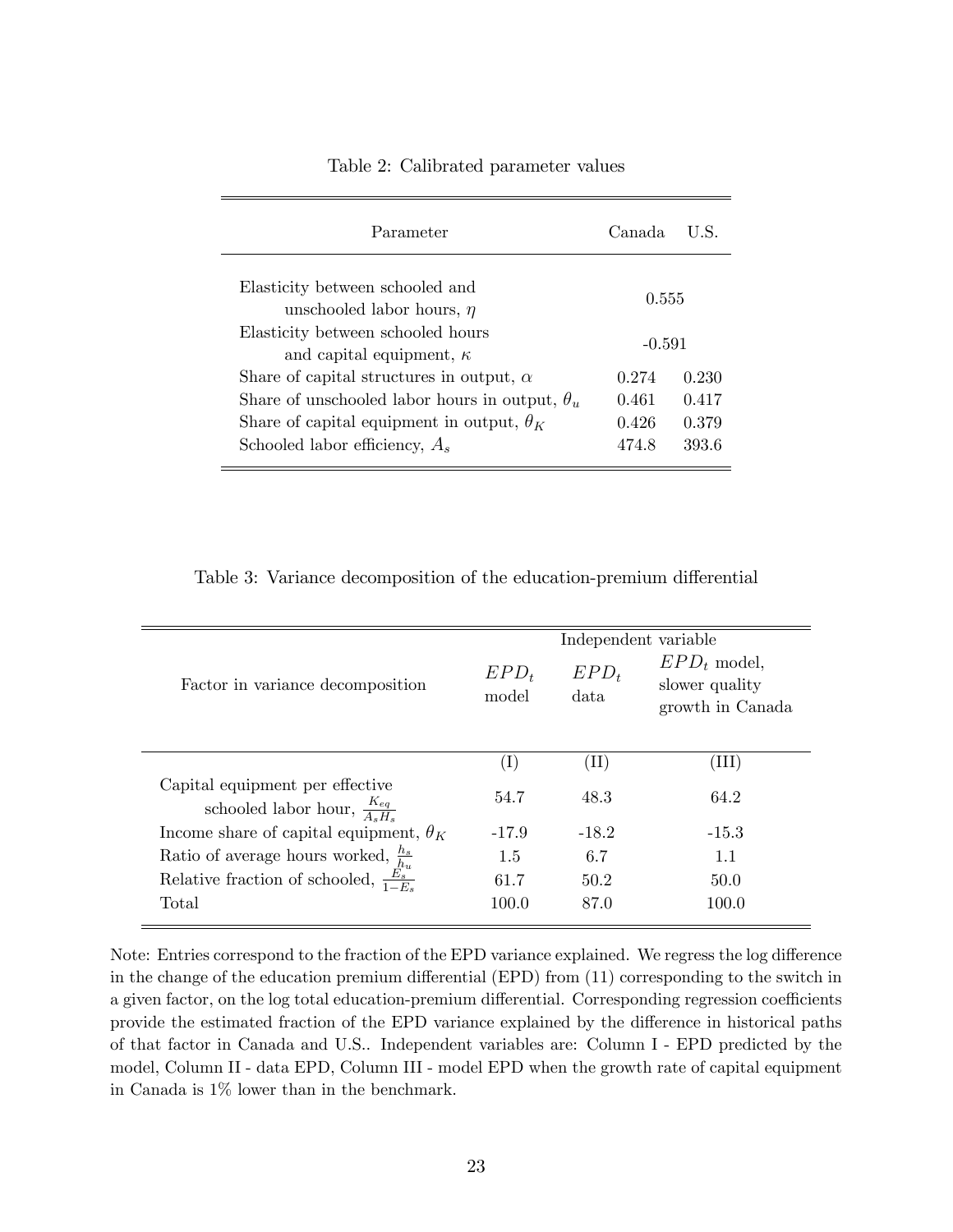| Elasticity between schooled and<br>0.555<br>unschooled labor hours, $\eta$       |
|----------------------------------------------------------------------------------|
| Elasticity between schooled hours<br>$-0.591$<br>and capital equipment, $\kappa$ |
| 0.230<br>Share of capital structures in output, $\alpha$<br>0.274                |
| Share of unschooled labor hours in output, $\theta_u$<br>0.461<br>0.417          |
| Share of capital equipment in output, $\theta_K$<br>0.379<br>0.426               |
| Schooled labor efficiency, $A_s$<br>474.8<br>393.6                               |

Table 2: Calibrated parameter values

Table 3: Variance decomposition of the education-premium differential

| Factor in variance decomposition                                                | $EPD_t$<br>model | Independent variable<br>$EPD_t$<br>data | $EPD_t$ model,<br>slower quality<br>growth in Canada |
|---------------------------------------------------------------------------------|------------------|-----------------------------------------|------------------------------------------------------|
|                                                                                 | $(\mathrm{I})$   | $(\mathrm{II})$                         | ΊH)                                                  |
| Capital equipment per effective<br>schooled labor hour, $\frac{K_{eq}}{A_2H_2}$ | 54.7             | 48.3                                    | 64.2                                                 |
| Income share of capital equipment, $\theta_K$                                   | $-17.9$          | $-18.2$                                 | $-15.3$                                              |
| Ratio of average hours worked, $\frac{h_s}{h_u}$                                | 1.5              | 6.7                                     | 1.1                                                  |
| Relative fraction of schooled, $\frac{E_s^{u}}{1-E_s}$                          | 61.7             | 50.2                                    | 50.0                                                 |
| Total                                                                           | 100.0            | 87.0                                    | 100.0                                                |

Note: Entries correspond to the fraction of the EPD variance explained. We regress the log difference in the change of the education premium differential  $(EPD)$  from  $(11)$  corresponding to the switch in a given factor, on the log total education-premium differential. Corresponding regression coefficients provide the estimated fraction of the EPD variance explained by the difference in historical paths of that factor in Canada and U.S.. Independent variables are: Column I - EPD predicted by the model, Column II - data EPD, Column III - model EPD when the growth rate of capital equipment in Canada is 1% lower than in the benchmark.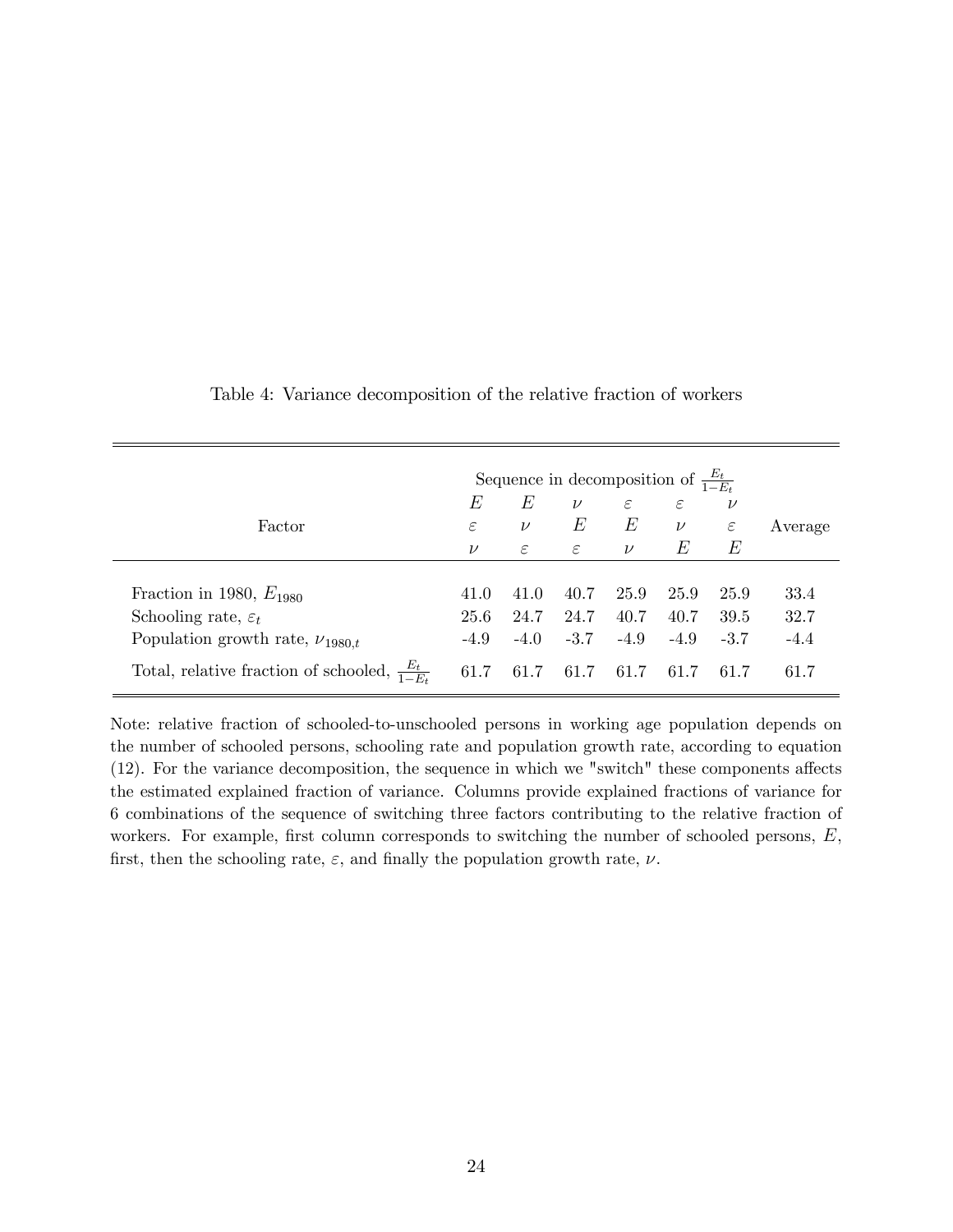|                                                           |               |            |               |               | Sequence in decomposition of $\frac{E_t}{1-E_t}$ |               |         |
|-----------------------------------------------------------|---------------|------------|---------------|---------------|--------------------------------------------------|---------------|---------|
|                                                           | Е             | E          | $\nu$         | $\varepsilon$ | $\varepsilon$                                    | $\nu$         |         |
| Factor                                                    | $\varepsilon$ | $\nu$      | E             | E             | $\nu$                                            | $\varepsilon$ | Average |
|                                                           | $\nu$         | $\epsilon$ | $\varepsilon$ | $\nu$         | E                                                | E             |         |
|                                                           |               |            |               |               |                                                  |               |         |
| Fraction in 1980, $E_{1980}$                              | 41.0          | 41.0       | 40.7          | 25.9          | 25.9                                             | 25.9          | 33.4    |
| Schooling rate, $\varepsilon_t$                           | 25.6          | 24.7       | 24.7          | 40.7          | 40.7                                             | 39.5          | 32.7    |
| Population growth rate, $\nu_{1980,t}$                    | $-4.9$        | $-4.0$     | $-3.7$        | $-4.9$        | $-4.9$                                           | $-3.7$        | $-4.4$  |
| Total, relative fraction of schooled, $\frac{E_t}{1-E_t}$ | 61.7          | 61.7       | 61.7          | 61.7          | 61.7                                             | 61.7          | 61.7    |

Table 4: Variance decomposition of the relative fraction of workers

Note: relative fraction of schooled-to-unschooled persons in working age population depends on the number of schooled persons, schooling rate and population growth rate, according to equation  $(12)$ . For the variance decomposition, the sequence in which we "switch" these components affects the estimated explained fraction of variance. Columns provide explained fractions of variance for 6 combinations of the sequence of switching three factors contributing to the relative fraction of workers. For example, first column corresponds to switching the number of schooled persons,  $E$ , first, then the schooling rate,  $\varepsilon$ , and finally the population growth rate,  $\nu$ .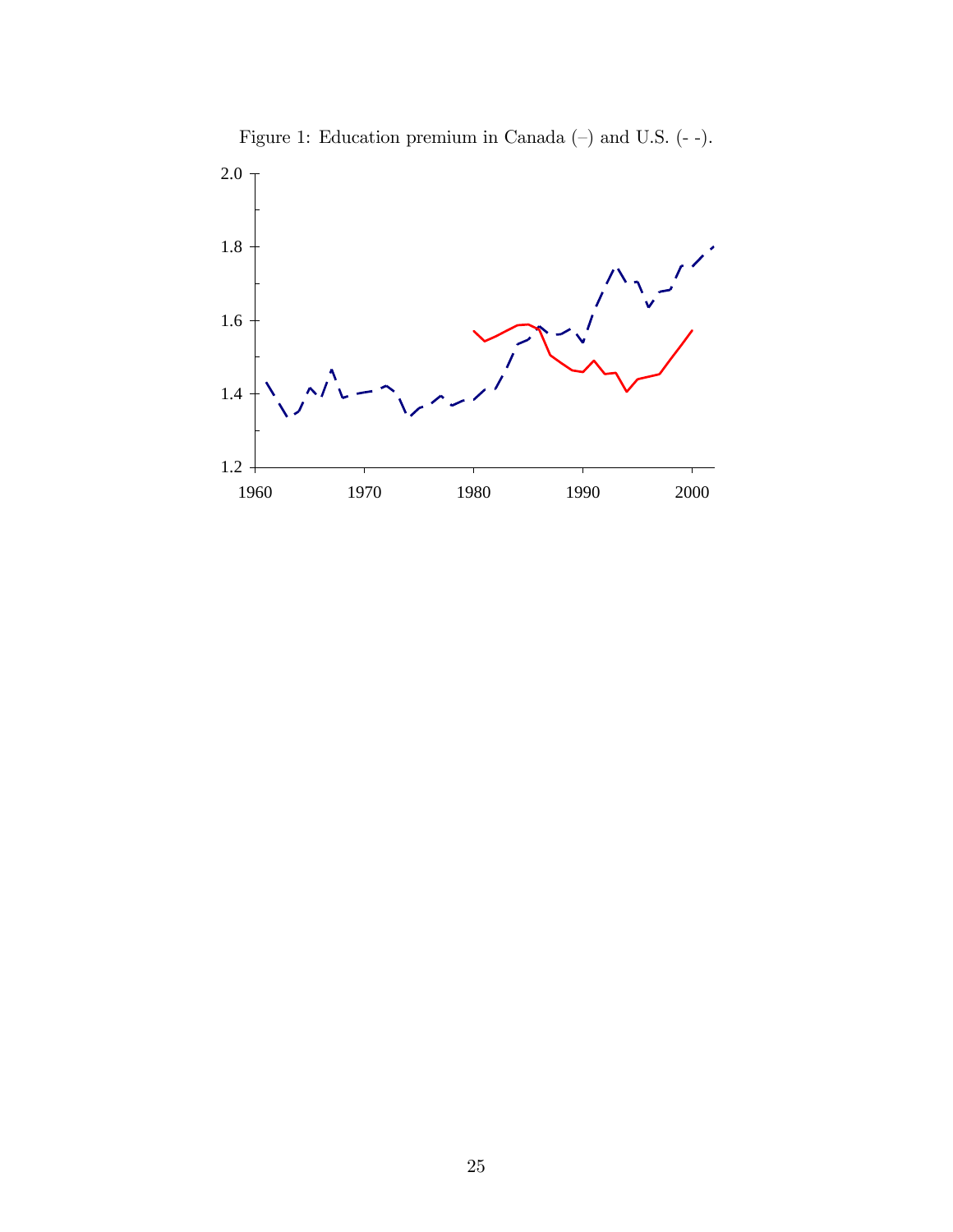

Figure 1: Education premium in Canada  $(-)$  and U.S.  $(-)$ .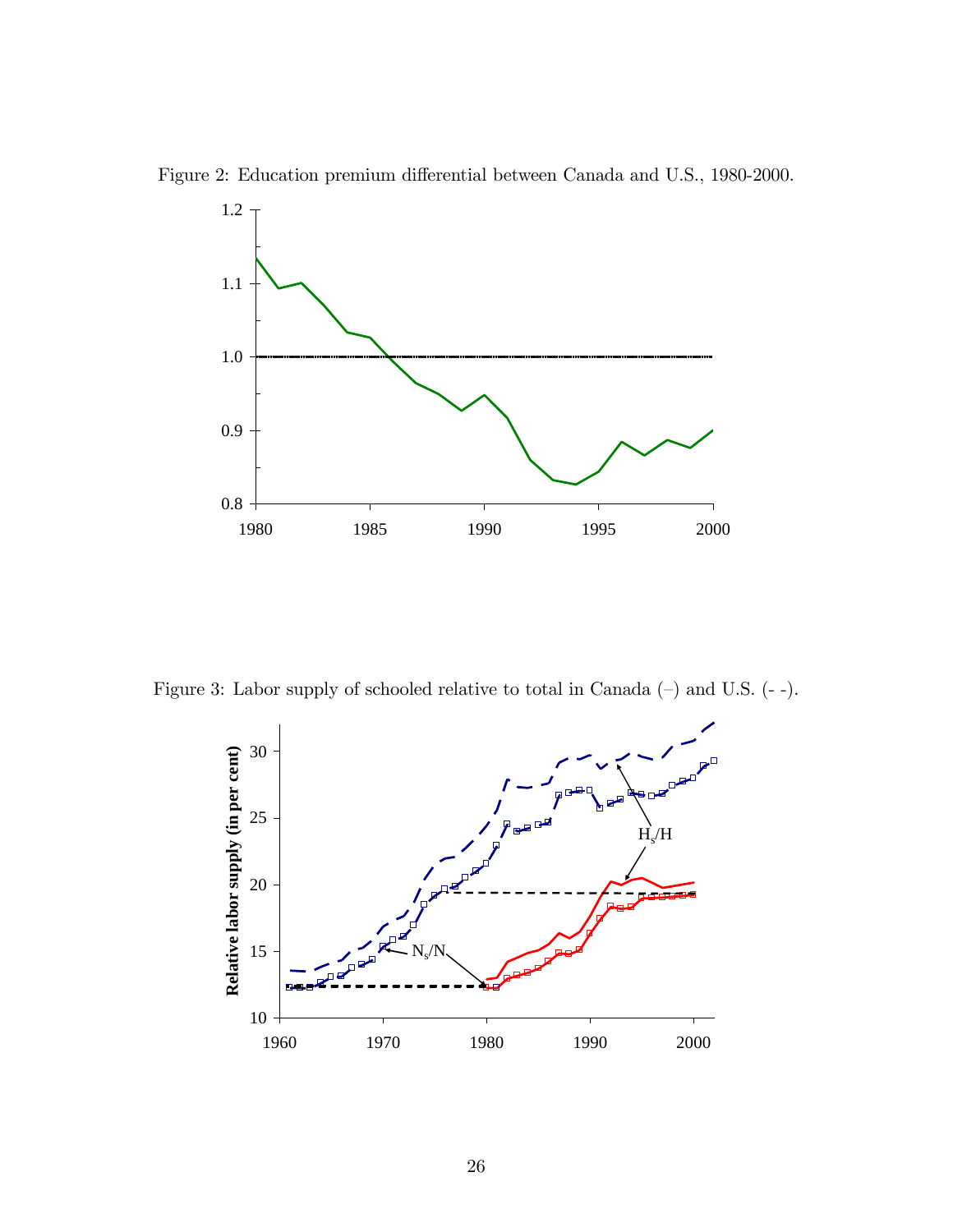



Figure 3: Labor supply of schooled relative to total in Canada  $(-)$  and U.S.  $(-)$ .

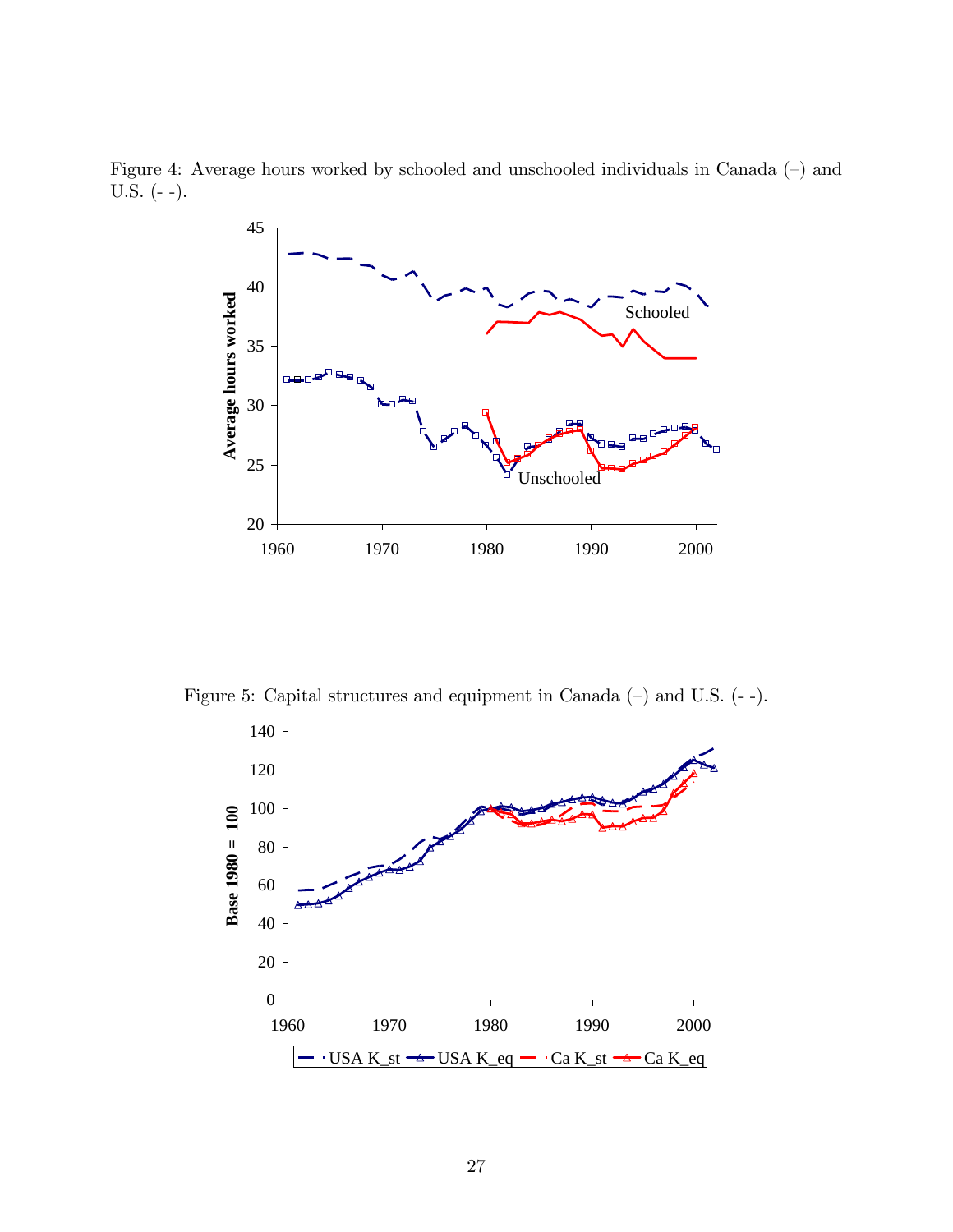Figure 4: Average hours worked by schooled and unschooled individuals in Canada  $(-)$  and U.S. (- -).



Figure 5: Capital structures and equipment in Canada  $(-)$  and U.S.  $(-)$ .

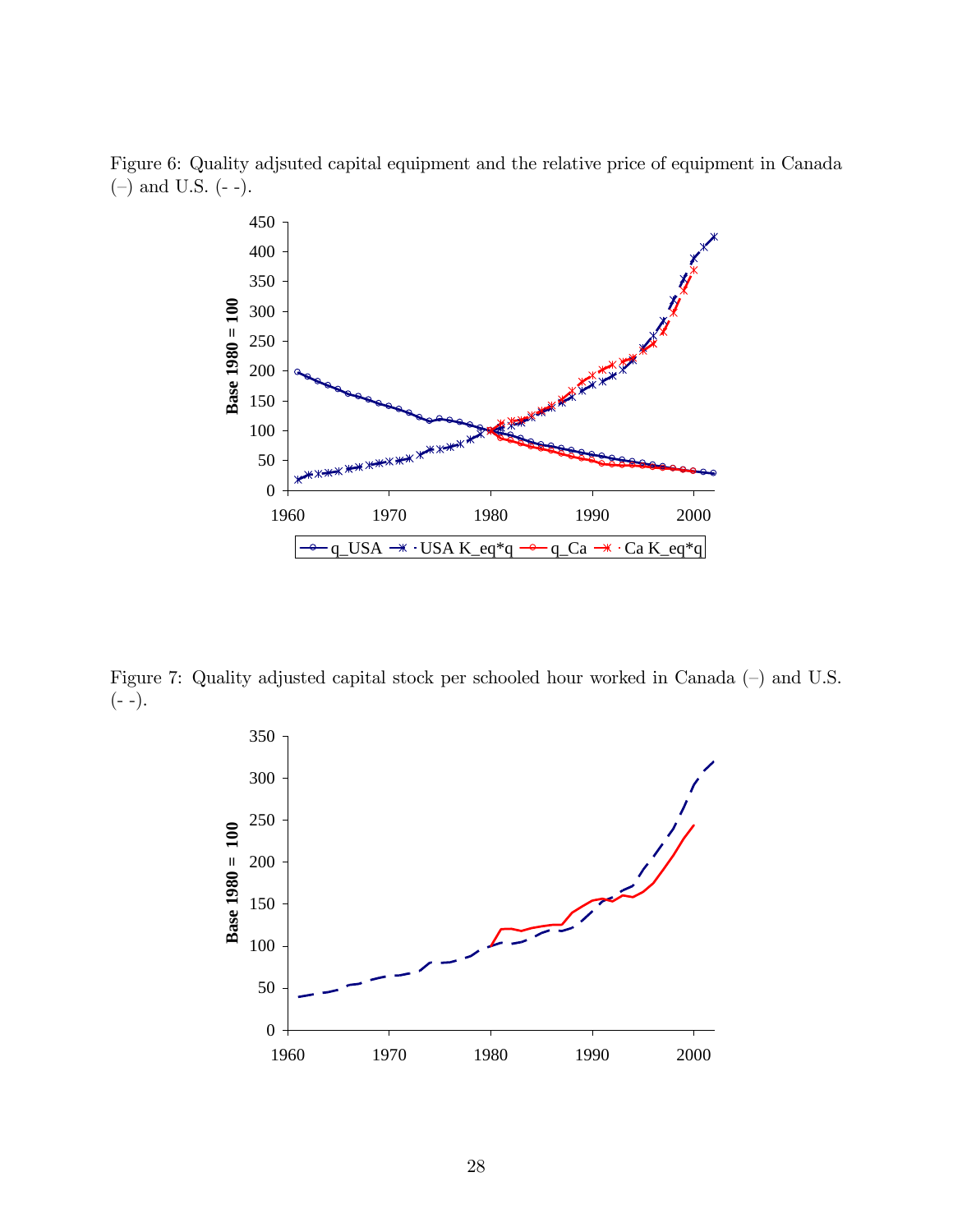Figure 6: Quality adjsuted capital equipment and the relative price of equipment in Canada  $(-)$  and U.S.  $(--)$ .



Figure 7: Quality adjusted capital stock per schooled hour worked in Canada  $(-)$  and U.S.  $(- -).$ 

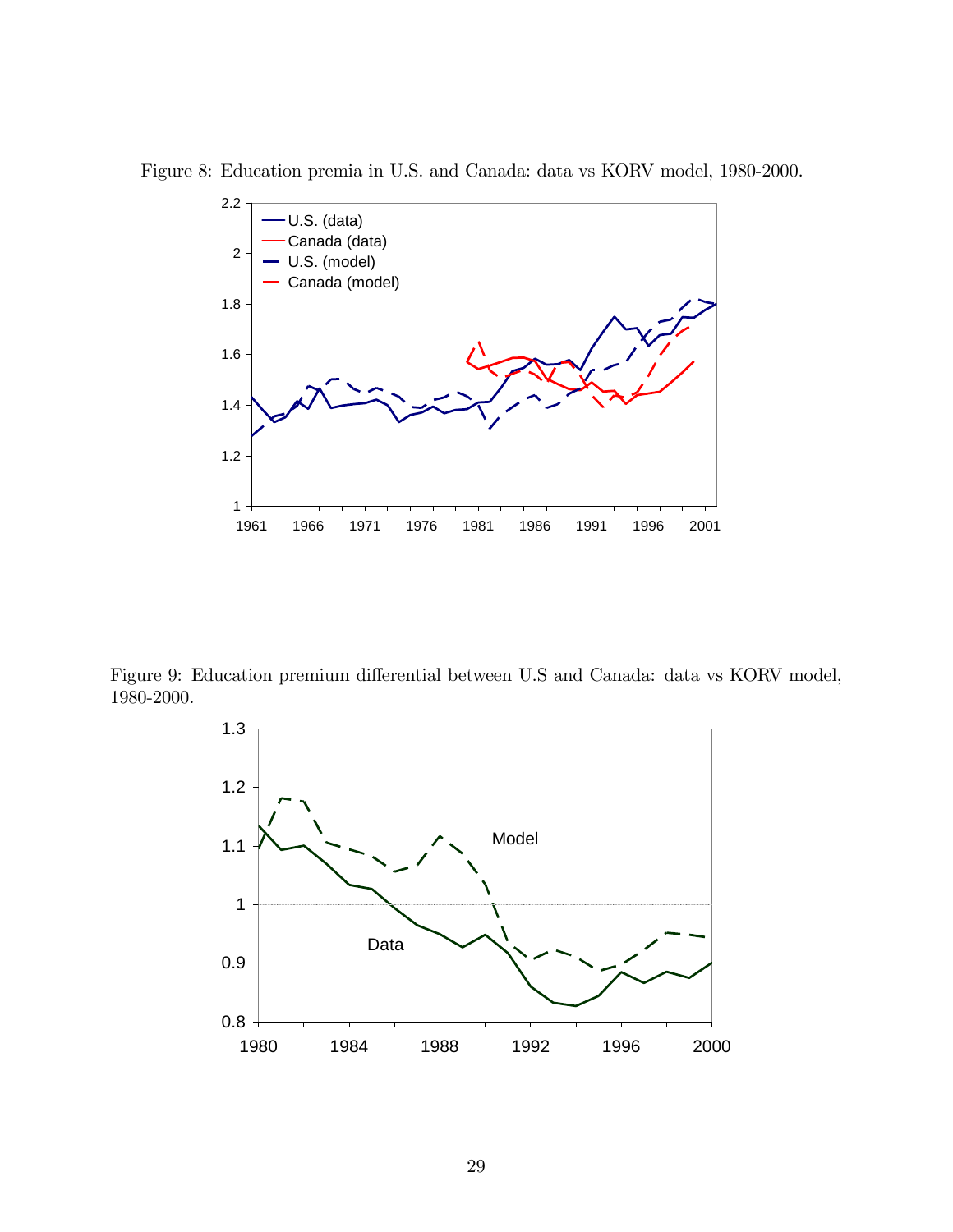Figure 8: Education premia in U.S. and Canada: data vs KORV model, 1980-2000.



Figure 9: Education premium differential between U.S and Canada: data vs KORV model, 1980-2000.

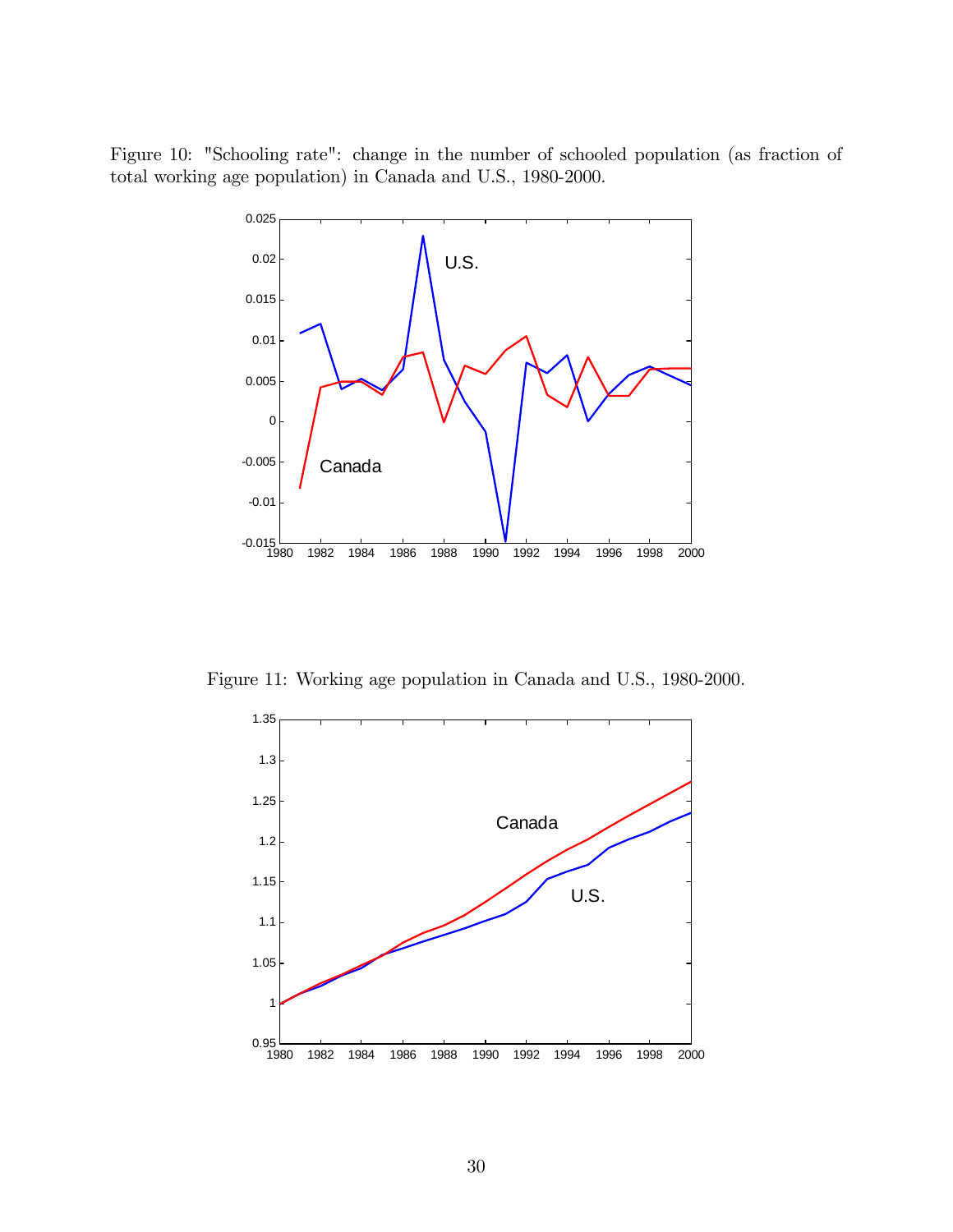Figure 10: "Schooling rate": change in the number of schooled population (as fraction of total working age population) in Canada and U.S., 1980-2000.



Figure 11: Working age population in Canada and U.S., 1980-2000.

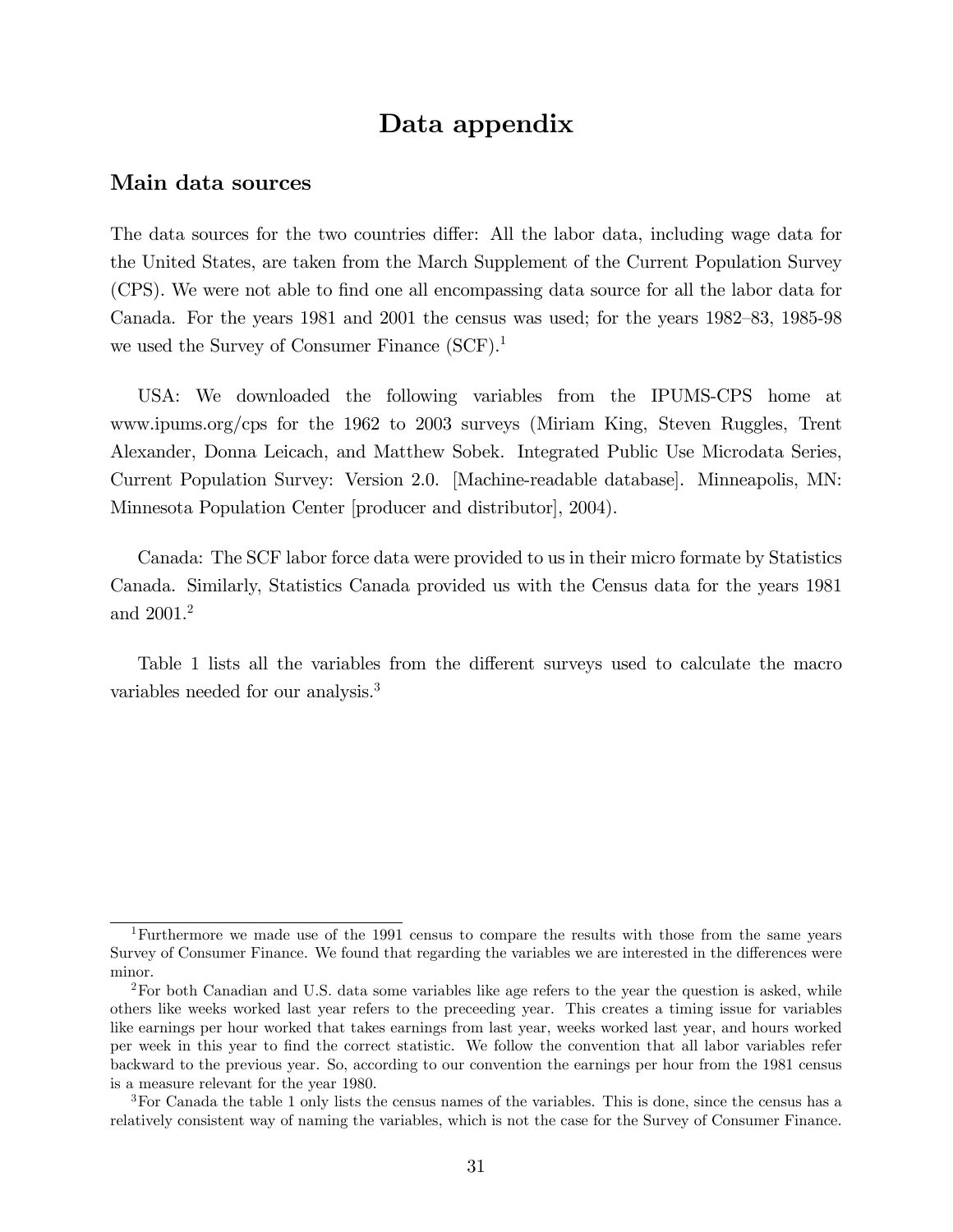## Data appendix

### Main data sources

The data sources for the two countries differ: All the labor data, including wage data for the United States, are taken from the March Supplement of the Current Population Survey (CPS). We were not able to Önd one all encompassing data source for all the labor data for Canada. For the years  $1981$  and  $2001$  the census was used; for the years  $1982-83$ ,  $1985-98$ we used the Survey of Consumer Finance  $(SCF)^{1}$ .

USA: We downloaded the following variables from the IPUMS-CPS home at www.ipums.org/cps for the 1962 to 2003 surveys (Miriam King, Steven Ruggles, Trent Alexander, Donna Leicach, and Matthew Sobek. Integrated Public Use Microdata Series, Current Population Survey: Version 2.0. [Machine-readable database]. Minneapolis, MN: Minnesota Population Center [producer and distributor], 2004).

Canada: The SCF labor force data were provided to us in their micro formate by Statistics Canada. Similarly, Statistics Canada provided us with the Census data for the years 1981 and 2001.<sup>2</sup>

Table 1 lists all the variables from the different surveys used to calculate the macro variables needed for our analysis.<sup>3</sup>

<sup>&</sup>lt;sup>1</sup>Furthermore we made use of the 1991 census to compare the results with those from the same years Survey of Consumer Finance. We found that regarding the variables we are interested in the differences were minor.

<sup>2</sup>For both Canadian and U.S. data some variables like age refers to the year the question is asked, while others like weeks worked last year refers to the preceeding year. This creates a timing issue for variables like earnings per hour worked that takes earnings from last year, weeks worked last year, and hours worked per week in this year to Önd the correct statistic. We follow the convention that all labor variables refer backward to the previous year. So, according to our convention the earnings per hour from the 1981 census is a measure relevant for the year 1980.

<sup>3</sup>For Canada the table 1 only lists the census names of the variables. This is done, since the census has a relatively consistent way of naming the variables, which is not the case for the Survey of Consumer Finance.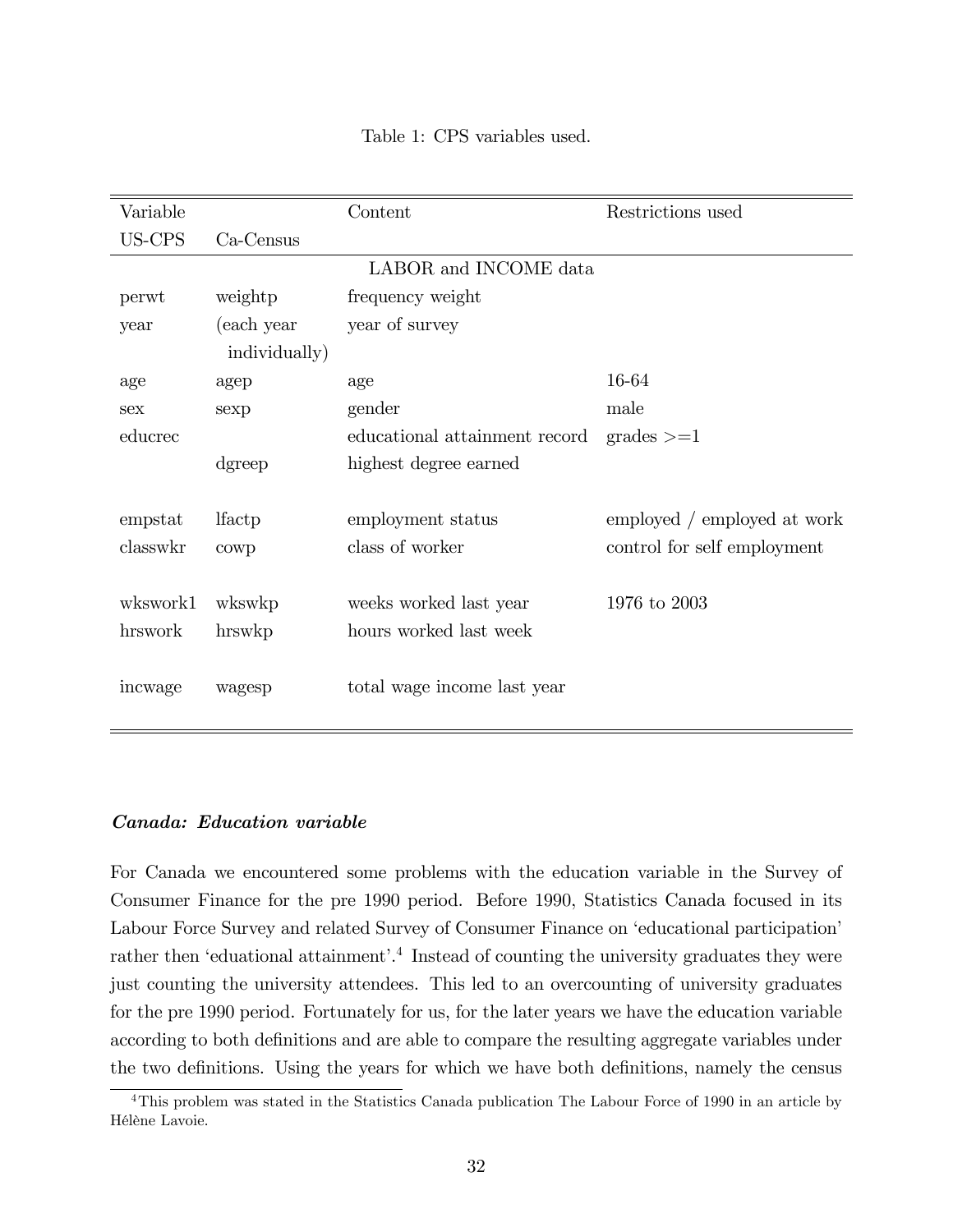| Variable   |               | Content                       | Restrictions used           |
|------------|---------------|-------------------------------|-----------------------------|
| US-CPS     | Ca-Census     |                               |                             |
|            |               | LABOR and INCOME data         |                             |
| perwt      | weightp       | frequency weight              |                             |
| year       | (each year    | year of survey                |                             |
|            | individually) |                               |                             |
| age        | agep          | age                           | 16-64                       |
| <b>Sex</b> | sexp          | gender                        | male                        |
| educrec    |               | educational attainment record | $grades \geq 1$             |
|            | dgreep        | highest degree earned         |                             |
|            |               |                               |                             |
| empstat    | lfactp        | employment status             | employed / employed at work |
| classwkr   | cowp          | class of worker               | control for self employment |
|            |               |                               |                             |
| wkswork1   | wkswkp        | weeks worked last year        | 1976 to $2003$              |
| hrswork    | hrswkp        | hours worked last week        |                             |
|            |               |                               |                             |
| incwage    | wagesp        | total wage income last year   |                             |
|            |               |                               |                             |
|            |               |                               |                             |

Table 1: CPS variables used.

### Canada: Education variable

For Canada we encountered some problems with the education variable in the Survey of Consumer Finance for the pre 1990 period. Before 1990, Statistics Canada focused in its Labour Force Survey and related Survey of Consumer Finance on 'educational participation' rather then 'eduational attainment'.<sup>4</sup> Instead of counting the university graduates they were just counting the university attendees. This led to an overcounting of university graduates for the pre 1990 period. Fortunately for us, for the later years we have the education variable according to both definitions and are able to compare the resulting aggregate variables under the two definitions. Using the years for which we have both definitions, namely the census

<sup>&</sup>lt;sup>4</sup>This problem was stated in the Statistics Canada publication The Labour Force of 1990 in an article by Hélène Lavoie.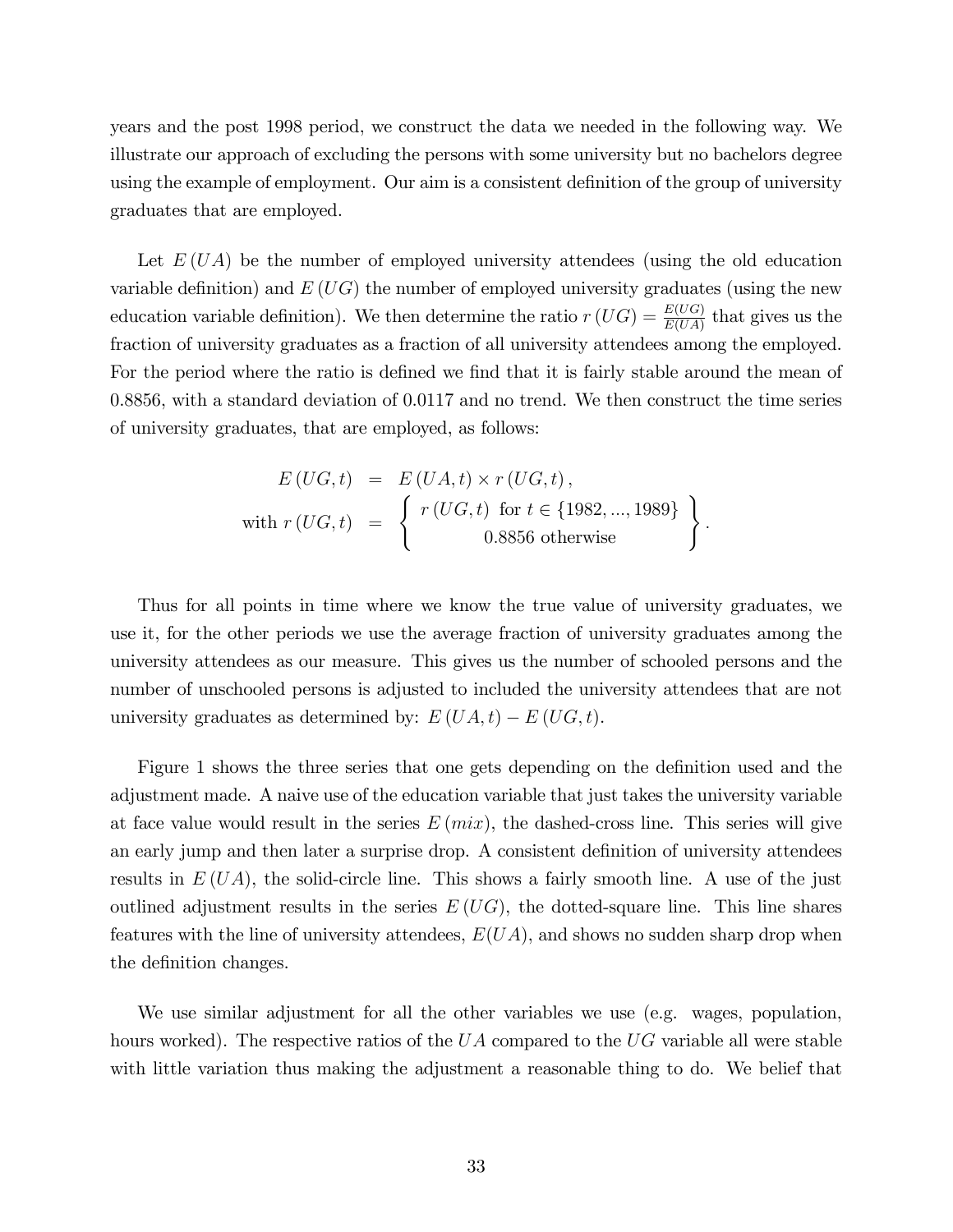years and the post 1998 period, we construct the data we needed in the following way. We illustrate our approach of excluding the persons with some university but no bachelors degree using the example of employment. Our aim is a consistent definition of the group of university graduates that are employed.

Let  $E(UA)$  be the number of employed university attendees (using the old education variable definition) and  $E(UG)$  the number of employed university graduates (using the new education variable definition). We then determine the ratio  $r(UG) = \frac{E(UG)}{E(UA)}$  that gives us the fraction of university graduates as a fraction of all university attendees among the employed. For the period where the ratio is defined we find that it is fairly stable around the mean of 0.8856, with a standard deviation of 0.0117 and no trend. We then construct the time series of university graduates, that are employed, as follows:

$$
E\left(UG, t\right) = E\left(UA, t\right) \times r\left(UG, t\right),
$$
  
with  $r\left(UG, t\right) = \left\{ \begin{array}{c} r\left(UG, t\right) \text{ for } t \in \{1982, ..., 1989\} \\ 0.8856 \text{ otherwise} \end{array} \right\}.$ 

Thus for all points in time where we know the true value of university graduates, we use it, for the other periods we use the average fraction of university graduates among the university attendees as our measure. This gives us the number of schooled persons and the number of unschooled persons is adjusted to included the university attendees that are not university graduates as determined by:  $E(UA, t) - E(UG, t)$ .

Figure 1 shows the three series that one gets depending on the definition used and the adjustment made. A naive use of the education variable that just takes the university variable at face value would result in the series  $E$  ( $mix$ ), the dashed-cross line. This series will give an early jump and then later a surprise drop. A consistent definition of university attendees results in  $E(UA)$ , the solid-circle line. This shows a fairly smooth line. A use of the just outlined adjustment results in the series  $E(UG)$ , the dotted-square line. This line shares features with the line of university attendees,  $E(UA)$ , and shows no sudden sharp drop when the definition changes.

We use similar adjustment for all the other variables we use (e.g. wages, population, hours worked). The respective ratios of the  $UA$  compared to the  $UG$  variable all were stable with little variation thus making the adjustment a reasonable thing to do. We belief that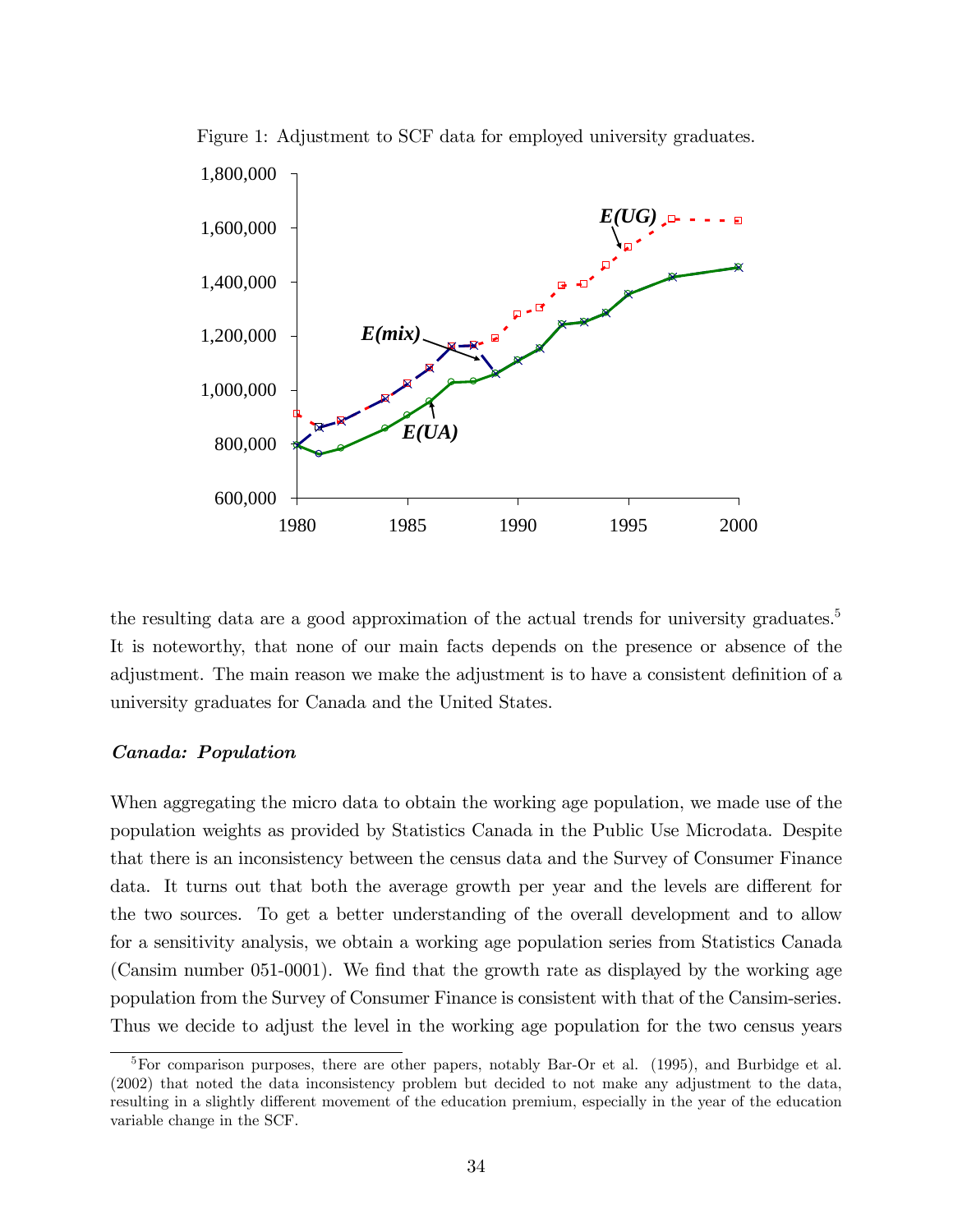

Figure 1: Adjustment to SCF data for employed university graduates.

the resulting data are a good approximation of the actual trends for university graduates.<sup>5</sup> It is noteworthy, that none of our main facts depends on the presence or absence of the adjustment. The main reason we make the adjustment is to have a consistent definition of a university graduates for Canada and the United States.

#### Canada: Population

When aggregating the micro data to obtain the working age population, we made use of the population weights as provided by Statistics Canada in the Public Use Microdata. Despite that there is an inconsistency between the census data and the Survey of Consumer Finance data. It turns out that both the average growth per year and the levels are different for the two sources. To get a better understanding of the overall development and to allow for a sensitivity analysis, we obtain a working age population series from Statistics Canada (Cansim number  $051-0001$ ). We find that the growth rate as displayed by the working age population from the Survey of Consumer Finance is consistent with that of the Cansim-series. Thus we decide to adjust the level in the working age population for the two census years

<sup>&</sup>lt;sup>5</sup>For comparison purposes, there are other papers, notably Bar-Or et al. (1995), and Burbidge et al. (2002) that noted the data inconsistency problem but decided to not make any adjustment to the data, resulting in a slightly different movement of the education premium, especially in the year of the education variable change in the SCF.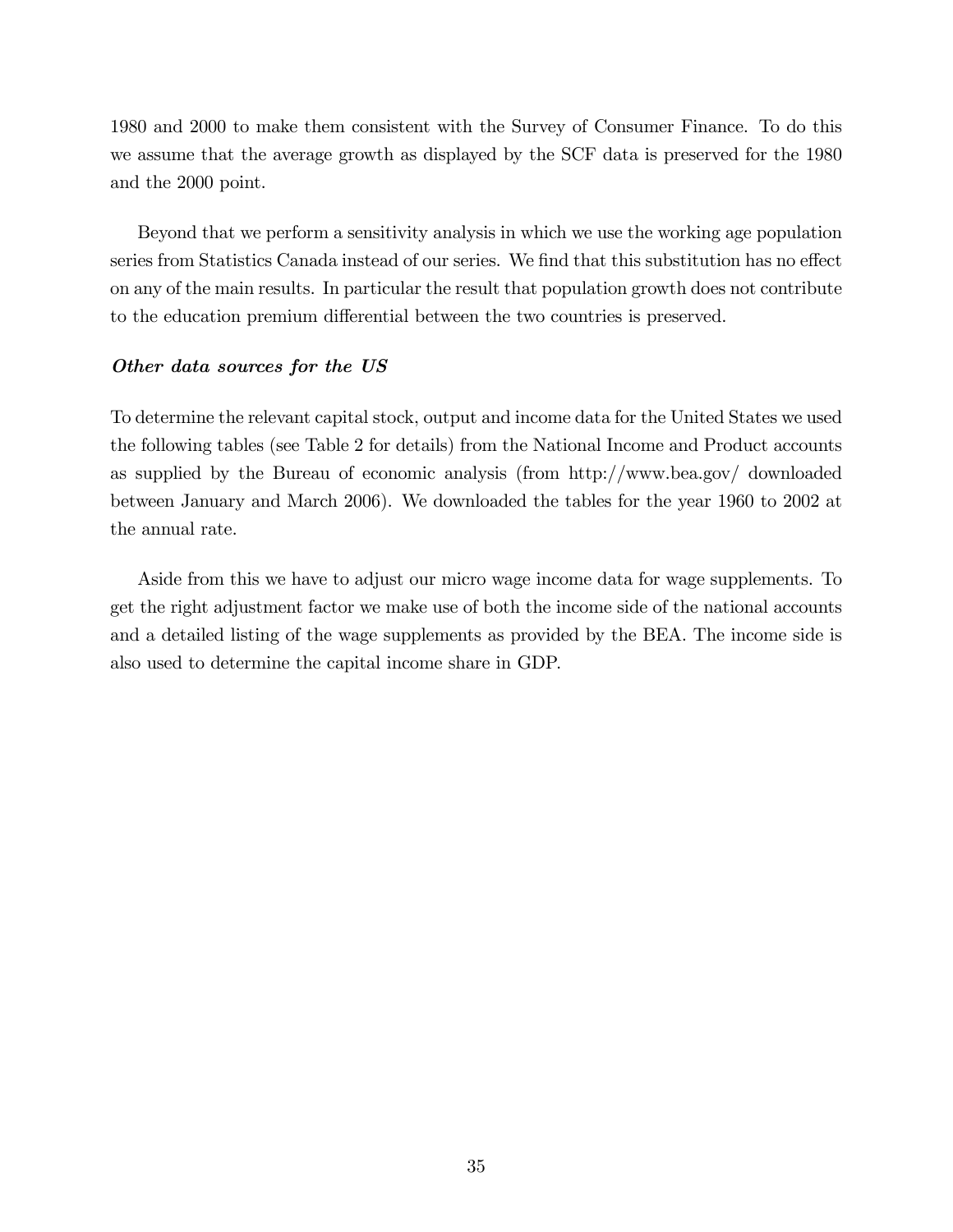1980 and 2000 to make them consistent with the Survey of Consumer Finance. To do this we assume that the average growth as displayed by the SCF data is preserved for the 1980 and the 2000 point.

Beyond that we perform a sensitivity analysis in which we use the working age population series from Statistics Canada instead of our series. We find that this substitution has no effect on any of the main results. In particular the result that population growth does not contribute to the education premium differential between the two countries is preserved.

### Other data sources for the US

To determine the relevant capital stock, output and income data for the United States we used the following tables (see Table 2 for details) from the National Income and Product accounts as supplied by the Bureau of economic analysis (from http://www.bea.gov/ downloaded between January and March 2006). We downloaded the tables for the year 1960 to 2002 at the annual rate.

Aside from this we have to adjust our micro wage income data for wage supplements. To get the right adjustment factor we make use of both the income side of the national accounts and a detailed listing of the wage supplements as provided by the BEA. The income side is also used to determine the capital income share in GDP.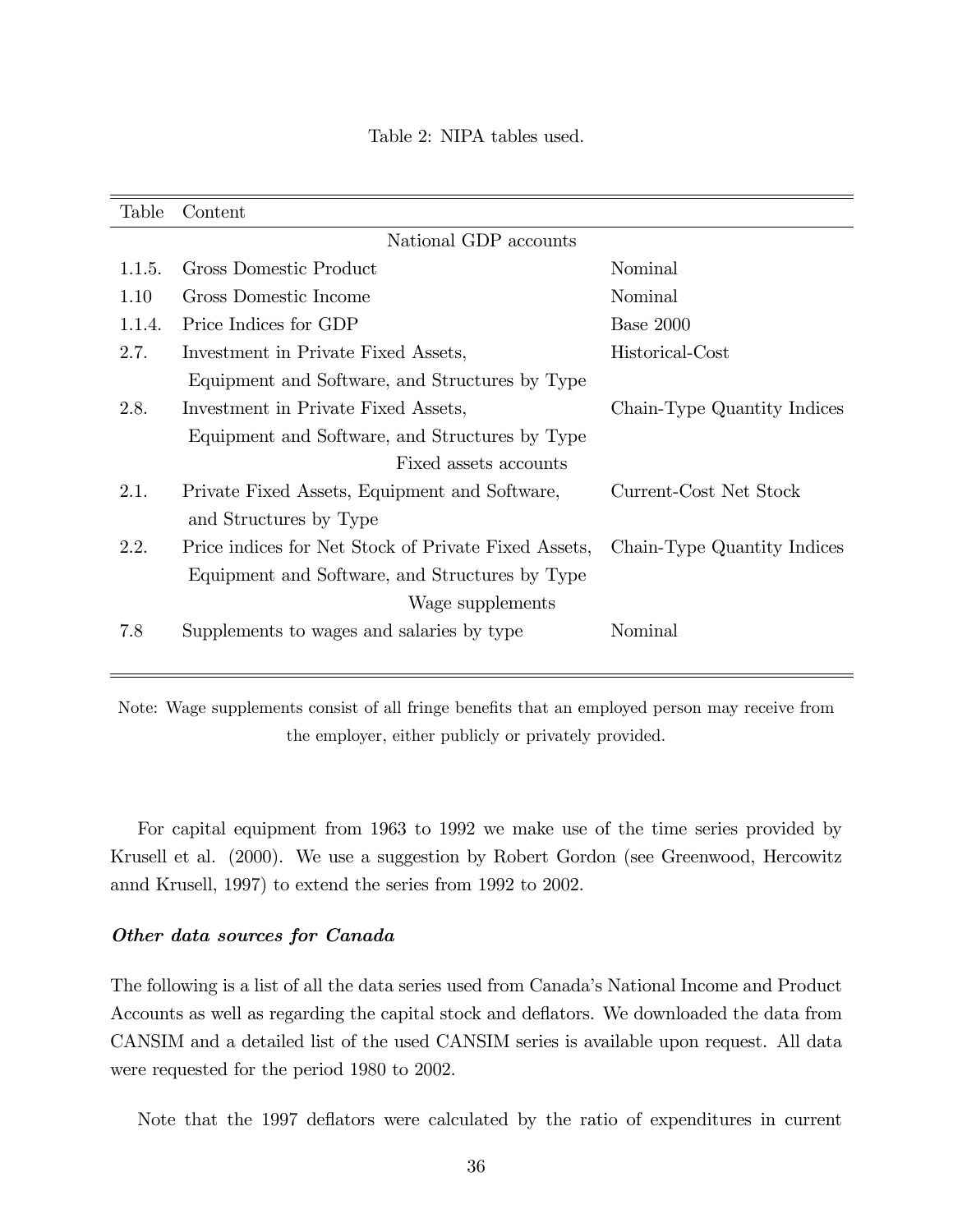| Table  | Content                                              |                             |  |  |  |
|--------|------------------------------------------------------|-----------------------------|--|--|--|
|        | National GDP accounts                                |                             |  |  |  |
| 1.1.5. | Gross Domestic Product                               | Nominal                     |  |  |  |
| 1.10   | Gross Domestic Income                                | Nominal                     |  |  |  |
| 1.1.4. | Price Indices for GDP                                | Base 2000                   |  |  |  |
| 2.7.   | Investment in Private Fixed Assets,                  | Historical-Cost             |  |  |  |
|        | Equipment and Software, and Structures by Type       |                             |  |  |  |
| 2.8.   | Investment in Private Fixed Assets,                  | Chain-Type Quantity Indices |  |  |  |
|        | Equipment and Software, and Structures by Type       |                             |  |  |  |
|        | Fixed assets accounts                                |                             |  |  |  |
| 2.1.   | Private Fixed Assets, Equipment and Software,        | Current-Cost Net Stock      |  |  |  |
|        | and Structures by Type                               |                             |  |  |  |
| 2.2.   | Price indices for Net Stock of Private Fixed Assets, | Chain-Type Quantity Indices |  |  |  |
|        | Equipment and Software, and Structures by Type       |                             |  |  |  |
|        | Wage supplements                                     |                             |  |  |  |
| 7.8    | Supplements to wages and salaries by type            | Nominal                     |  |  |  |
|        |                                                      |                             |  |  |  |

Note: Wage supplements consist of all fringe benefits that an employed person may receive from the employer, either publicly or privately provided.

For capital equipment from 1963 to 1992 we make use of the time series provided by Krusell et al. (2000). We use a suggestion by Robert Gordon (see Greenwood, Hercowitz annd Krusell, 1997) to extend the series from 1992 to 2002.

#### Other data sources for Canada

The following is a list of all the data series used from Canada's National Income and Product Accounts as well as regarding the capital stock and deflators. We downloaded the data from CANSIM and a detailed list of the used CANSIM series is available upon request. All data were requested for the period 1980 to 2002.

Note that the 1997 deflators were calculated by the ratio of expenditures in current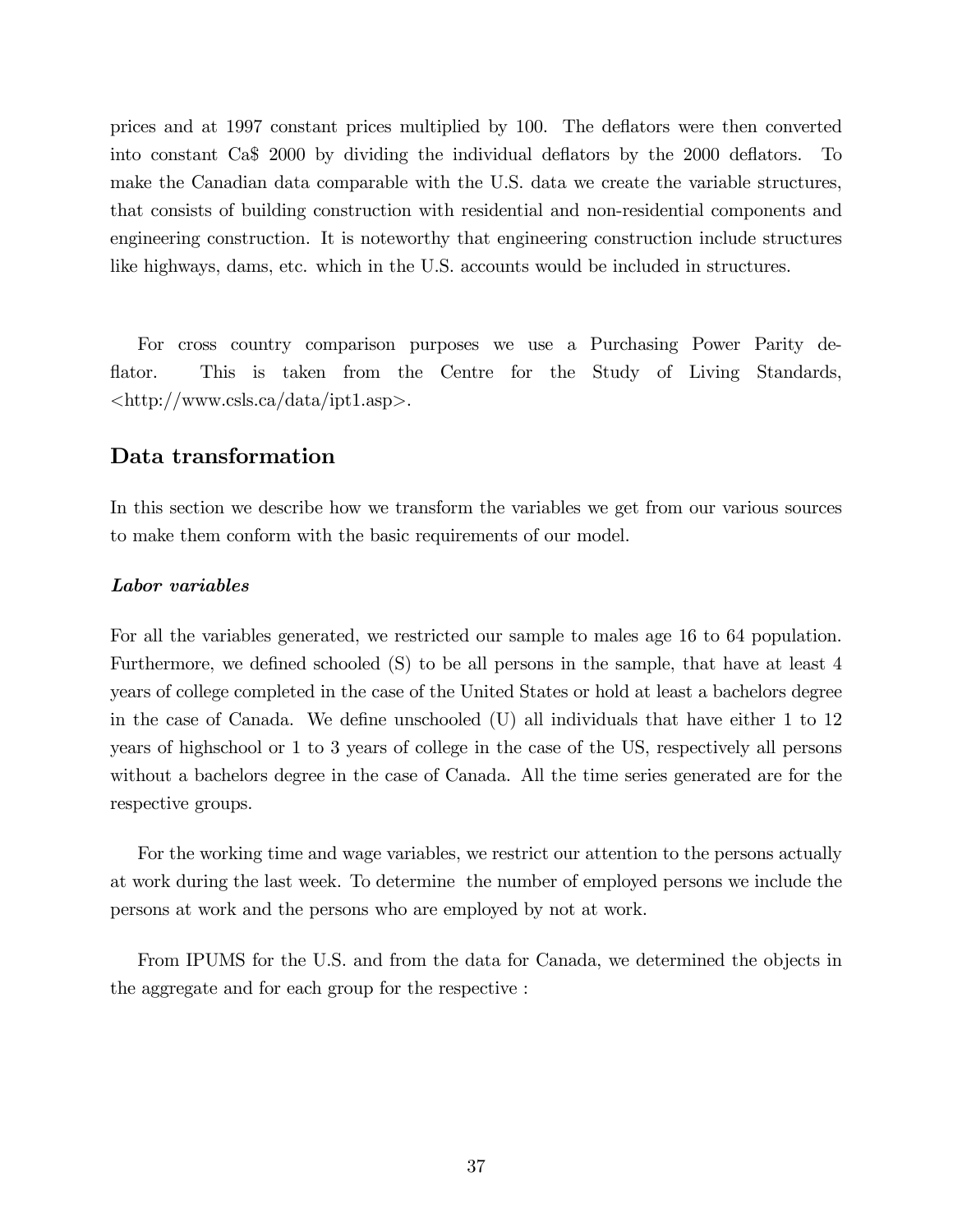prices and at 1997 constant prices multiplied by 100. The deáators were then converted into constant Ca\$ 2000 by dividing the individual deáators by the 2000 deáators. To make the Canadian data comparable with the U.S. data we create the variable structures, that consists of building construction with residential and non-residential components and engineering construction. It is noteworthy that engineering construction include structures like highways, dams, etc. which in the U.S. accounts would be included in structures.

For cross country comparison purposes we use a Purchasing Power Parity deflator. This is taken from the Centre for the Study of Living Standards, <http://www.csls.ca/data/ipt1.asp>.

### Data transformation

In this section we describe how we transform the variables we get from our various sources to make them conform with the basic requirements of our model.

#### Labor variables

For all the variables generated, we restricted our sample to males age 16 to 64 population. Furthermore, we defined schooled (S) to be all persons in the sample, that have at least 4 years of college completed in the case of the United States or hold at least a bachelors degree in the case of Canada. We define unschooled  $(U)$  all individuals that have either 1 to 12 years of highschool or 1 to 3 years of college in the case of the US, respectively all persons without a bachelors degree in the case of Canada. All the time series generated are for the respective groups.

For the working time and wage variables, we restrict our attention to the persons actually at work during the last week. To determine the number of employed persons we include the persons at work and the persons who are employed by not at work.

From IPUMS for the U.S. and from the data for Canada, we determined the objects in the aggregate and for each group for the respective :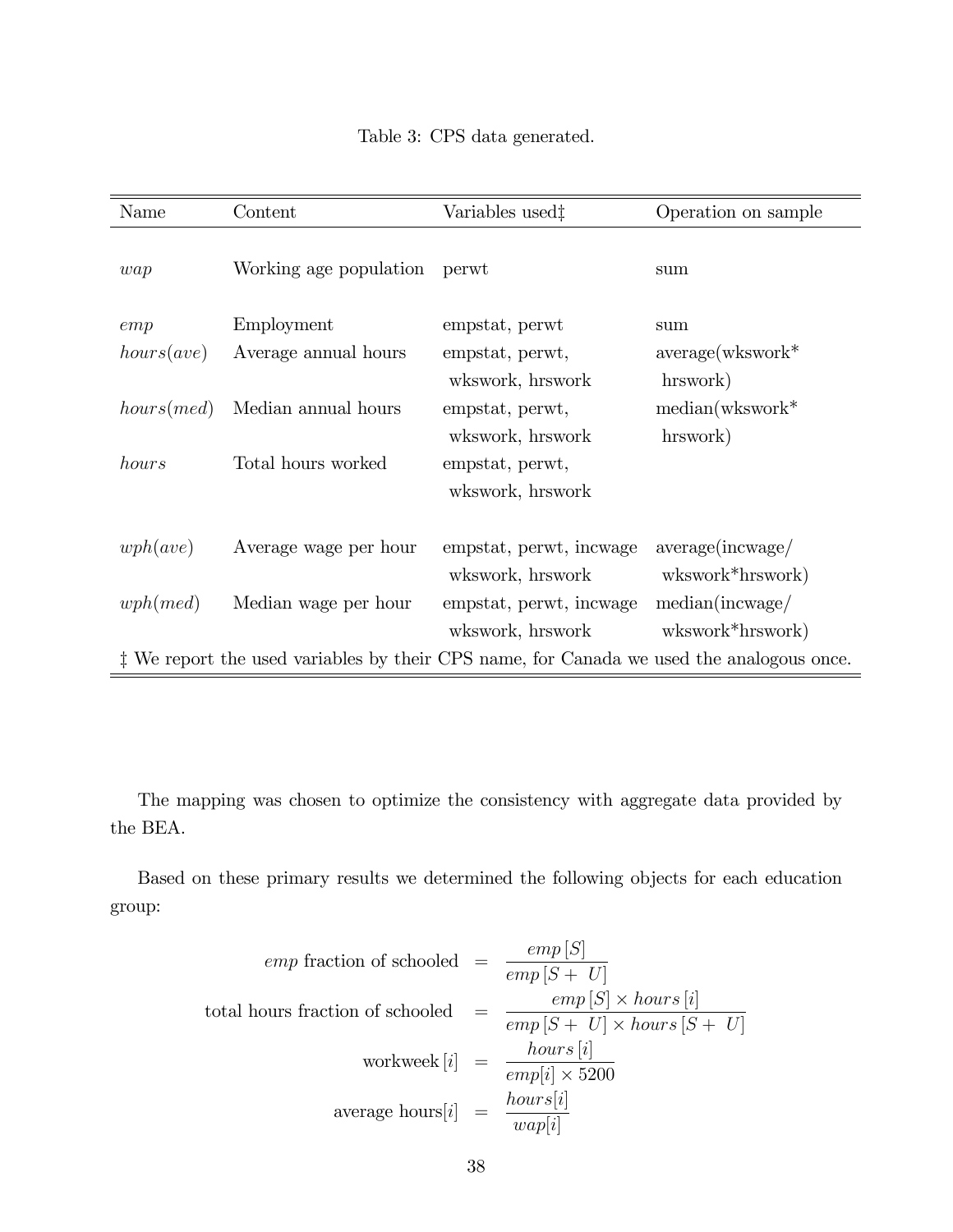| Name                                                                                     | Content                | Variables used <sup>†</sup> | Operation on sample |  |
|------------------------------------------------------------------------------------------|------------------------|-----------------------------|---------------------|--|
| wap                                                                                      | Working age population | perwt                       | sum                 |  |
| emp                                                                                      | Employment             | empstat, perwt              | sum                 |  |
| hours(ave)                                                                               | Average annual hours   | empstat, perwt,             | $average(wkswork*$  |  |
|                                                                                          |                        | wkswork, hrswork            | hrswork)            |  |
| hours (med)                                                                              | Median annual hours    | empstat, perwt,             | $median(wkswork^*)$ |  |
|                                                                                          |                        | wkswork, hrswork            | hrswork)            |  |
| hours                                                                                    | Total hours worked     | empstat, perwt,             |                     |  |
|                                                                                          |                        | wkswork, hrswork            |                     |  |
|                                                                                          |                        |                             |                     |  |
| wph(ave)                                                                                 | Average wage per hour  | empstat, perwt, incwage     | average(inswage/    |  |
|                                                                                          |                        | wkswork, hrswork            | wkswork*hrswork)    |  |
| wph(med)                                                                                 | Median wage per hour   | empstat, perwt, incwage     | median(inswage/     |  |
|                                                                                          |                        | wkswork, hrswork            | wkswork*hrswork)    |  |
| # We report the used variables by their CPS name, for Canada we used the analogous once. |                        |                             |                     |  |

The mapping was chosen to optimize the consistency with aggregate data provided by the BEA.

Based on these primary results we determined the following objects for each education group:

$$
emp \text{ fraction of schooled } = \frac{emp [S]}{emp [S + U]}
$$
\ntotal hours fraction of schooled 

\n
$$
= \frac{emp [S] \times hours [i]}{emp [S + U] \times hours [S + U]}
$$
\n
$$
workweek [i] = \frac{hours [i]}{emp[i] \times 5200}
$$
\naverage hours [i] 

\n
$$
= \frac{hours [i]}{wap[i]}
$$